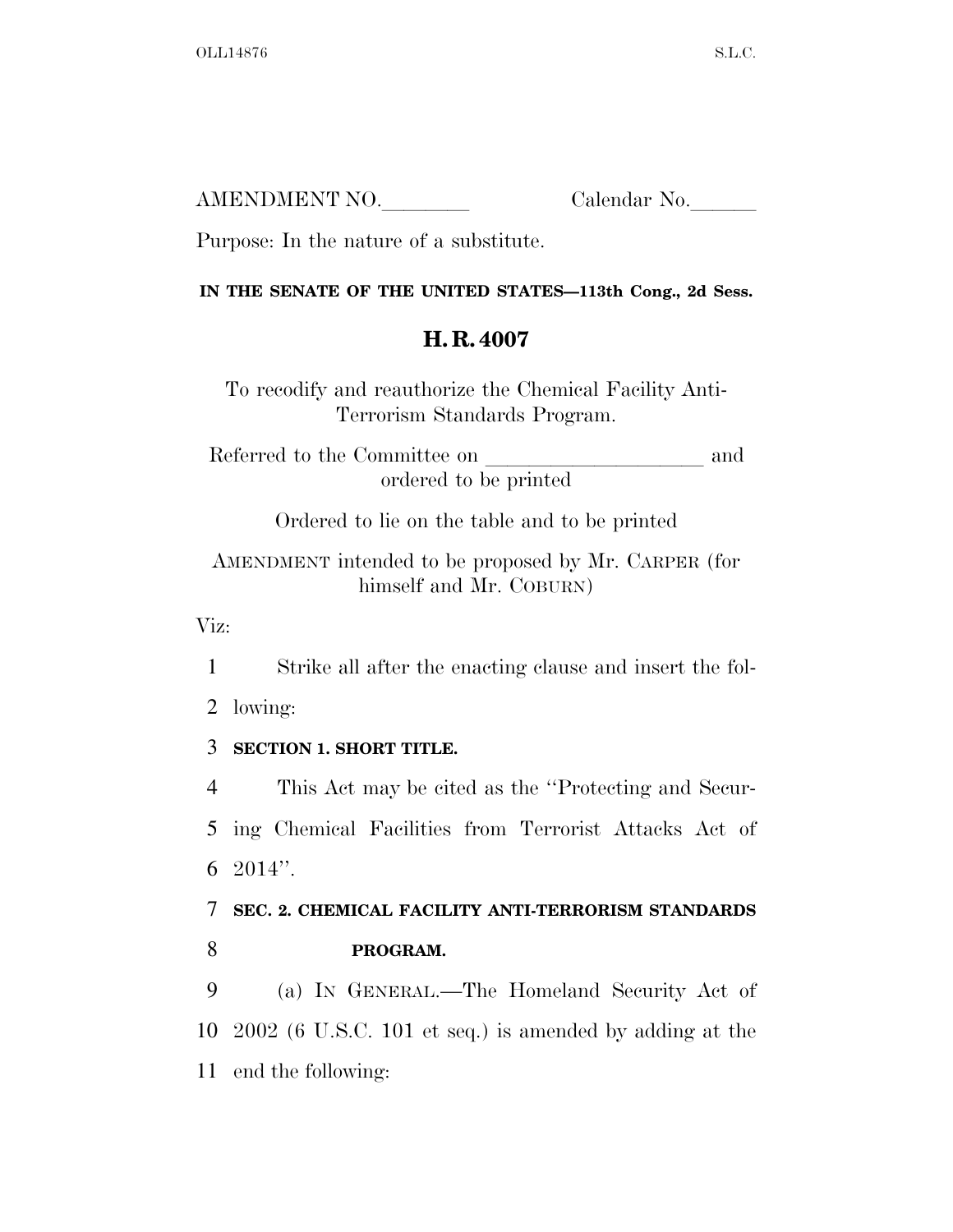| AMENDMENT NO. | Calendar No. |
|---------------|--------------|
|               |              |

Purpose: In the nature of a substitute.

#### **IN THE SENATE OF THE UNITED STATES—113th Cong., 2d Sess.**

# **H. R. 4007**

To recodify and reauthorize the Chemical Facility Anti-Terrorism Standards Program.

Referred to the Committee on and ordered to be printed

Ordered to lie on the table and to be printed

# AMENDMENT intended to be proposed by Mr. CARPER (for himself and Mr. COBURN)

Viz:

1 Strike all after the enacting clause and insert the fol-

2 lowing:

## 3 **SECTION 1. SHORT TITLE.**

4 This Act may be cited as the ''Protecting and Secur-5 ing Chemical Facilities from Terrorist Attacks Act of 6 2014''.

# 7 **SEC. 2. CHEMICAL FACILITY ANTI-TERRORISM STANDARDS**  8 **PROGRAM.**

9 (a) IN GENERAL.—The Homeland Security Act of 10 2002 (6 U.S.C. 101 et seq.) is amended by adding at the 11 end the following: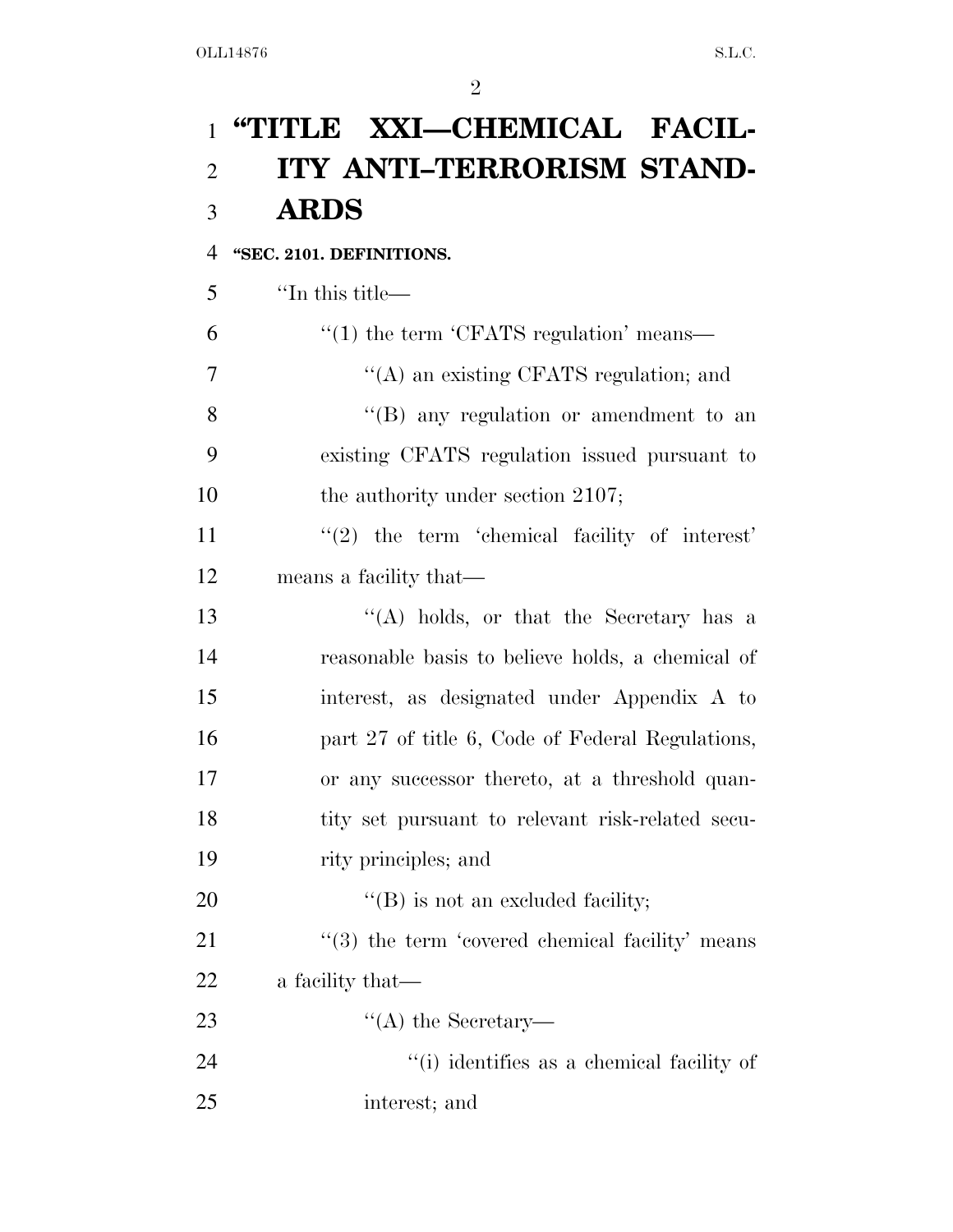# **''TITLE XXI—CHEMICAL FACIL- ITY ANTI–TERRORISM STAND-ARDS**

### **''SEC. 2101. DEFINITIONS.**

''In this title—

| 6              | $\cdot\cdot\cdot(1)$ the term $\cdot$ CFATS regulation' means— |
|----------------|----------------------------------------------------------------|
| $\overline{7}$ | "(A) an existing CFATS regulation; and                         |
| 8              | $\lq\lq(B)$ any regulation or amendment to an                  |
| 9              | existing CFATS regulation issued pursuant to                   |
| 10             | the authority under section 2107;                              |
| 11             | $\lq(2)$ the term 'chemical facility of interest'              |
| 12             | means a facility that—                                         |
| 13             | $\lq\lq$ holds, or that the Secretary has a                    |
| 14             | reasonable basis to believe holds, a chemical of               |
| 15             | interest, as designated under Appendix A to                    |
| 16             | part 27 of title 6, Code of Federal Regulations,               |
| 17             | or any successor thereto, at a threshold quan-                 |
| 18             | tity set pursuant to relevant risk-related secu-               |
| 19             | rity principles; and                                           |
| 20             | "(B) is not an excluded facility;                              |
| 21             | $\cdot$ (3) the term 'covered chemical facility' means         |
| 22             | a facility that—                                               |
| 23             | $\lq\lq$ the Secretary—                                        |
| 24             | "(i) identifies as a chemical facility of                      |
| 25             | interest; and                                                  |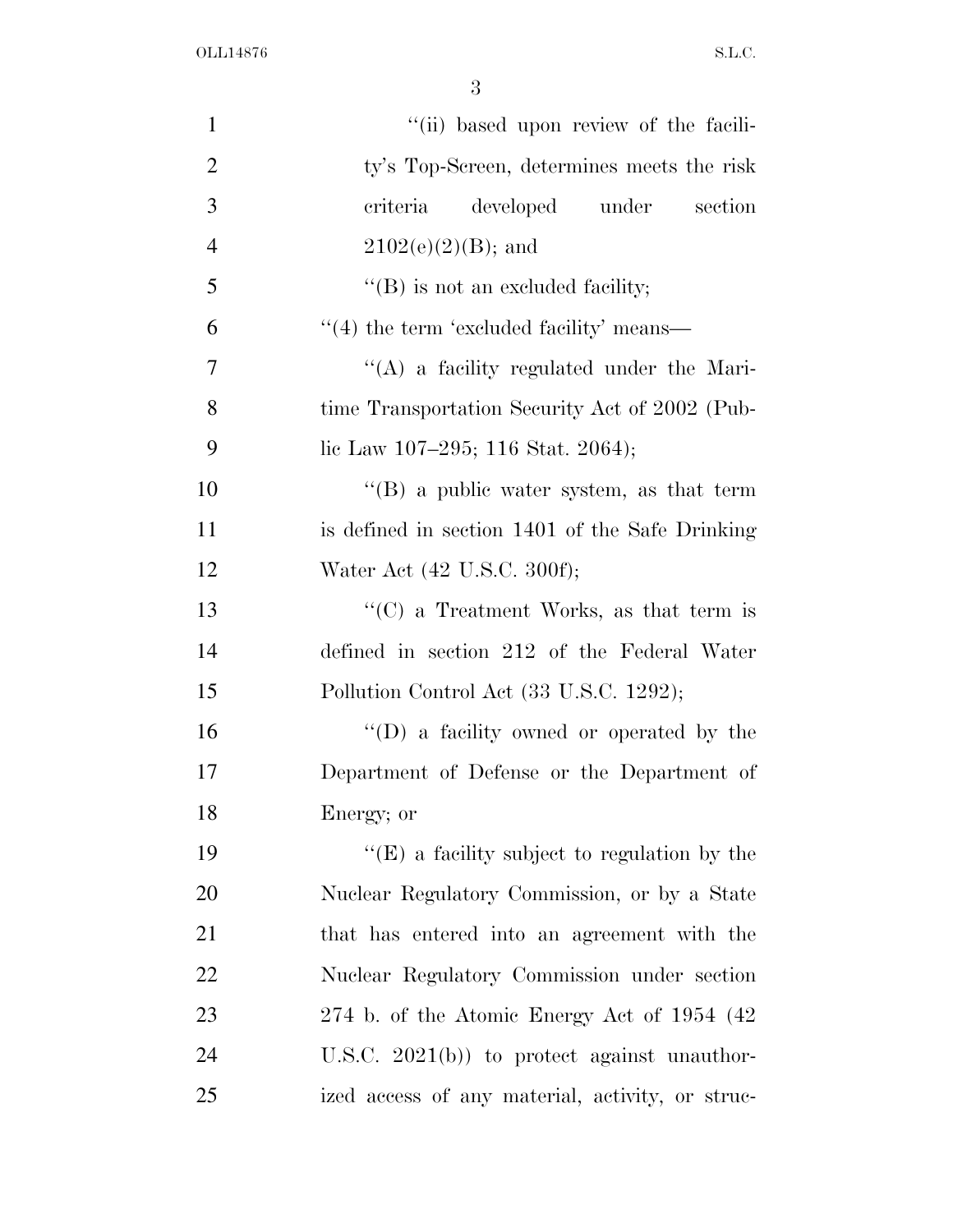| $\mathbf{1}$   | "(ii) based upon review of the facili-                   |
|----------------|----------------------------------------------------------|
| $\overline{2}$ | ty's Top-Screen, determines meets the risk               |
| 3              | criteria<br>developed under<br>section                   |
| $\overline{4}$ | $2102(e)(2)(B)$ ; and                                    |
| 5              | $\lq\lq$ (B) is not an excluded facility;                |
| 6              | $\cdot\cdot\cdot(4)$ the term 'excluded facility' means— |
| 7              | $\lq\lq$ a facility regulated under the Mari-            |
| 8              | time Transportation Security Act of 2002 (Pub-           |
| 9              | lic Law 107–295; 116 Stat. 2064);                        |
| 10             | $\lq\lq (B)$ a public water system, as that term         |
| 11             | is defined in section 1401 of the Safe Drinking          |
| 12             | Water Act (42 U.S.C. 300f);                              |
| 13             | " $(C)$ a Treatment Works, as that term is               |
| 14             | defined in section 212 of the Federal Water              |
| 15             | Pollution Control Act (33 U.S.C. 1292);                  |
| 16             | $\lq\lq$ (D) a facility owned or operated by the         |
| 17             | Department of Defense or the Department of               |
| 18             | Energy; or                                               |
| 19             | $\lq\lq(E)$ a facility subject to regulation by the      |
| 20             | Nuclear Regulatory Commission, or by a State             |
| 21             | that has entered into an agreement with the              |
| 22             | Nuclear Regulatory Commission under section              |
| 23             | 274 b. of the Atomic Energy Act of $1954$ (42)           |
| 24             | U.S.C. $2021(b)$ to protect against unauthor-            |
| 25             | ized access of any material, activity, or struc-         |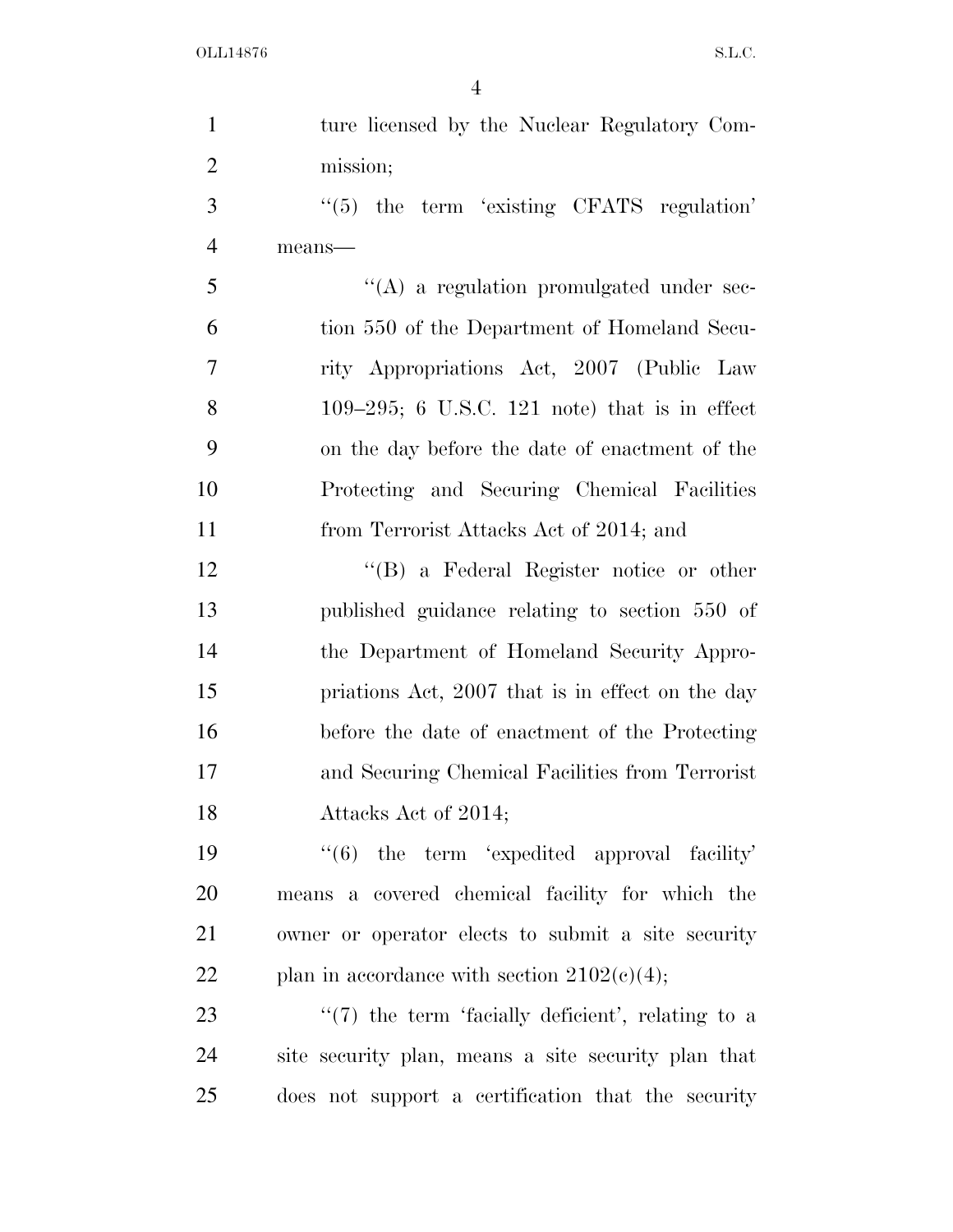| $\mathbf{1}$   | ture licensed by the Nuclear Regulatory Com-          |
|----------------|-------------------------------------------------------|
| $\overline{2}$ | mission;                                              |
| 3              | $\cdot$ (5) the term 'existing CFATS regulation'      |
| $\overline{4}$ | means-                                                |
| 5              | $\lq\lq$ a regulation promulgated under sec-          |
| 6              | tion 550 of the Department of Homeland Secu-          |
| 7              | rity Appropriations Act, 2007 (Public Law             |
| 8              | $109-295$ ; 6 U.S.C. 121 note) that is in effect      |
| 9              | on the day before the date of enactment of the        |
| 10             | Protecting and Securing Chemical Facilities           |
| 11             | from Terrorist Attacks Act of 2014; and               |
| 12             | $\lq\lq (B)$ a Federal Register notice or other       |
| 13             | published guidance relating to section 550 of         |
| 14             | the Department of Homeland Security Appro-            |
| 15             | priations Act, 2007 that is in effect on the day      |
| 16             | before the date of enactment of the Protecting        |
| 17             | and Securing Chemical Facilities from Terrorist       |
| 18             | Attacks Act of 2014;                                  |
| 19             | $\lq(6)$ the term 'expedited approval facility'       |
| 20             | means a covered chemical facility for which the       |
| 21             | owner or operator elects to submit a site security    |
| 22             | plan in accordance with section $2102(c)(4)$ ;        |
| 23             | $\lq(7)$ the term 'facially deficient', relating to a |
| 24             | site security plan, means a site security plan that   |
| 25             | does not support a certification that the security    |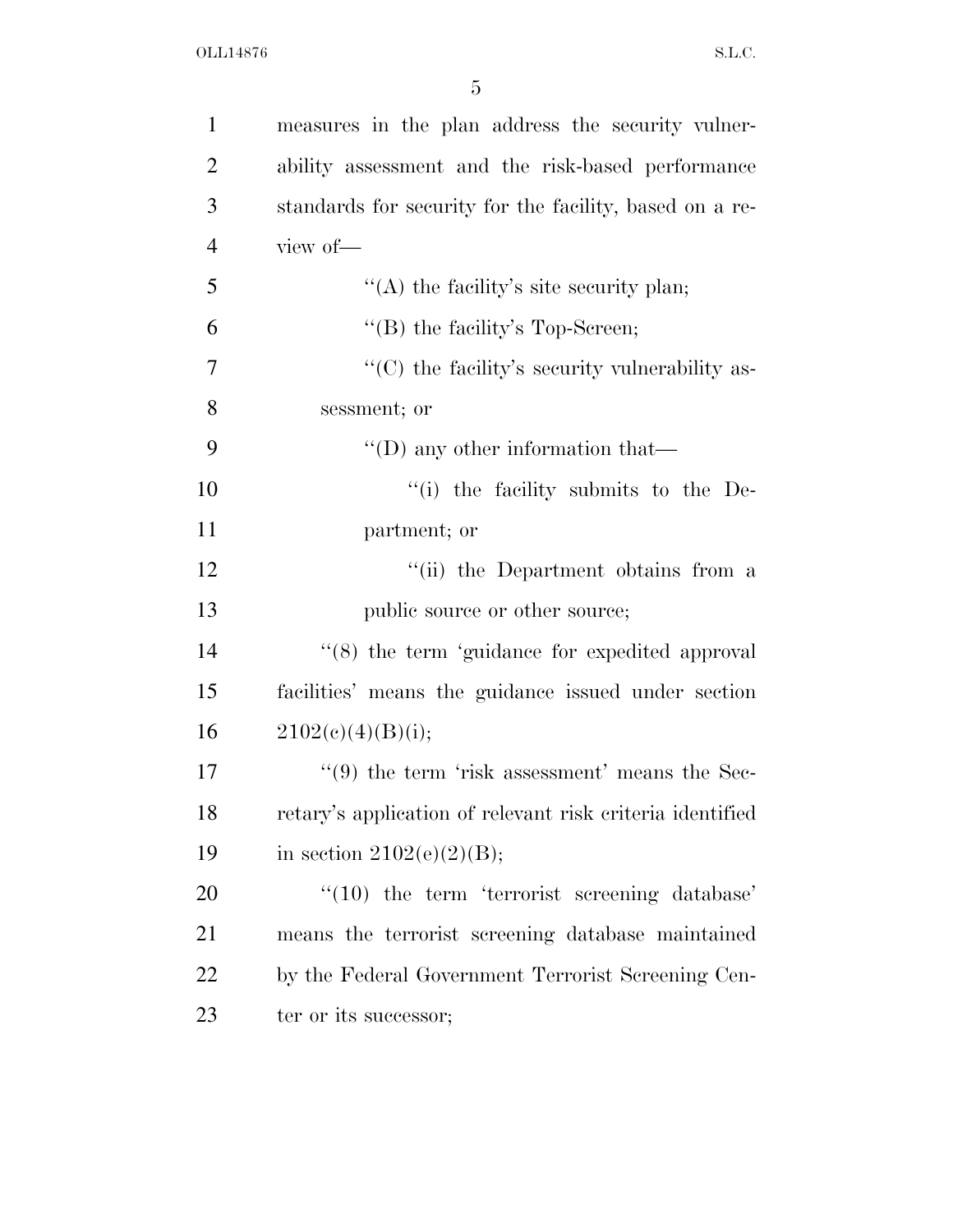| $\mathbf{1}$   | measures in the plan address the security vulner-               |
|----------------|-----------------------------------------------------------------|
| $\overline{2}$ | ability assessment and the risk-based performance               |
| 3              | standards for security for the facility, based on a re-         |
| $\overline{4}$ | view of-                                                        |
| 5              | "(A) the facility's site security plan;                         |
| 6              | "(B) the facility's Top-Screen;                                 |
| $\overline{7}$ | "(C) the facility's security vulnerability as-                  |
| 8              | sessment; or                                                    |
| 9              | $\lq\lq$ (D) any other information that—                        |
| 10             | $\lq$ <sup>"(i)</sup> the facility submits to the De-           |
| 11             | partment; or                                                    |
| 12             | "(ii) the Department obtains from a                             |
| 13             | public source or other source;                                  |
| 14             | $\lq(8)$ the term 'guidance for expedited approval              |
| 15             | facilities' means the guidance issued under section             |
| 16             | 2102(c)(4)(B)(i);                                               |
| 17             | $\cdot\cdot\cdot(9)$ the term 'risk assessment' means the Sec-  |
| 18             | retary's application of relevant risk criteria identified       |
| 19             | in section $2102(e)(2)(B)$ ;                                    |
| 20             | $\degree$ (10) the term $\degree$ terrorist screening database' |
| 21             | means the terrorist screening database maintained               |
| 22             | by the Federal Government Terrorist Screening Cen-              |
| 23             | ter or its successor;                                           |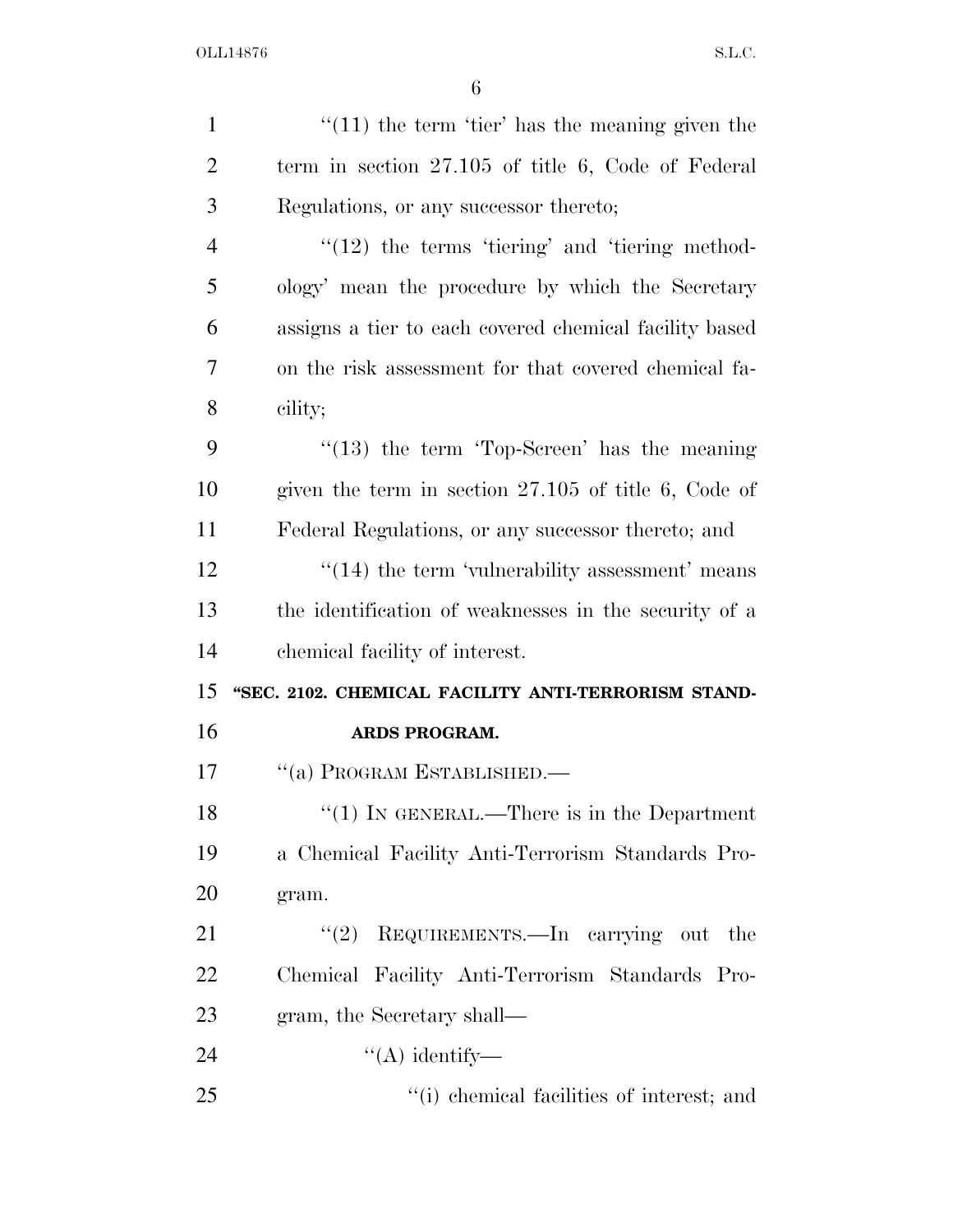| $\mathbf{1}$   | $\lq(11)$ the term 'tier' has the meaning given the    |
|----------------|--------------------------------------------------------|
| $\overline{2}$ | term in section $27.105$ of title 6, Code of Federal   |
| 3              | Regulations, or any successor thereto;                 |
| $\overline{4}$ | $\lq(12)$ the terms 'tiering' and 'tiering method-     |
| 5              | ology' mean the procedure by which the Secretary       |
| 6              | assigns a tier to each covered chemical facility based |
| $\overline{7}$ | on the risk assessment for that covered chemical fa-   |
| 8              | cility;                                                |
| 9              | $\cdot$ (13) the term 'Top-Screen' has the meaning     |
| 10             | given the term in section $27.105$ of title 6, Code of |
| 11             | Federal Regulations, or any successor thereto; and     |
| 12             | $\cdot$ (14) the term 'vulnerability assessment' means |
| 13             | the identification of weaknesses in the security of a  |
| 14             | chemical facility of interest.                         |
| 15             | "SEC. 2102. CHEMICAL FACILITY ANTI-TERRORISM STAND-    |
| 16             | ARDS PROGRAM.                                          |
| 17             | "(a) PROGRAM ESTABLISHED.—                             |
| 18             | "(1) IN GENERAL.—There is in the Department            |
| 19             | a Chemical Facility Anti-Terrorism Standards Pro-      |
| 20             | gram.                                                  |
| 21             | REQUIREMENTS.-In carrying out<br>(2)<br>the            |
| 22             | Chemical Facility Anti-Terrorism Standards Pro-        |
| 23             | gram, the Secretary shall—                             |
| 24             | $\lq\lq$ identify—                                     |
| 25             | "(i) chemical facilities of interest; and              |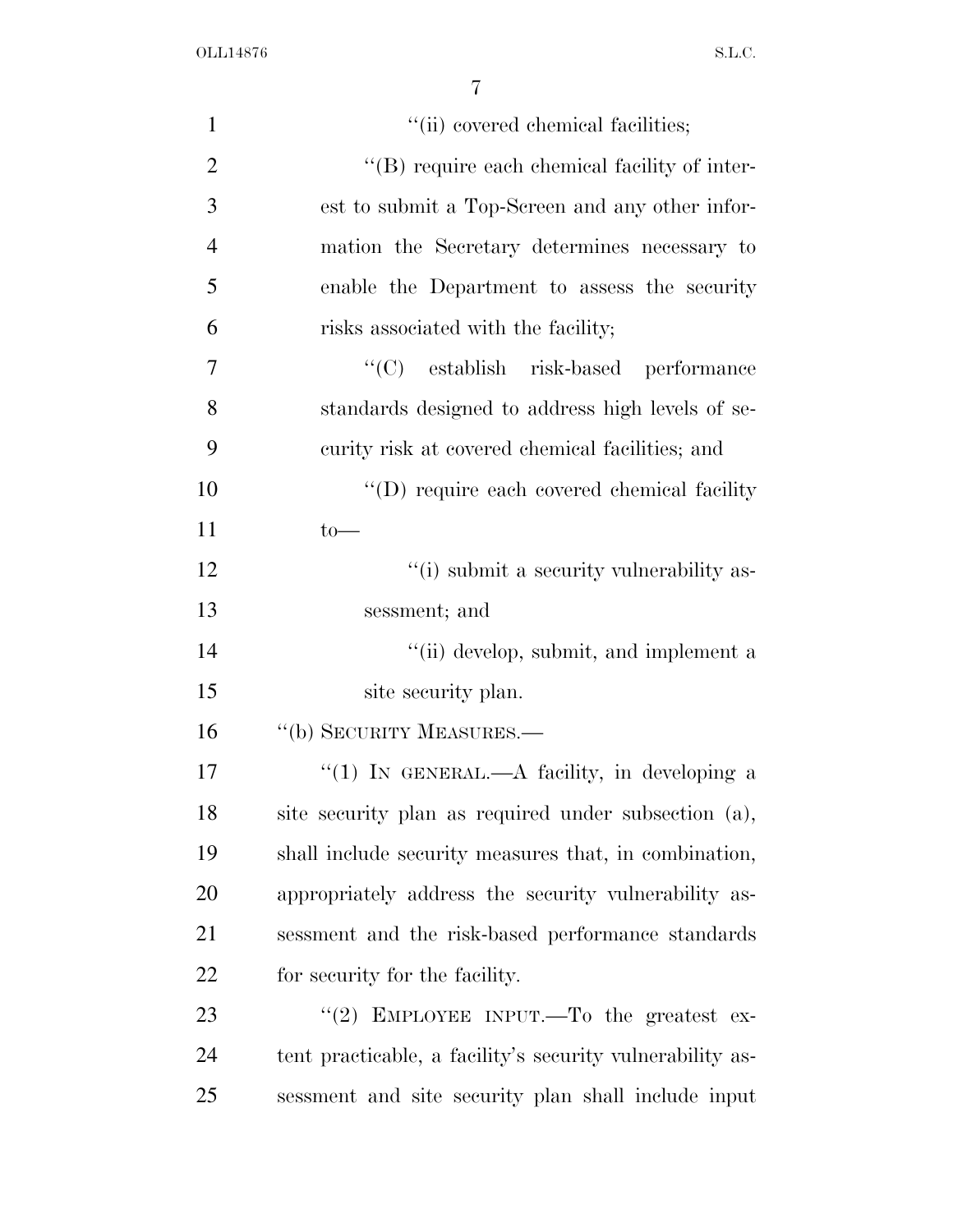| $\mathbf{1}$   | "(ii) covered chemical facilities;                        |
|----------------|-----------------------------------------------------------|
| $\overline{2}$ | "(B) require each chemical facility of inter-             |
| 3              | est to submit a Top-Screen and any other infor-           |
| $\overline{4}$ | mation the Secretary determines necessary to              |
| 5              | enable the Department to assess the security              |
| 6              | risks associated with the facility;                       |
| 7              | "(C) establish risk-based performance                     |
| 8              | standards designed to address high levels of se-          |
| 9              | curity risk at covered chemical facilities; and           |
| 10             | "(D) require each covered chemical facility"              |
| 11             | $to-$                                                     |
| 12             | "(i) submit a security vulnerability as-                  |
| 13             | sessment; and                                             |
| 14             | "(ii) develop, submit, and implement a                    |
| 15             | site security plan.                                       |
| 16             | "(b) SECURITY MEASURES.—                                  |
| 17             | "(1) IN GENERAL.—A facility, in developing a              |
| 18             | site security plan as required under subsection (a),      |
| 19             | shall include security measures that, in combination,     |
| 20             | appropriately address the security vulnerability as-      |
| 21             | sessment and the risk-based performance standards         |
| <u>22</u>      | for security for the facility.                            |
| 23             | "(2) EMPLOYEE INPUT.—To the greatest ex-                  |
| 24             | tent practicable, a facility's security vulnerability as- |
| 25             | sessment and site security plan shall include input       |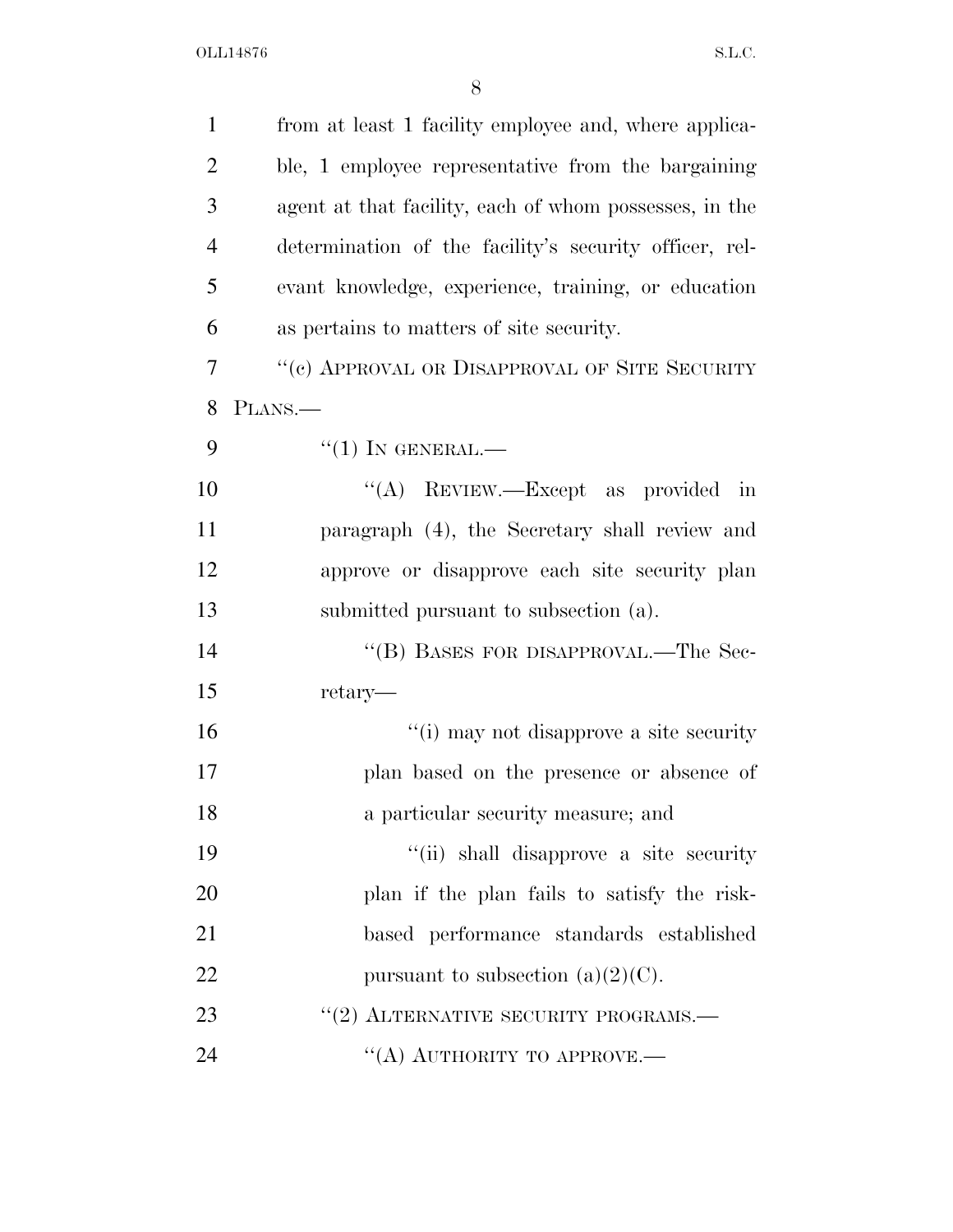| $\mathbf{1}$   | from at least 1 facility employee and, where applica-  |
|----------------|--------------------------------------------------------|
| $\overline{2}$ | ble, 1 employee representative from the bargaining     |
| 3              | agent at that facility, each of whom possesses, in the |
| $\overline{4}$ | determination of the facility's security officer, rel- |
| 5              | evant knowledge, experience, training, or education    |
| 6              | as pertains to matters of site security.               |
| $\tau$         | "(c) APPROVAL OR DISAPPROVAL OF SITE SECURITY          |
| 8              | PLANS.                                                 |
| 9              | $``(1)$ IN GENERAL.—                                   |
| 10             | "(A) REVIEW.—Except as provided in                     |
| 11             | paragraph (4), the Secretary shall review and          |
| 12             | approve or disapprove each site security plan          |
| 13             | submitted pursuant to subsection (a).                  |
| 14             | "(B) BASES FOR DISAPPROVAL.—The Sec-                   |
| 15             | retary—                                                |
| 16             | "(i) may not disapprove a site security                |
| 17             | plan based on the presence or absence of               |
| 18             | a particular security measure; and                     |
| 19             | "(ii) shall disapprove a site security                 |
| 20             | plan if the plan fails to satisfy the risk-            |
| 21             | based performance standards established                |
| 22             | pursuant to subsection $(a)(2)(C)$ .                   |
| 23             | $``(2)$ ALTERNATIVE SECURITY PROGRAMS.—                |
| 24             | "(A) AUTHORITY TO APPROVE.—                            |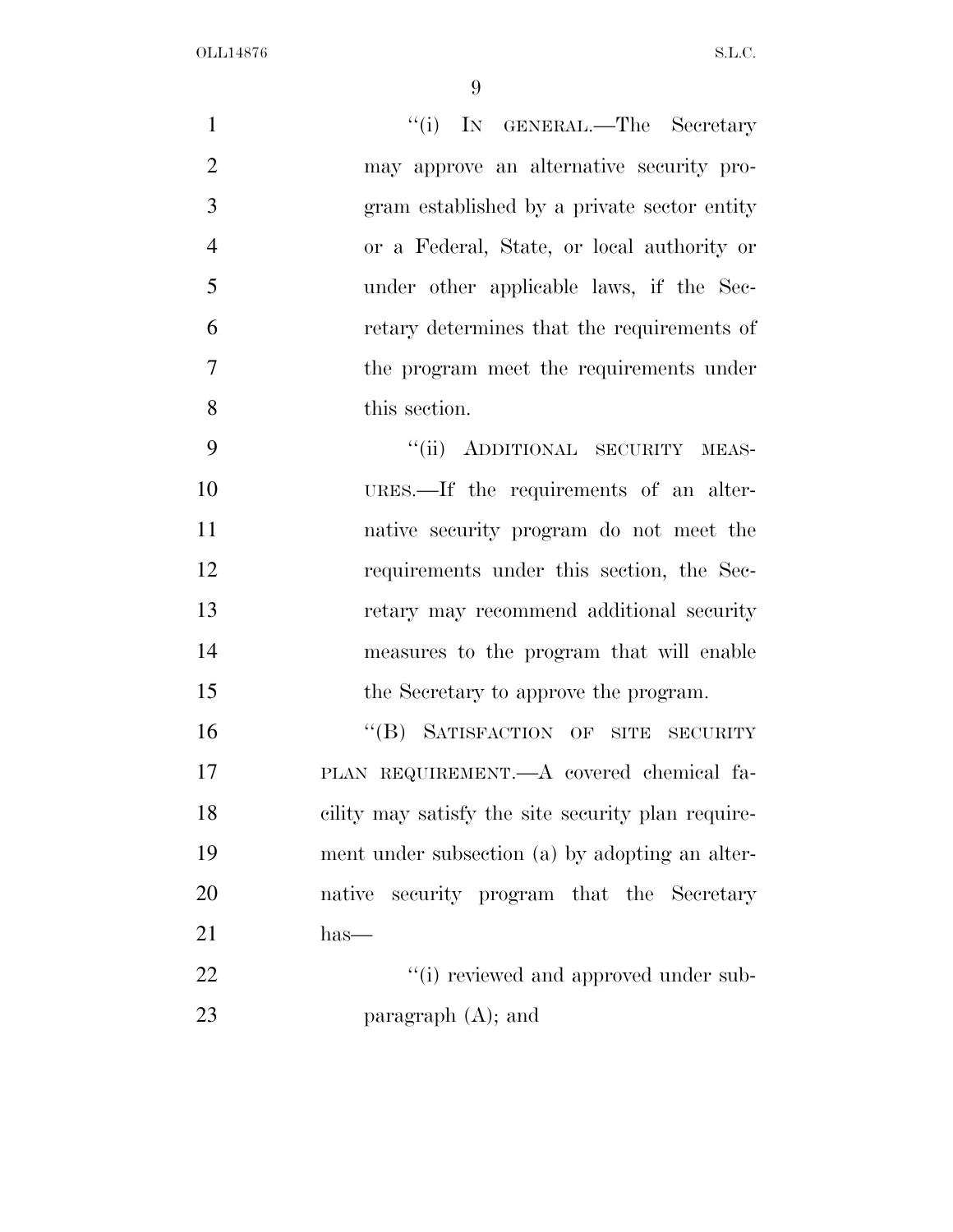| $\mathbf{1}$   | "(i) IN GENERAL.—The Secretary                     |
|----------------|----------------------------------------------------|
| $\overline{2}$ | may approve an alternative security pro-           |
| 3              | gram established by a private sector entity        |
| $\overline{4}$ | or a Federal, State, or local authority or         |
| 5              | under other applicable laws, if the Sec-           |
| 6              | retary determines that the requirements of         |
| 7              | the program meet the requirements under            |
| 8              | this section.                                      |
| 9              | "(ii) ADDITIONAL SECURITY MEAS-                    |
| 10             | URES.—If the requirements of an alter-             |
| 11             | native security program do not meet the            |
| 12             | requirements under this section, the Sec-          |
| 13             | retary may recommend additional security           |
| 14             | measures to the program that will enable           |
| 15             | the Secretary to approve the program.              |
| 16             | "(B) SATISFACTION OF SITE SECURITY                 |
| 17             | PLAN REQUIREMENT.—A covered chemical fa-           |
| 18             | cility may satisfy the site security plan require- |
| 19             | ment under subsection (a) by adopting an alter-    |
| 20             | security program that the Secretary<br>native      |
| 21             | $has-$                                             |

22  $"$  (i) reviewed and approved under sub-paragraph (A); and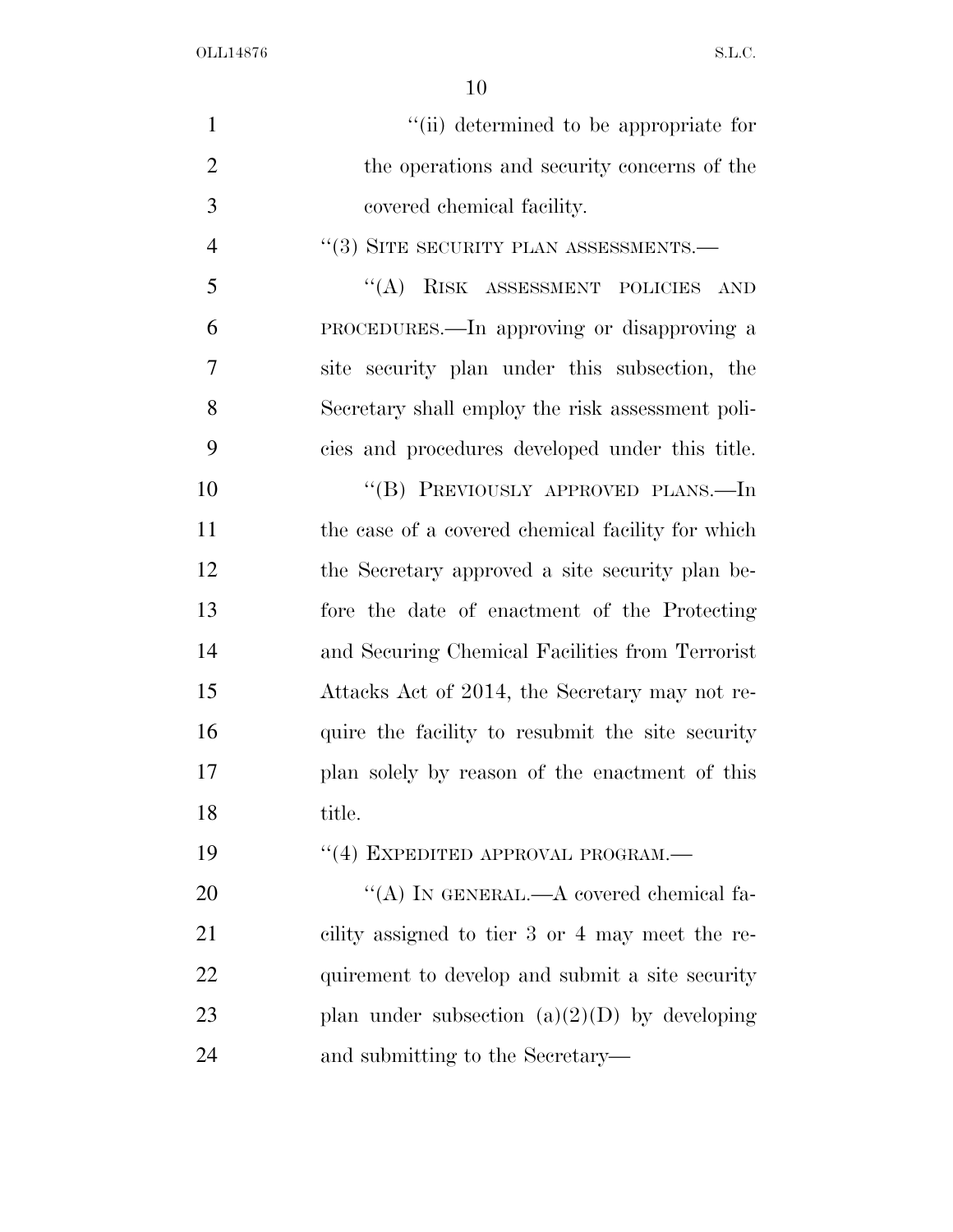| $\mathbf{1}$   | "(ii) determined to be appropriate for            |
|----------------|---------------------------------------------------|
| $\overline{2}$ | the operations and security concerns of the       |
| 3              | covered chemical facility.                        |
| $\overline{4}$ | "(3) SITE SECURITY PLAN ASSESSMENTS.—             |
| 5              | "(A) RISK ASSESSMENT POLICIES AND                 |
| 6              | PROCEDURES.—In approving or disapproving a        |
| 7              | site security plan under this subsection, the     |
| 8              | Secretary shall employ the risk assessment poli-  |
| 9              | cies and procedures developed under this title.   |
| 10             | "(B) PREVIOUSLY APPROVED PLANS.—In                |
| 11             | the case of a covered chemical facility for which |
| 12             | the Secretary approved a site security plan be-   |
| 13             | fore the date of enactment of the Protecting      |
| 14             | and Securing Chemical Facilities from Terrorist   |
| 15             | Attacks Act of 2014, the Secretary may not re-    |
| 16             | quire the facility to resubmit the site security  |
| 17             | plan solely by reason of the enactment of this    |
| 18             | title.                                            |
| 19             | "(4) EXPEDITED APPROVAL PROGRAM.—                 |
| 20             | "(A) IN GENERAL.—A covered chemical fa-           |
| 21             | cility assigned to tier 3 or 4 may meet the re-   |
| 22             | quirement to develop and submit a site security   |
| 23             | plan under subsection $(a)(2)(D)$ by developing   |
| 24             | and submitting to the Secretary—                  |
|                |                                                   |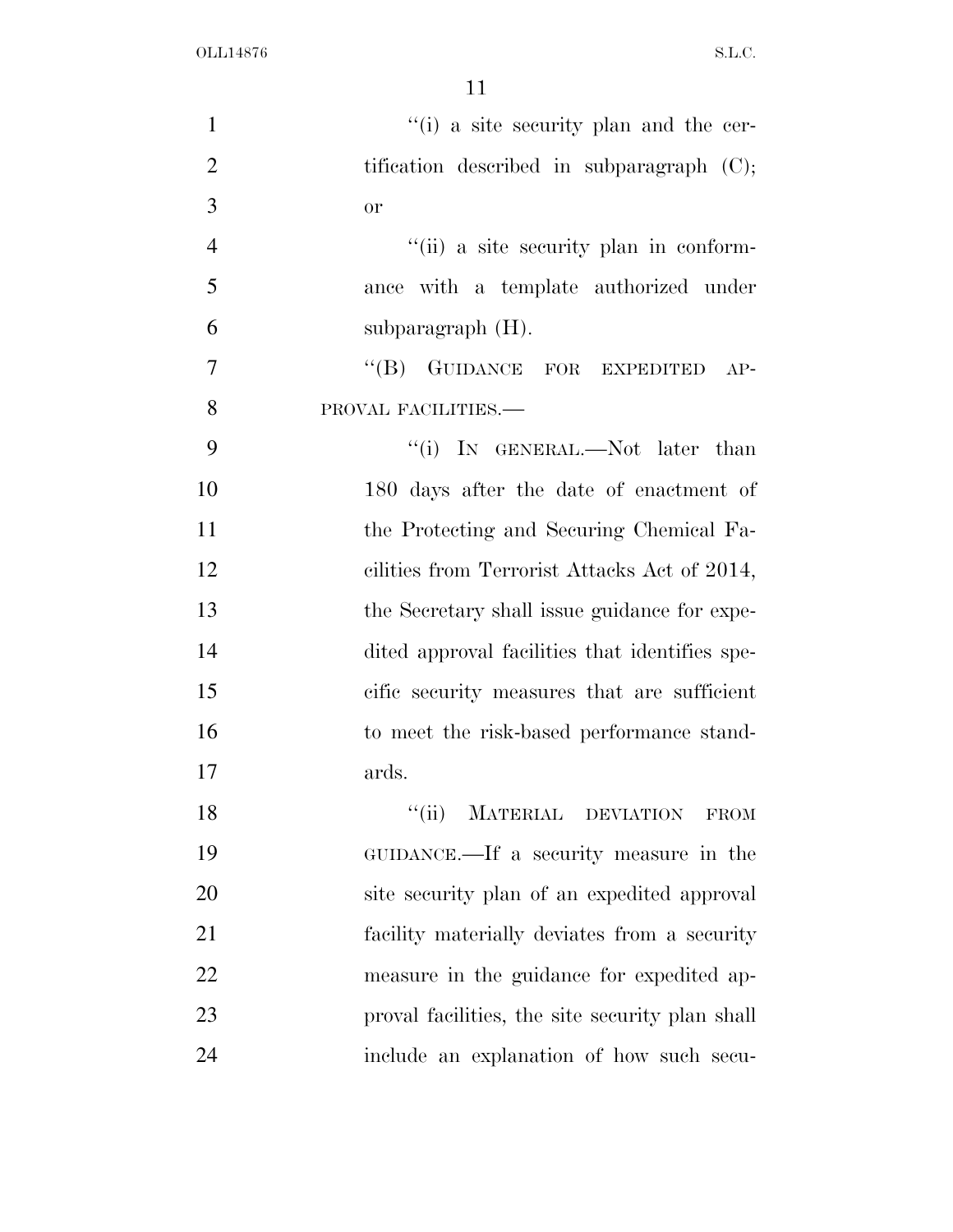| $\mathbf{1}$   | "(i) a site security plan and the cer-          |
|----------------|-------------------------------------------------|
| $\overline{2}$ | tification described in subparagraph $(C)$ ;    |
| 3              | <b>or</b>                                       |
| $\overline{4}$ | "(ii) a site security plan in conform-          |
| 5              | ance with a template authorized under           |
| 6              | subparagraph $(H)$ .                            |
| $\overline{7}$ | "(B) GUIDANCE FOR EXPEDITED<br>$AP-$            |
| 8              | PROVAL FACILITIES.-                             |
| 9              | "(i) IN GENERAL.—Not later than                 |
| 10             | 180 days after the date of enactment of         |
| 11             | the Protecting and Securing Chemical Fa-        |
| 12             | cilities from Terrorist Attacks Act of 2014,    |
| 13             | the Secretary shall issue guidance for expe-    |
| 14             | dited approval facilities that identifies spe-  |
| 15             | cific security measures that are sufficient     |
| 16             | to meet the risk-based performance stand-       |
| 17             | ards.                                           |
| 18             | MATERIAL DEVIATION<br>``(ii)<br><b>FROM</b>     |
| 19             | GUIDANCE.—If a security measure in the          |
| 20             | site security plan of an expedited approval     |
| 21             | facility materially deviates from a security    |
| 22             | measure in the guidance for expedited ap-       |
| 23             | proval facilities, the site security plan shall |
| 24             | include an explanation of how such secu-        |
|                |                                                 |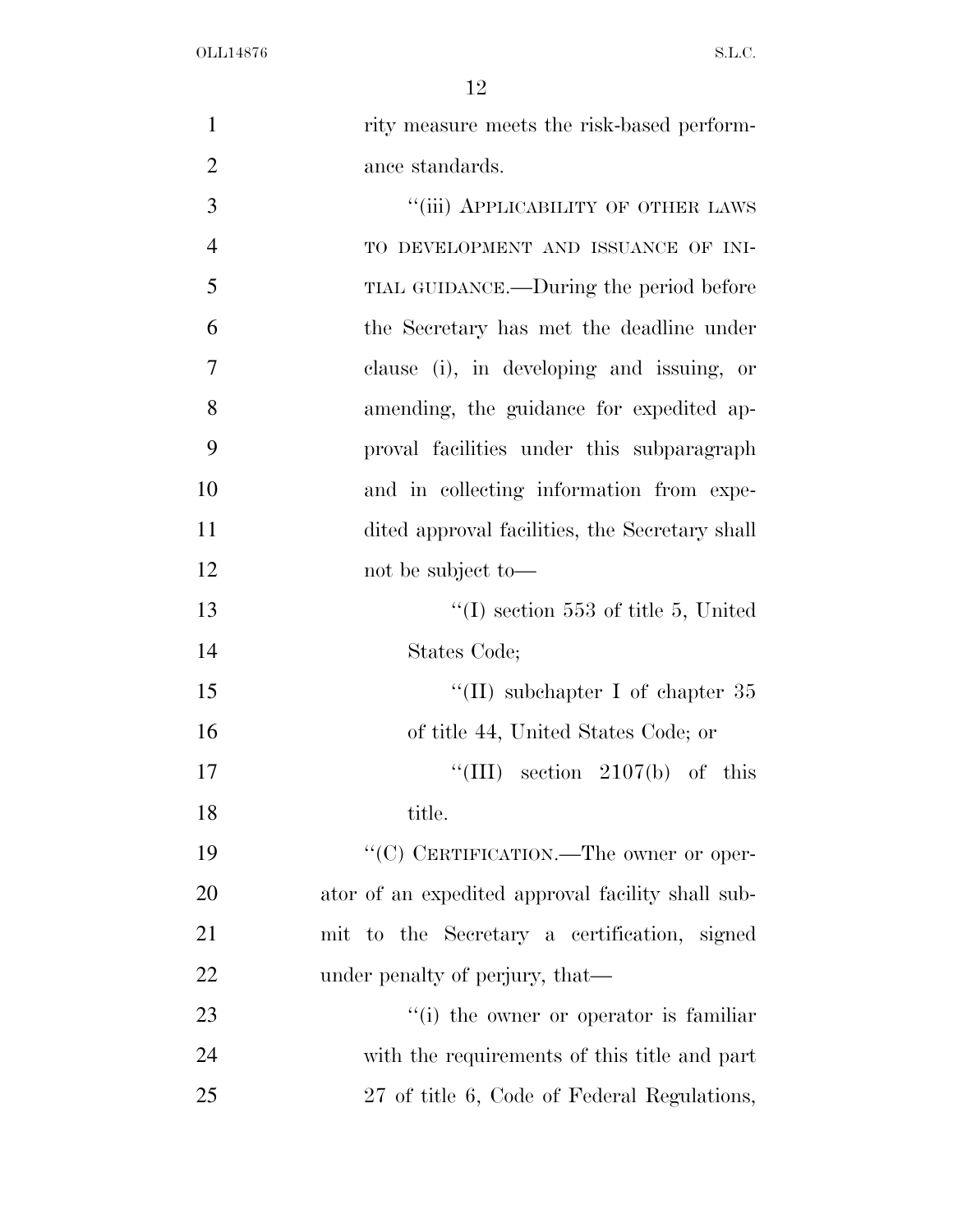| $\mathbf{1}$   | rity measure meets the risk-based perform-        |
|----------------|---------------------------------------------------|
| $\overline{2}$ | ance standards.                                   |
| 3              | "(iii) APPLICABILITY OF OTHER LAWS                |
| $\overline{4}$ | TO DEVELOPMENT AND ISSUANCE OF INI-               |
| 5              | TIAL GUIDANCE.—During the period before           |
| 6              | the Secretary has met the deadline under          |
| 7              | clause (i), in developing and issuing, or         |
| 8              | amending, the guidance for expedited ap-          |
| 9              | proval facilities under this subparagraph         |
| 10             | and in collecting information from expe-          |
| 11             | dited approval facilities, the Secretary shall    |
| 12             | not be subject to-                                |
| 13             | $\lq (I)$ section 553 of title 5, United          |
| 14             | States Code;                                      |
| 15             | "(II) subchapter I of chapter $35$                |
| 16             | of title 44, United States Code; or               |
| 17             | "(III) section $2107(b)$ of this                  |
| 18             | title.                                            |
| 19             | "(C) CERTIFICATION.—The owner or oper-            |
| 20             | ator of an expedited approval facility shall sub- |
| 21             | mit to the Secretary a certification, signed      |
| 22             | under penalty of perjury, that—                   |
| 23             | "(i) the owner or operator is familiar            |
| 24             | with the requirements of this title and part      |
| 25             | 27 of title 6, Code of Federal Regulations,       |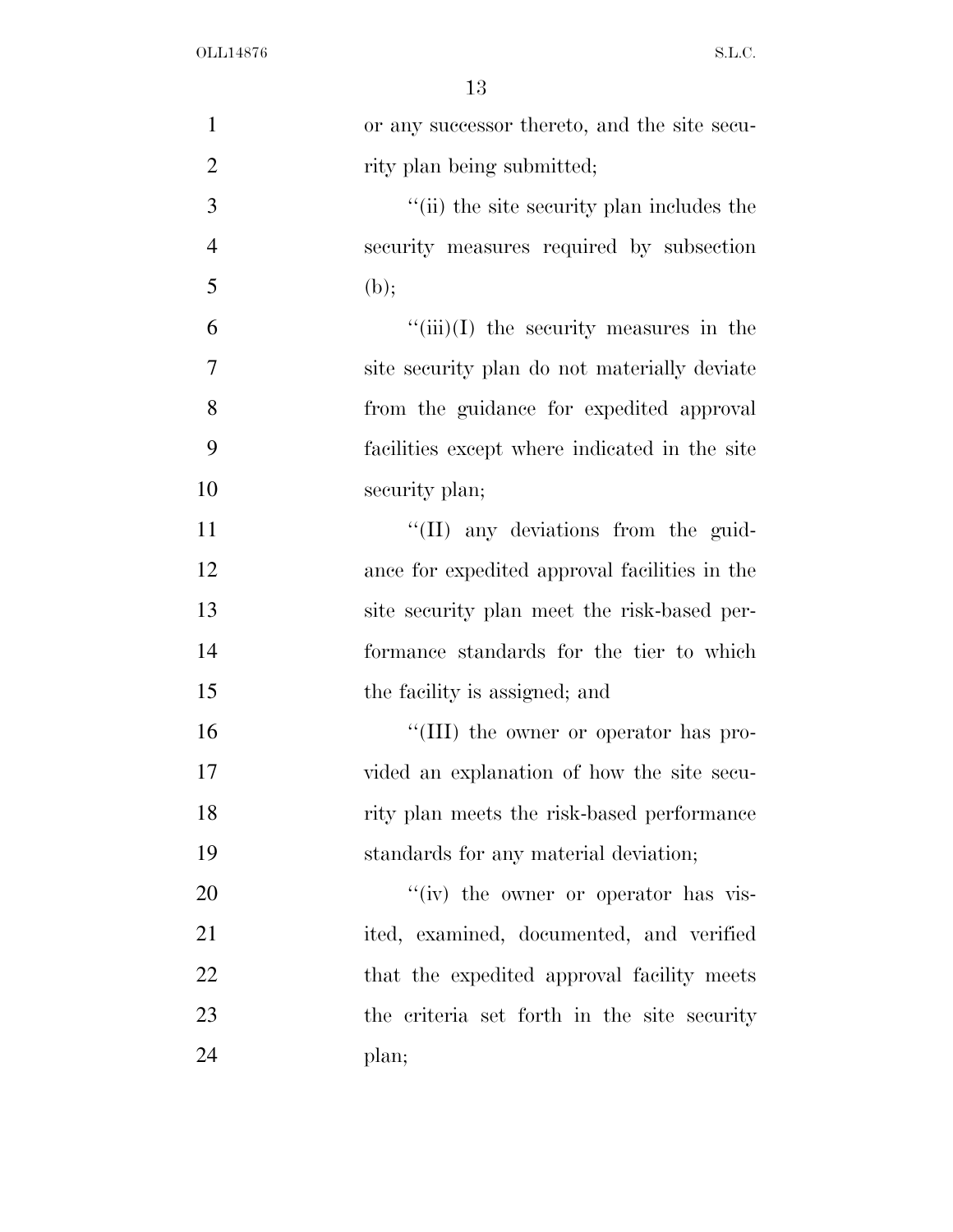| $\mathbf{1}$   | or any successor thereto, and the site secu-  |
|----------------|-----------------------------------------------|
| $\overline{2}$ | rity plan being submitted;                    |
| 3              | "(ii) the site security plan includes the     |
| $\overline{4}$ | security measures required by subsection      |
| 5              | (b);                                          |
| 6              | $\lq\lq(iii)(I)$ the security measures in the |
| $\tau$         | site security plan do not materially deviate  |
| 8              | from the guidance for expedited approval      |
| 9              | facilities except where indicated in the site |
| 10             | security plan;                                |
| 11             | "(II) any deviations from the guid-           |
| 12             | ance for expedited approval facilities in the |
| 13             | site security plan meet the risk-based per-   |
| 14             | formance standards for the tier to which      |
| 15             | the facility is assigned; and                 |
| 16             | "(III) the owner or operator has pro-         |
| 17             | vided an explanation of how the site secu-    |
| 18             | rity plan meets the risk-based performance    |
| 19             | standards for any material deviation;         |
| 20             | "(iv) the owner or operator has vis-          |
| 21             | ited, examined, documented, and verified      |
| 22             | that the expedited approval facility meets    |
| 23             | the criteria set forth in the site security   |
| 24             | plan;                                         |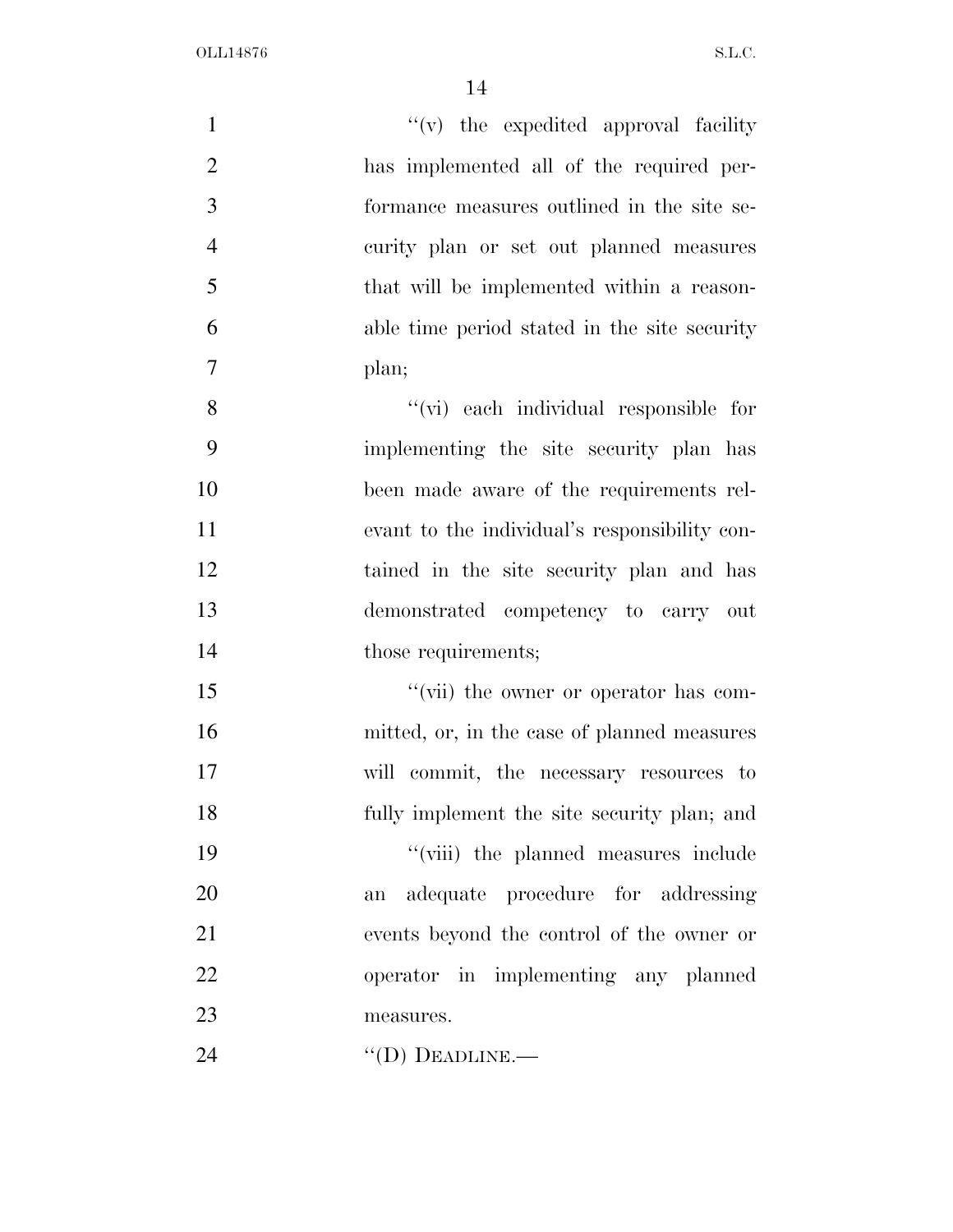| $\mathbf{1}$   | "(v) the expedited approval facility          |
|----------------|-----------------------------------------------|
| $\mathbf{2}$   | has implemented all of the required per-      |
| $\mathfrak{Z}$ | formance measures outlined in the site se-    |
| $\overline{4}$ | curity plan or set out planned measures       |
| 5              | that will be implemented within a reason-     |
| 6              | able time period stated in the site security  |
| $\tau$         | plan;                                         |
| 8              | "(vi) each individual responsible for         |
| 9              | implementing the site security plan has       |
| 10             | been made aware of the requirements rel-      |
| 11             | evant to the individual's responsibility con- |
| 12             | tained in the site security plan and has      |
| 13             | demonstrated competency to carry out          |
| 14             | those requirements;                           |
| 15             | "(vii) the owner or operator has com-         |
| 16             | mitted, or, in the case of planned measures   |
| 17             | will commit, the necessary resources to       |
| 18             | fully implement the site security plan; and   |
| 19             | "(viii) the planned measures include          |
| 20             | adequate procedure for addressing<br>an       |
| 21             | events beyond the control of the owner or     |
| 22             | operator in implementing any planned          |
| 23             | measures.                                     |
| 24             | $\lq\lq$ (D) DEADLINE.—                       |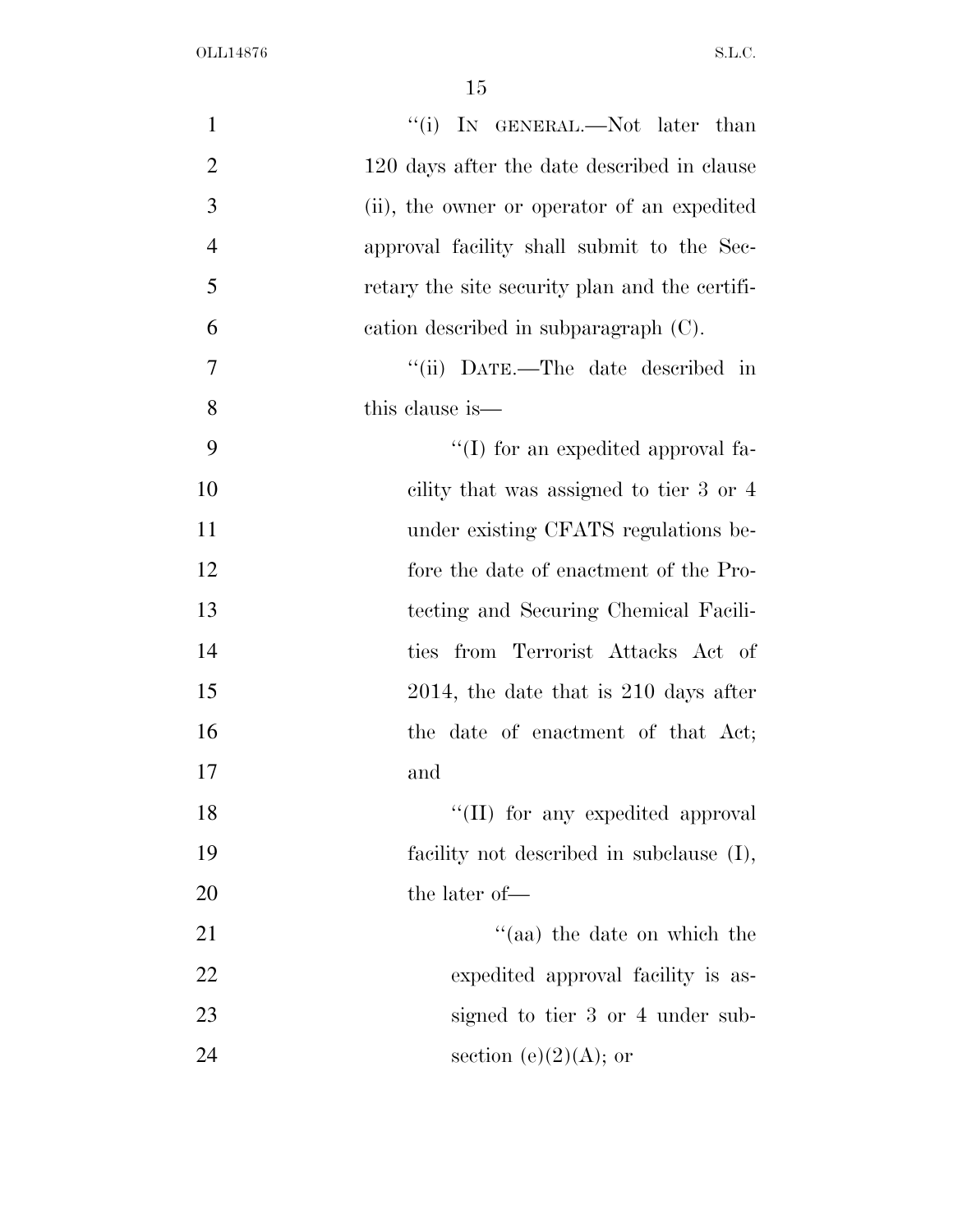| $\mathbf{1}$   | "(i) IN GENERAL.—Not later than                |
|----------------|------------------------------------------------|
| $\overline{2}$ | 120 days after the date described in clause    |
| 3              | (ii), the owner or operator of an expedited    |
| $\overline{4}$ | approval facility shall submit to the Sec-     |
| 5              | retary the site security plan and the certifi- |
| 6              | cation described in subparagraph (C).          |
| 7              | "(ii) DATE.—The date described in              |
| 8              | this clause is—                                |
| 9              | $\lq\lq$ (I) for an expedited approval fa-     |
| 10             | cility that was assigned to tier 3 or 4        |
| 11             | under existing CFATS regulations be-           |
| 12             | fore the date of enactment of the Pro-         |
| 13             | tecting and Securing Chemical Facili-          |
| 14             | ties from Terrorist Attacks Act of             |
| 15             | $2014$ , the date that is $210$ days after     |
| 16             | the date of enactment of that Act;             |
| 17             | and                                            |
| 18             | "(II) for any expedited approval               |
| 19             | facility not described in subclause (I),       |
| 20             | the later of-                                  |
| 21             | "(aa) the date on which the                    |
| 22             | expedited approval facility is as-             |
| 23             | signed to tier 3 or 4 under sub-               |
| 24             | section (e) $(2)(A)$ ; or                      |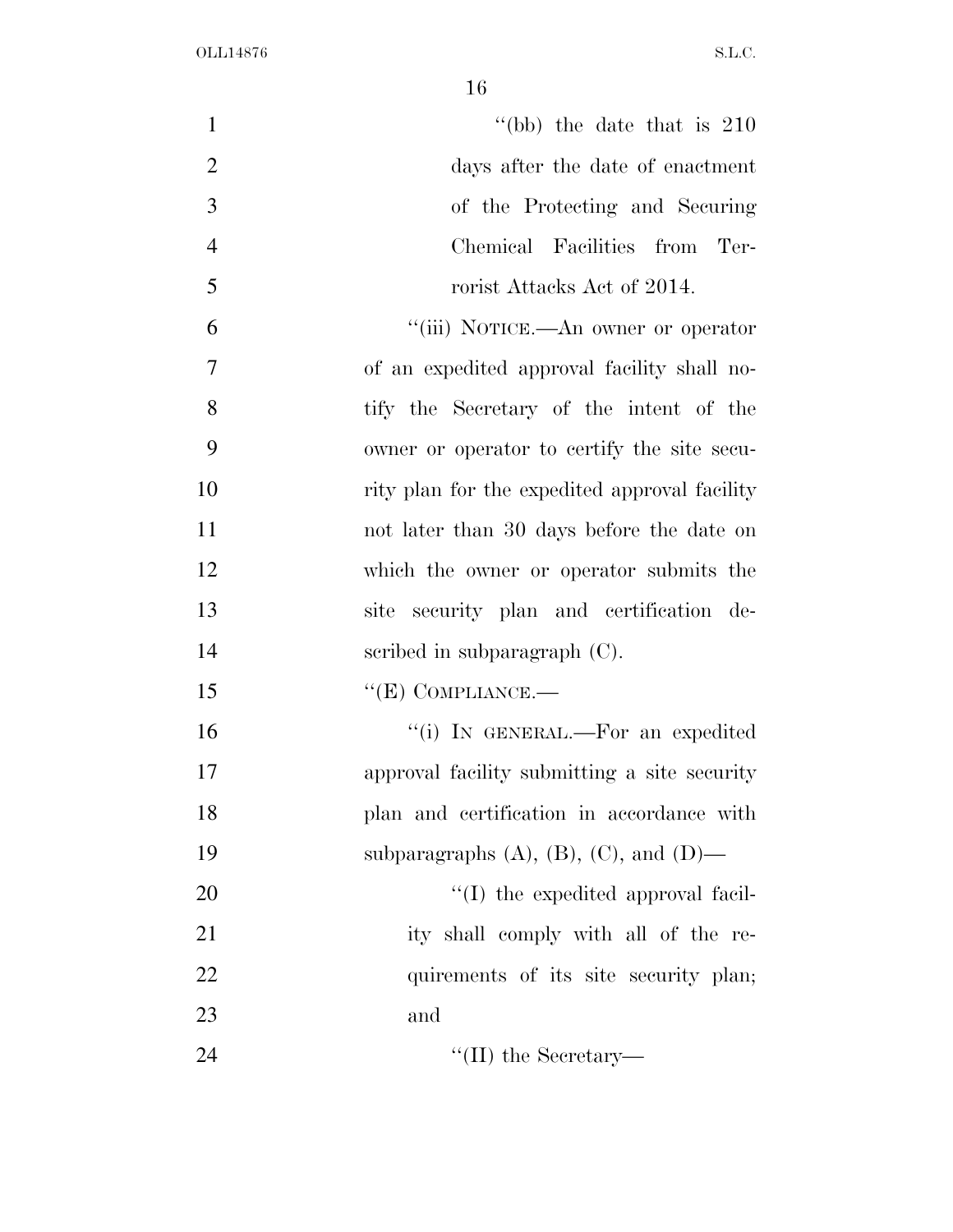| $\mathbf{1}$   | "(bb) the date that is $210$                      |
|----------------|---------------------------------------------------|
| $\overline{2}$ | days after the date of enactment                  |
| 3              | of the Protecting and Securing                    |
| $\overline{4}$ | Chemical Facilities from Ter-                     |
| 5              | rorist Attacks Act of 2014.                       |
| 6              | "(iii) NOTICE.—An owner or operator               |
| $\overline{7}$ | of an expedited approval facility shall no-       |
| 8              | tify the Secretary of the intent of the           |
| 9              | owner or operator to certify the site secu-       |
| 10             | rity plan for the expedited approval facility     |
| 11             | not later than 30 days before the date on         |
| 12             | which the owner or operator submits the           |
| 13             | site security plan and certification de-          |
| 14             | scribed in subparagraph $(C)$ .                   |
| 15             | $\lq\lq(E)$ COMPLIANCE.—                          |
| 16             | "(i) IN GENERAL.—For an expedited                 |
| 17             | approval facility submitting a site security      |
| 18             | plan and certification in accordance with         |
| 19             | subparagraphs $(A)$ , $(B)$ , $(C)$ , and $(D)$ — |
| 20             | $\lq$ (I) the expedited approval facil-           |
| 21             | ity shall comply with all of the re-              |
| 22             | quirements of its site security plan;             |
| 23             | and                                               |
| 24             | $\lq\lq$ (II) the Secretary—                      |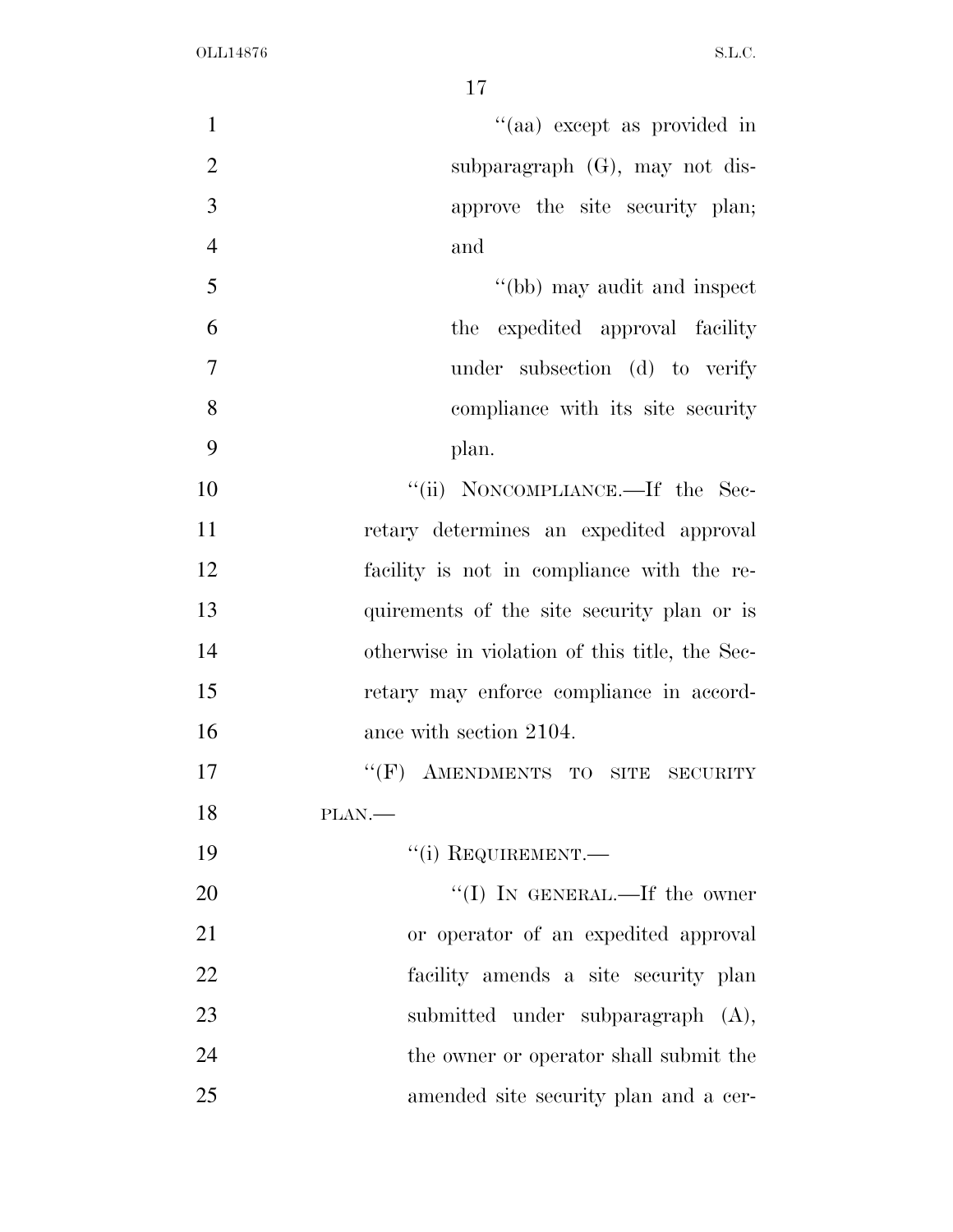| $\mathbf{1}$   | "(aa) except as provided in                       |
|----------------|---------------------------------------------------|
| $\overline{2}$ | subparagraph $(G)$ , may not dis-                 |
| 3              | approve the site security plan;                   |
| $\overline{4}$ | and                                               |
| 5              | "(bb) may audit and inspect                       |
| 6              | the expedited approval facility                   |
| $\overline{7}$ | under subsection (d) to verify                    |
| 8              | compliance with its site security                 |
| 9              | plan.                                             |
| 10             | "(ii) NONCOMPLIANCE.—If the Sec-                  |
| 11             | retary determines an expedited approval           |
| 12             | facility is not in compliance with the re-        |
| 13             | quirements of the site security plan or is        |
| 14             | otherwise in violation of this title, the Sec-    |
| 15             | retary may enforce compliance in accord-          |
| 16             | ance with section 2104.                           |
| 17             | AMENDMENTS TO SITE<br>$``$ (F)<br><b>SECURITY</b> |
| 18             | PLAN.-                                            |
| 19             | $``(i)$ REQUIREMENT.—                             |
| 20             | "(I) IN GENERAL.—If the owner                     |
| 21             | or operator of an expedited approval              |
| 22             | facility amends a site security plan              |
| 23             | submitted under subparagraph (A),                 |
| 24             | the owner or operator shall submit the            |
| 25             | amended site security plan and a cer-             |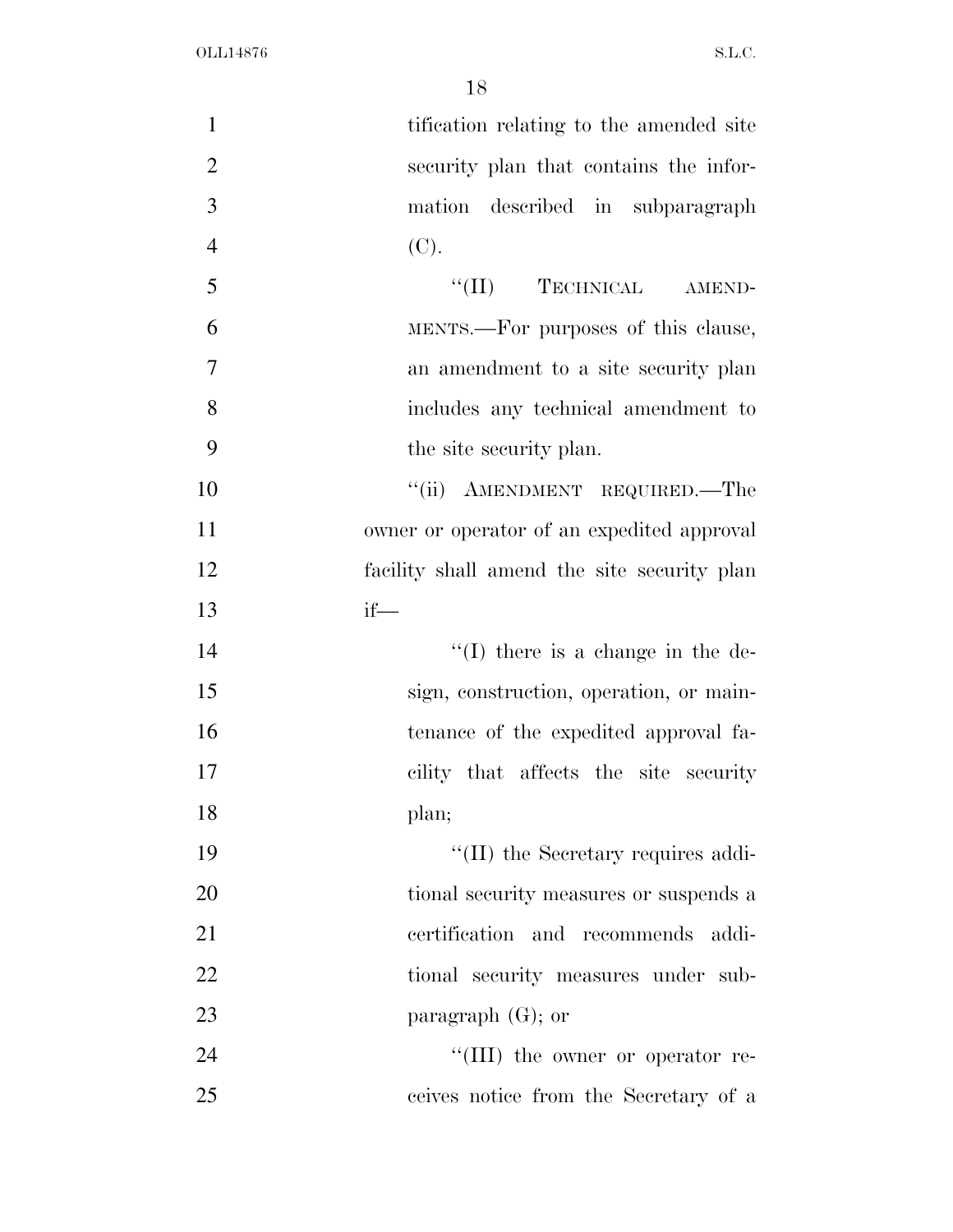| $\mathbf{1}$   | tification relating to the amended site     |
|----------------|---------------------------------------------|
| $\overline{2}$ | security plan that contains the infor-      |
| 3              | mation described in subparagraph            |
| $\overline{4}$ | (C).                                        |
| 5              | "(II) TECHNICAL AMEND-                      |
| 6              | MENTS.—For purposes of this clause,         |
| $\overline{7}$ | an amendment to a site security plan        |
| 8              | includes any technical amendment to         |
| 9              | the site security plan.                     |
| 10             | "(ii) AMENDMENT REQUIRED.—The               |
| 11             | owner or operator of an expedited approval  |
| 12             | facility shall amend the site security plan |
| 13             | $if$ —                                      |
| 14             | $\lq\lq$ (I) there is a change in the de-   |
| 15             | sign, construction, operation, or main-     |
| 16             | tenance of the expedited approval fa-       |
| 17             | cility that affects the site security       |
| 18             | plan;                                       |
| 19             | $\lq\lq$ (II) the Secretary requires addi-  |
| 20             | tional security measures or suspends a      |
| 21             | certification and recommends<br>addi-       |
| 22             | tional security measures under sub-         |
| 23             | paragraph $(G)$ ; or                        |
| 24             | "(III) the owner or operator re-            |
| 25             | ceives notice from the Secretary of a       |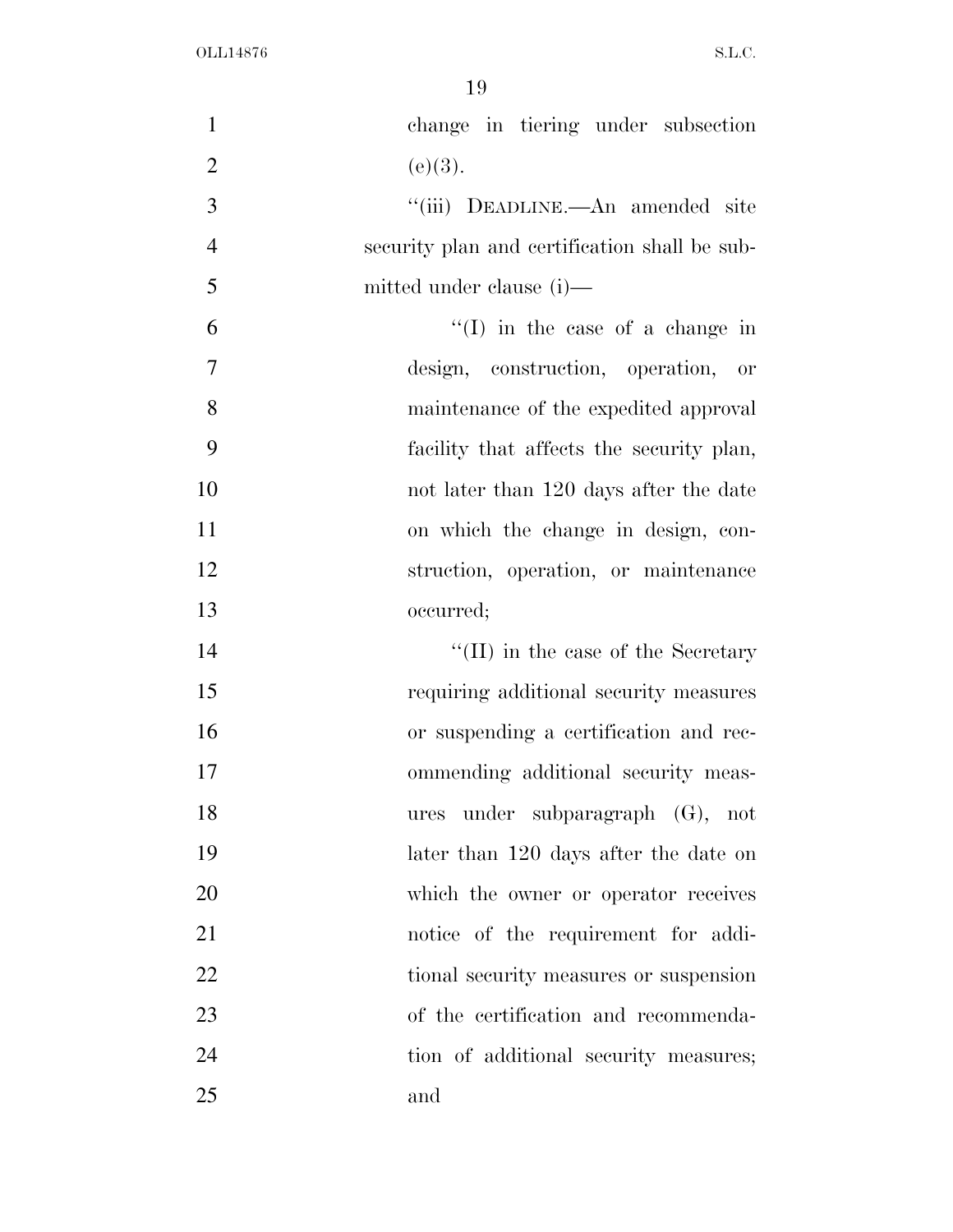| $\mathbf{1}$   | change in tiering under subsection            |
|----------------|-----------------------------------------------|
| $\overline{2}$ | (e)(3).                                       |
| 3              | "(iii) DEADLINE.—An amended site              |
| $\overline{4}$ | security plan and certification shall be sub- |
| 5              | mitted under clause (i)—                      |
| 6              | $\lq\lq$ (I) in the case of a change in       |
| 7              | design, construction, operation, or           |
| 8              | maintenance of the expedited approval         |
| 9              | facility that affects the security plan,      |
| 10             | not later than 120 days after the date        |
| 11             | on which the change in design, con-           |
| 12             | struction, operation, or maintenance          |
| 13             | occurred;                                     |
| 14             | $\lq\lq$ (II) in the case of the Secretary    |
| 15             | requiring additional security measures        |
| 16             | or suspending a certification and rec-        |
| 17             | ommending additional security meas-           |
| 18             | ures under subparagraph (G), not              |
| 19             | later than 120 days after the date on         |
| 20             | which the owner or operator receives          |
| 21             | notice of the requirement for addi-           |
| 22             | tional security measures or suspension        |
| 23             | of the certification and recommenda-          |
| 24             | tion of additional security measures;         |
| 25             | and                                           |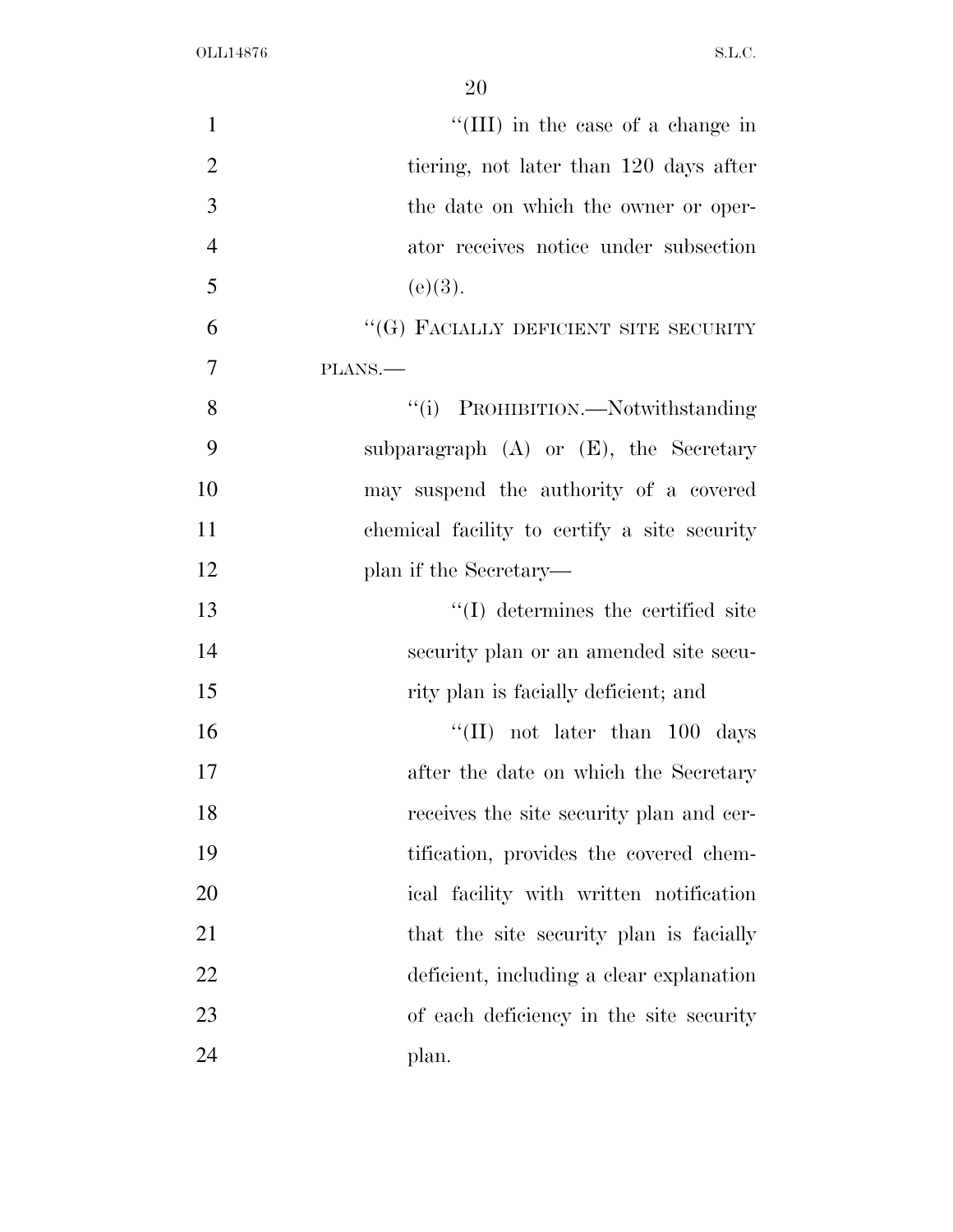| $\mathbf{1}$   | "(III) in the case of a change in            |
|----------------|----------------------------------------------|
| $\overline{2}$ | tiering, not later than 120 days after       |
| 3              | the date on which the owner or oper-         |
| $\overline{4}$ | ator receives notice under subsection        |
| 5              | (e)(3).                                      |
| 6              | "(G) FACIALLY DEFICIENT SITE SECURITY        |
| 7              | PLANS.                                       |
| 8              | "(i) PROHIBITION.—Notwithstanding            |
| 9              | subparagraph $(A)$ or $(E)$ , the Secretary  |
| 10             | may suspend the authority of a covered       |
| 11             | chemical facility to certify a site security |
| 12             | plan if the Secretary—                       |
| 13             | $\lq\lq$ determines the certified site       |
| 14             | security plan or an amended site secu-       |
| 15             | rity plan is facially deficient; and         |
| 16             | "(II) not later than $100$ days              |
| 17             | after the date on which the Secretary        |
| 18             | receives the site security plan and cer-     |
| 19             | tification, provides the covered chem-       |
| 20             | ical facility with written notification      |
| 21             | that the site security plan is facially      |
| 22             | deficient, including a clear explanation     |
| 23             | of each deficiency in the site security      |
| 24             | plan.                                        |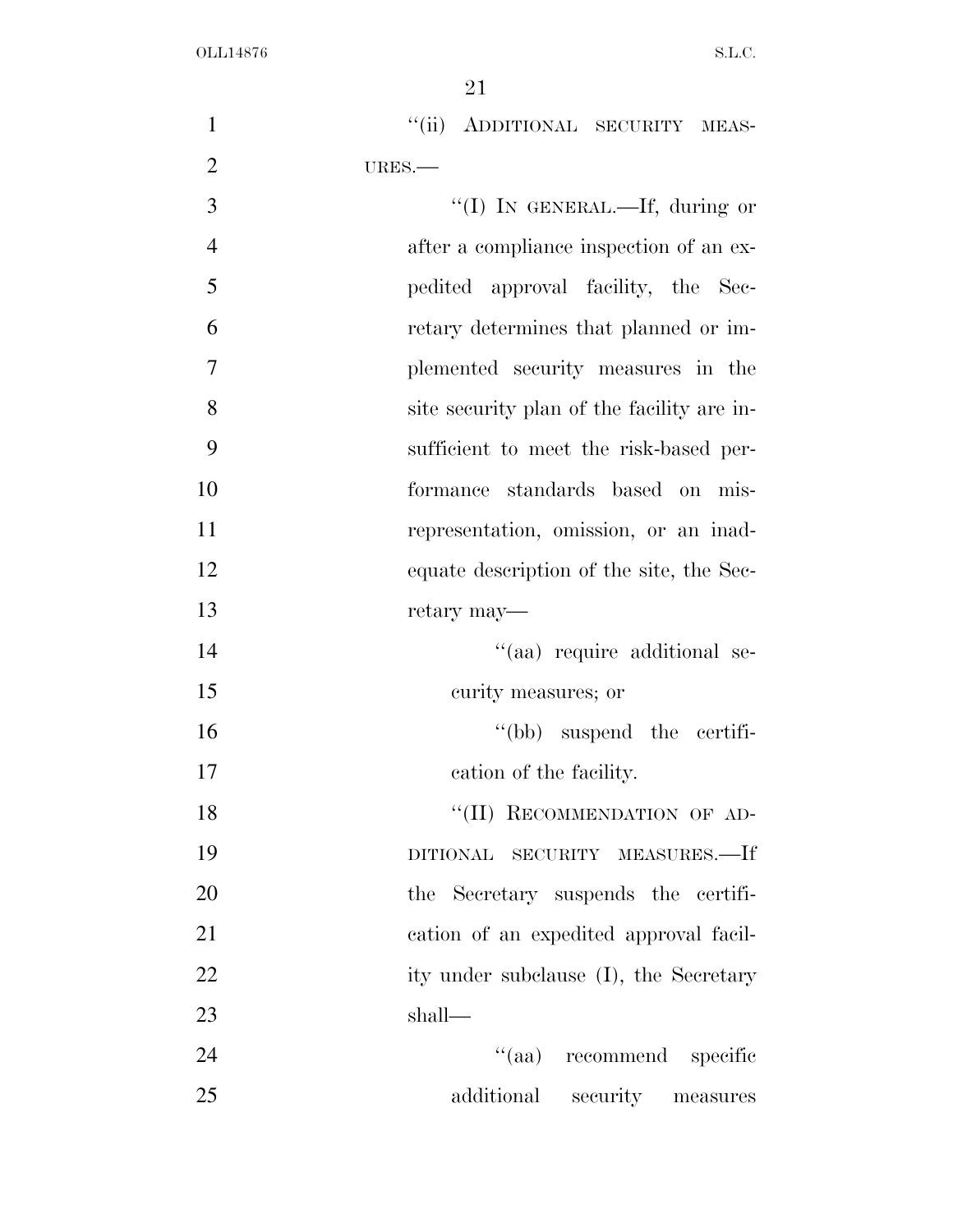| $\mathbf{1}$   | "(ii) ADDITIONAL SECURITY MEAS-            |
|----------------|--------------------------------------------|
| $\overline{2}$ | URES.-                                     |
| 3              | "(I) IN GENERAL.—If, during or             |
| $\overline{4}$ | after a compliance inspection of an ex-    |
| 5              | pedited approval facility, the Sec-        |
| 6              | retary determines that planned or im-      |
| 7              | plemented security measures in the         |
| 8              | site security plan of the facility are in- |
| 9              | sufficient to meet the risk-based per-     |
| 10             | formance standards based on mis-           |
| 11             | representation, omission, or an inad-      |
| 12             | equate description of the site, the Sec-   |
| 13             | retary may—                                |
| 14             | "(aa) require additional se-               |
| 15             | curity measures; or                        |
| 16             | $``(bb)$ suspend the certifi-              |
| 17             | cation of the facility.                    |
| 18             | "(II) RECOMMENDATION OF AD-                |
| 19             | SECURITY MEASURES.—If<br><b>DITIONAL</b>   |
| 20             | the Secretary suspends the certifi-        |
| 21             | cation of an expedited approval facil-     |
| 22             | ity under subclause (I), the Secretary     |
| 23             | shall-                                     |
| 24             | "(aa) recommend specific                   |
| 25             | additional<br>security<br>measures         |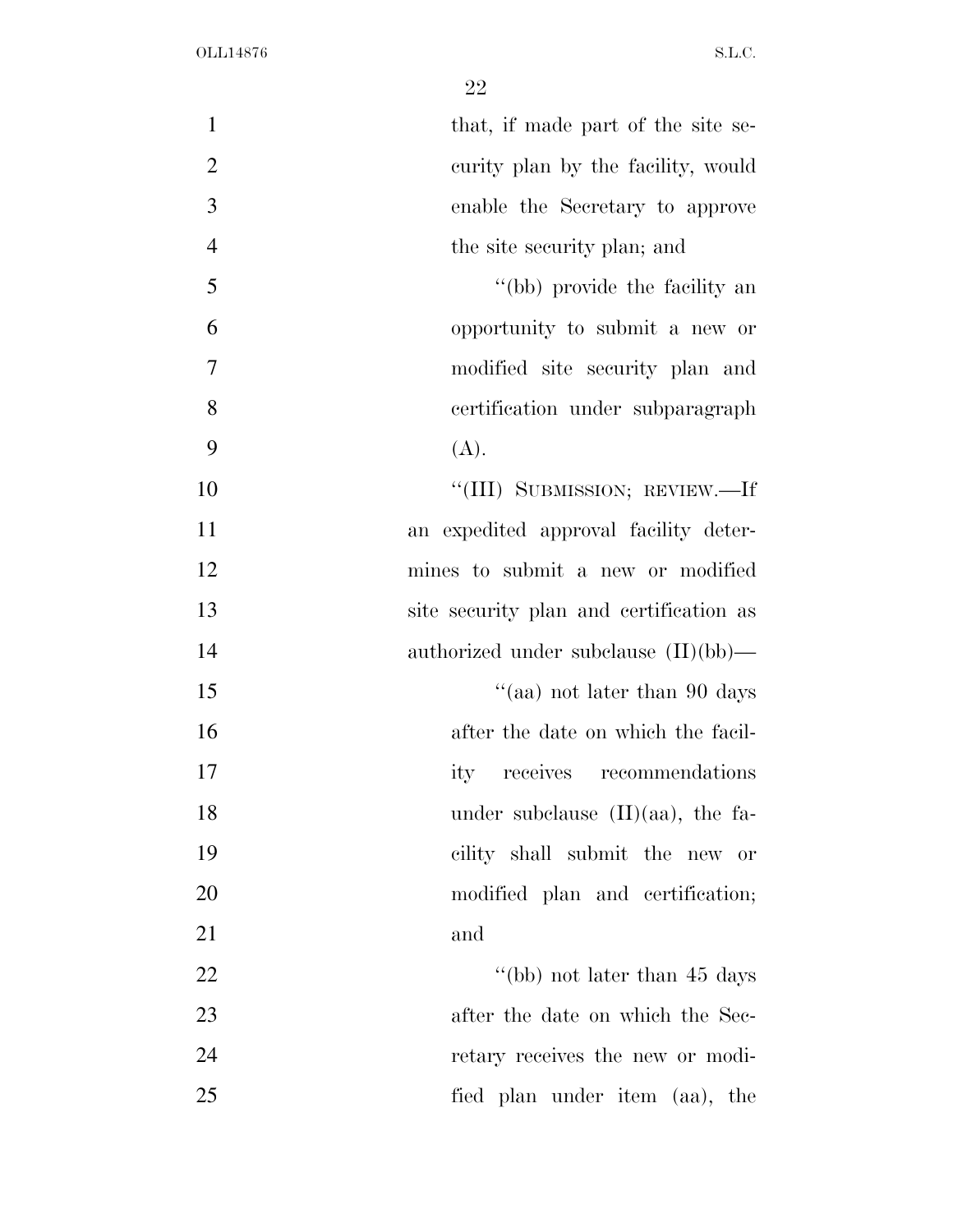| that, if made part of the site se-      |  |
|-----------------------------------------|--|
| curity plan by the facility, would      |  |
| enable the Secretary to approve         |  |
| the site security plan; and             |  |
| "(bb) provide the facility an           |  |
| opportunity to submit a new or          |  |
| modified site security plan and         |  |
| certification under subparagraph        |  |
| (A).                                    |  |
| "(III) SUBMISSION; REVIEW.—If           |  |
| an expedited approval facility deter-   |  |
| mines to submit a new or modified       |  |
| site security plan and certification as |  |
| authorized under subclause $(II)(bb)$ — |  |
| "(aa) not later than 90 days            |  |
| after the date on which the facil-      |  |
| receives recommendations<br>ity         |  |
| under subclause $(II)(aa)$ , the fa-    |  |
| cility shall submit the new or          |  |
| modified plan and certification;        |  |
| and                                     |  |
| "(bb) not later than $45 \text{ days}$  |  |
| after the date on which the Sec-        |  |
| retary receives the new or modi-        |  |
| fied plan under item (aa), the          |  |
|                                         |  |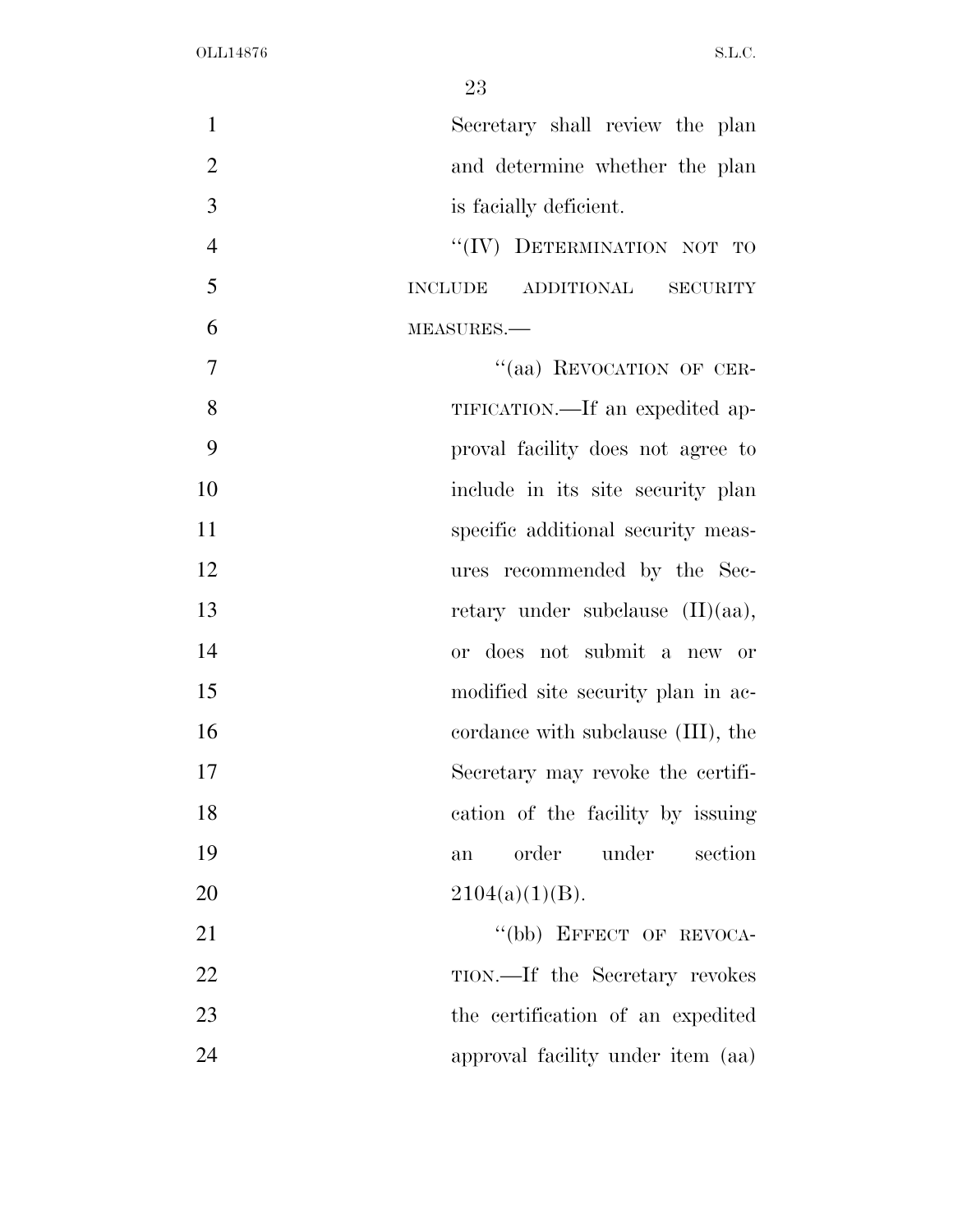| $\mathbf{1}$   | Secretary shall review the plan       |
|----------------|---------------------------------------|
| $\overline{2}$ | and determine whether the plan        |
| 3              | is facially deficient.                |
| $\overline{4}$ | "(IV) DETERMINATION NOT TO            |
| 5              | <b>INCLUDE</b><br>ADDITIONAL SECURITY |
| 6              | MEASURES.-                            |
| 7              | "(aa) REVOCATION OF CER-              |
| 8              | TIFICATION.—If an expedited ap-       |
| 9              | proval facility does not agree to     |
| 10             | include in its site security plan     |
| 11             | specific additional security meas-    |
| 12             | ures recommended by the Sec-          |
| 13             | retary under subclause (II)(aa),      |
| 14             | or does not submit a new or           |
| 15             | modified site security plan in ac-    |
| 16             | cordance with subclause (III), the    |
| 17             | Secretary may revoke the certifi-     |
| 18             | cation of the facility by issuing     |
| 19             | under<br>order<br>section<br>an       |
| 20             | $2104(a)(1)(B)$ .                     |
| 21             | "(bb) EFFECT OF REVOCA-               |
| 22             | TION.—If the Secretary revokes        |
| 23             | the certification of an expedited     |
| 24             | approval facility under item (aa)     |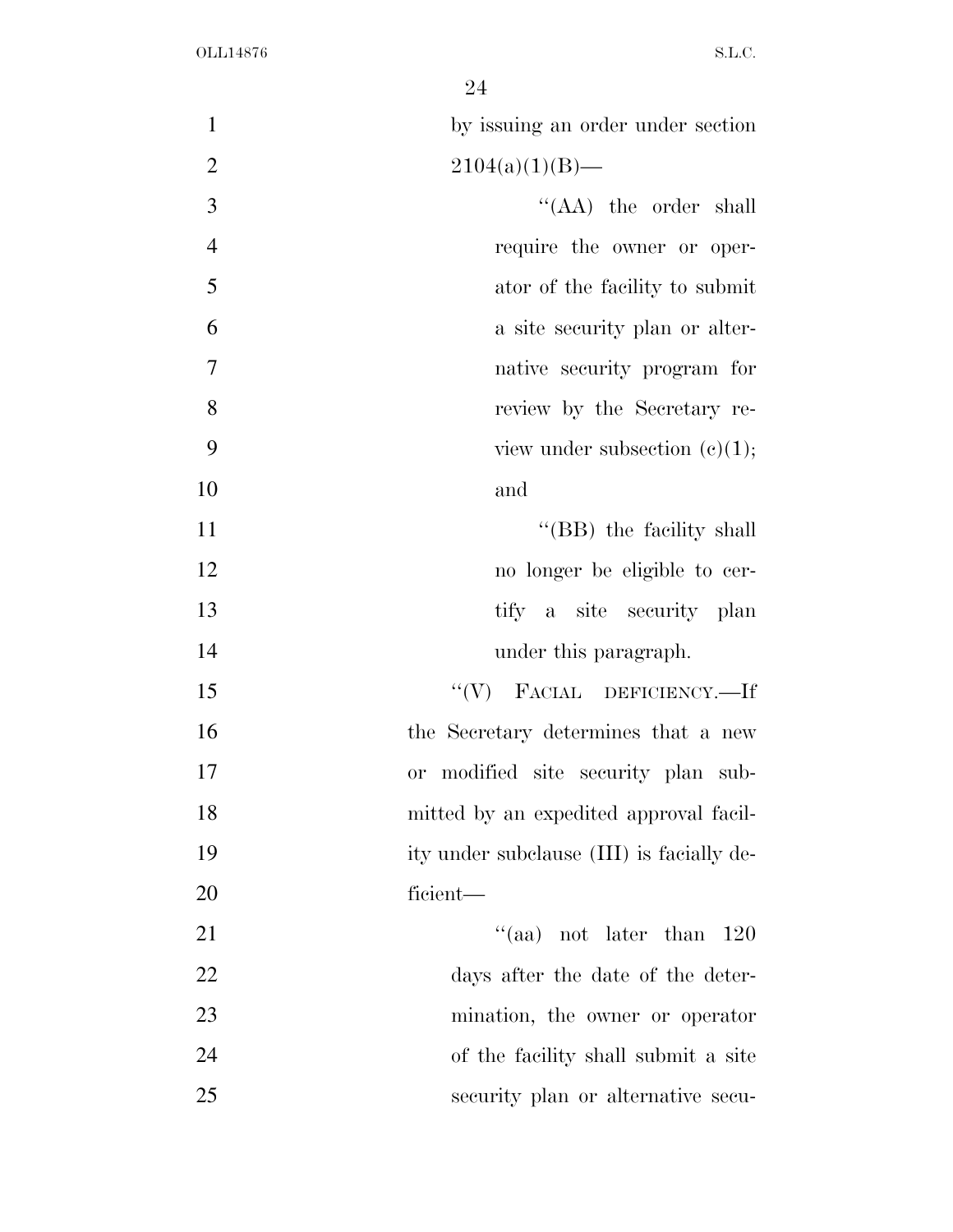| $\mathbf{1}$   | by issuing an order under section         |
|----------------|-------------------------------------------|
| $\overline{2}$ | $2104(a)(1)(B)$ —                         |
| 3              | "(AA) the order shall                     |
| $\overline{4}$ | require the owner or oper-                |
| 5              | ator of the facility to submit            |
| 6              | a site security plan or alter-            |
| $\tau$         | native security program for               |
| 8              | review by the Secretary re-               |
| 9              | view under subsection $(c)(1)$ ;          |
| 10             | and                                       |
| 11             | "(BB) the facility shall                  |
| 12             | no longer be eligible to cer-             |
| 13             | tify a site security plan                 |
| 14             | under this paragraph.                     |
| 15             | $``(V)$ FACIAL DEFICIENCY.—If             |
| 16             | the Secretary determines that a new       |
| 17             | modified site security plan sub-<br>or    |
| 18             | mitted by an expedited approval facil-    |
| 19             | ity under subclause (III) is facially de- |
| 20             | ficient—                                  |
| 21             | "(aa) not later than $120$                |
| 22             | days after the date of the deter-         |
| 23             | mination, the owner or operator           |
| 24             | of the facility shall submit a site       |
| 25             | security plan or alternative secu-        |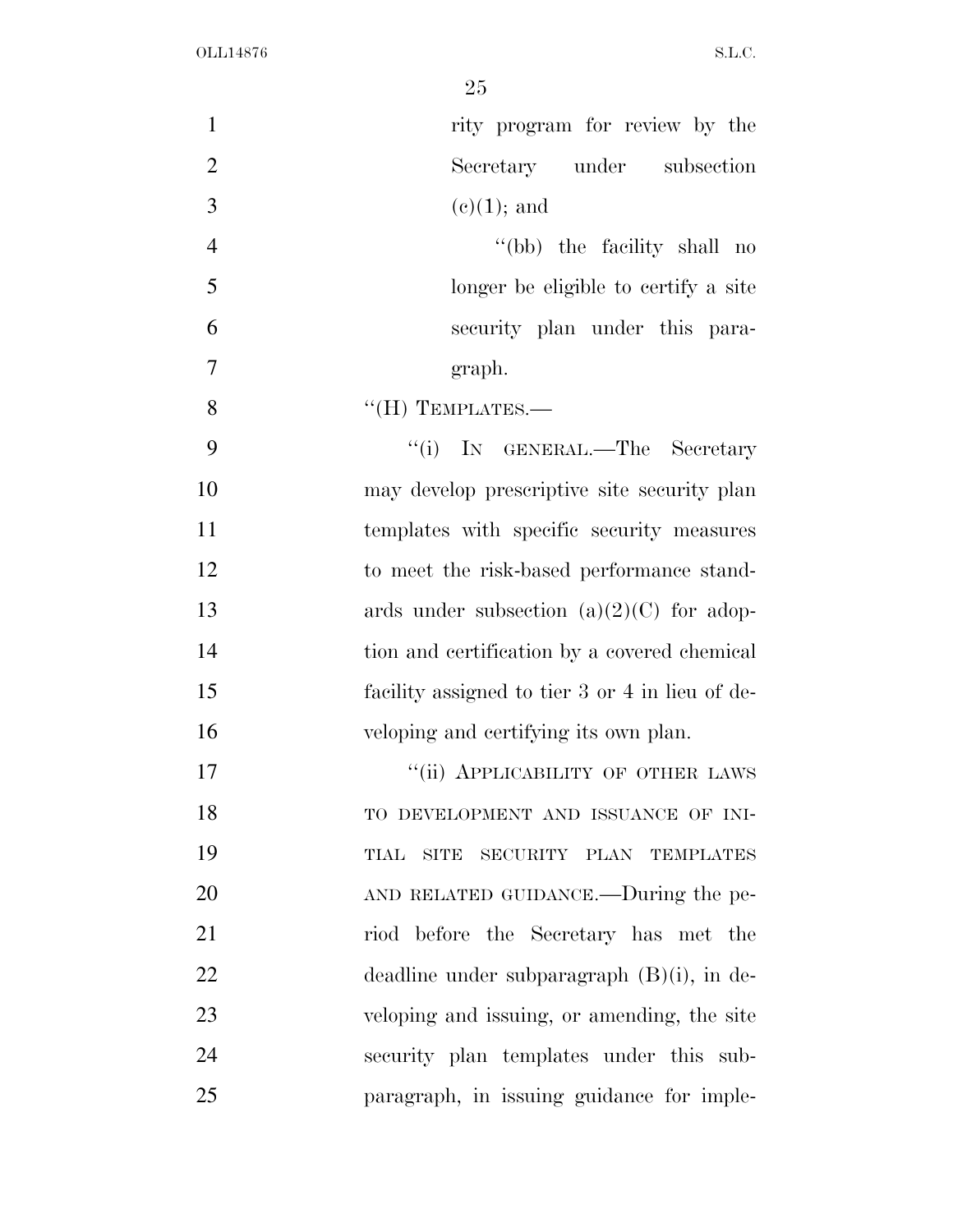| $\mathbf{1}$   | rity program for review by the                  |
|----------------|-------------------------------------------------|
| $\overline{2}$ | Secretary under subsection                      |
| 3              | $(e)(1)$ ; and                                  |
| $\overline{4}$ | "(bb) the facility shall no                     |
| 5              | longer be eligible to certify a site            |
| 6              | security plan under this para-                  |
| 7              | graph.                                          |
| 8              | $\lq\lq (H)$ TEMPLATES.—                        |
| 9              | "(i) IN GENERAL.—The Secretary                  |
| 10             | may develop prescriptive site security plan     |
| 11             | templates with specific security measures       |
| 12             | to meet the risk-based performance stand-       |
| 13             | ards under subsection $(a)(2)(C)$ for adop-     |
| 14             | tion and certification by a covered chemical    |
| 15             | facility assigned to tier 3 or 4 in lieu of de- |
| 16             | veloping and certifying its own plan.           |
| 17             | "(ii) APPLICABILITY OF OTHER LAWS               |
| 18             | TO DEVELOPMENT AND ISSUANCE OF INI-             |
| 19             | SECURITY PLAN TEMPLATES<br>TIAL<br>SITE         |
| 20             | AND RELATED GUIDANCE.—During the pe-            |
| 21             | riod before the Secretary has met the           |
| 22             | deadline under subparagraph $(B)(i)$ , in de-   |
| 23             | veloping and issuing, or amending, the site     |
| 24             | security plan templates under this sub-         |
| 25             | paragraph, in issuing guidance for imple-       |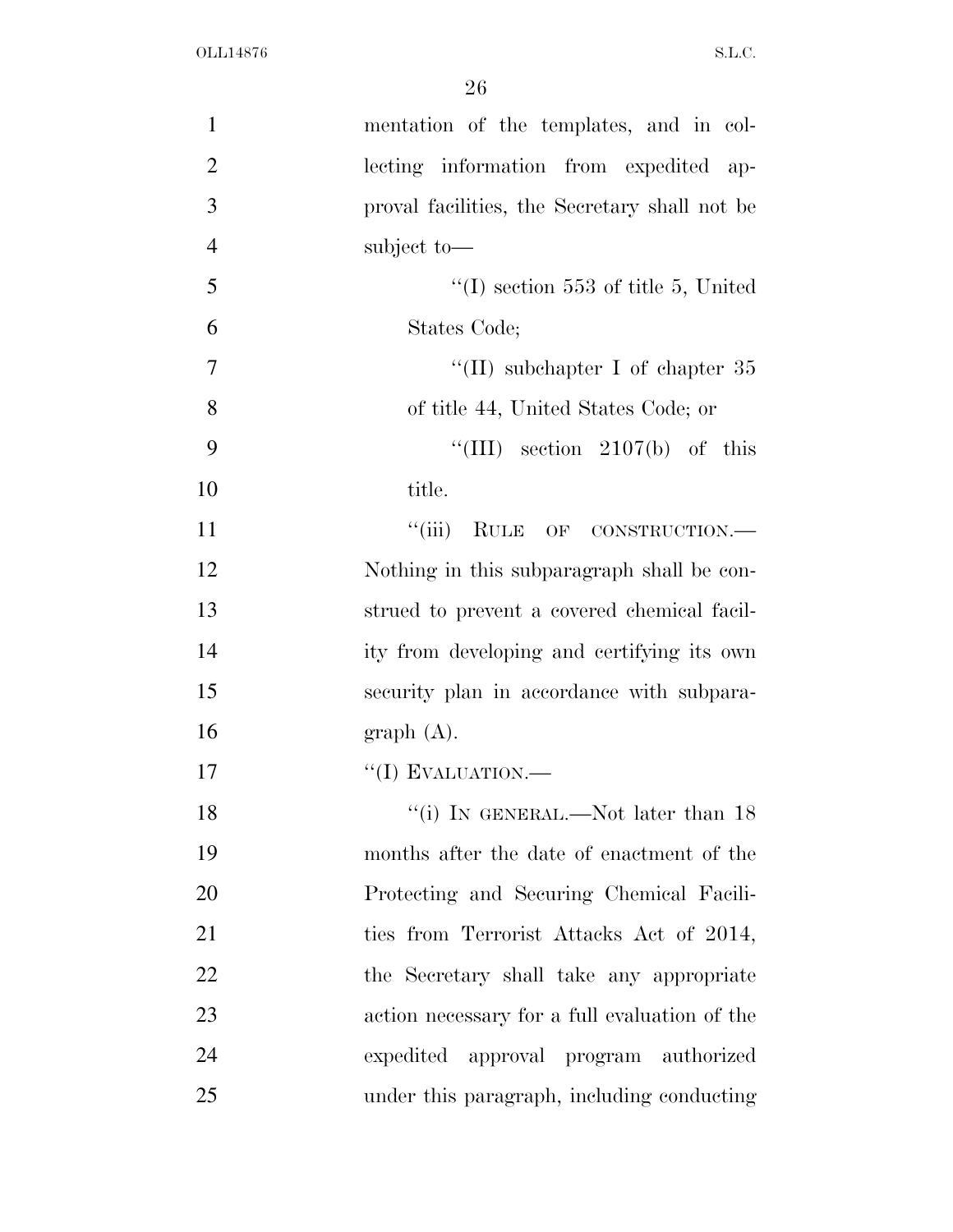| $\mathbf{1}$   | mentation of the templates, and in col-       |
|----------------|-----------------------------------------------|
| $\overline{2}$ | lecting information from expedited ap-        |
| 3              | proval facilities, the Secretary shall not be |
| $\overline{4}$ | subject to-                                   |
| 5              | $\lq (I)$ section 553 of title 5, United      |
| 6              | States Code;                                  |
| $\overline{7}$ | "(II) subchapter I of chapter $35$            |
| 8              | of title 44, United States Code; or           |
| 9              | "(III) section $2107(b)$ of this              |
| 10             | title.                                        |
| 11             | ``(iii)<br>RULE OF CONSTRUCTION.              |
| 12             | Nothing in this subparagraph shall be con-    |
| 13             | strued to prevent a covered chemical facil-   |
| 14             | ity from developing and certifying its own    |
| 15             | security plan in accordance with subpara-     |
| 16             | graph(A).                                     |
| 17             | $``(I)$ EVALUATION.—                          |
| 18             | "(i) IN GENERAL.—Not later than $18$          |
| 19             | months after the date of enactment of the     |
| 20             | Protecting and Securing Chemical Facili-      |
| 21             | ties from Terrorist Attacks Act of 2014,      |
| 22             | the Secretary shall take any appropriate      |
| 23             | action necessary for a full evaluation of the |
| 24             | expedited approval program authorized         |
| 25             | under this paragraph, including conducting    |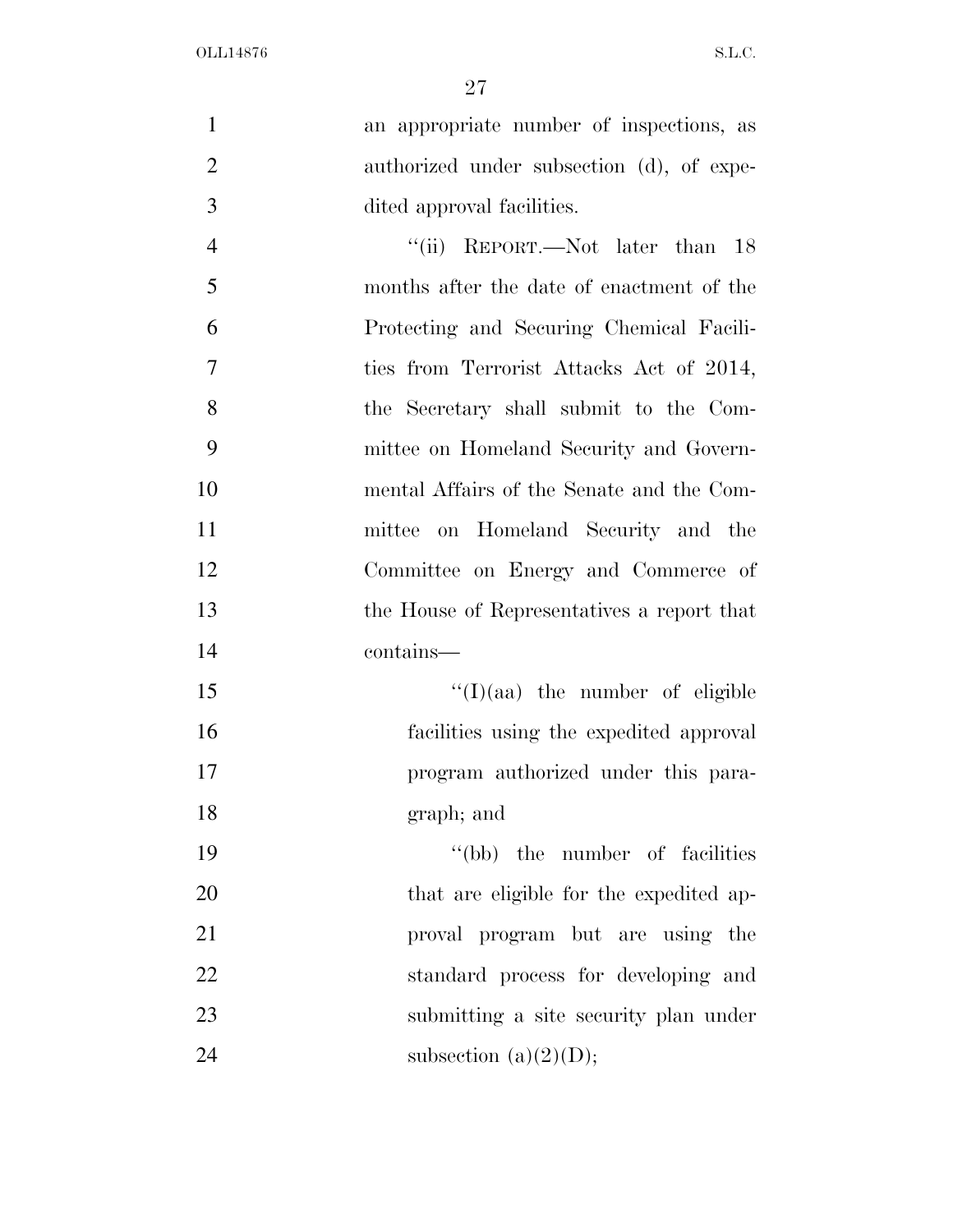| $\mathbf{1}$   | an appropriate number of inspections, as   |
|----------------|--------------------------------------------|
| $\overline{2}$ | authorized under subsection (d), of expe-  |
| 3              | dited approval facilities.                 |
| $\overline{4}$ | "(ii) REPORT.—Not later than 18            |
| 5              | months after the date of enactment of the  |
| 6              | Protecting and Securing Chemical Facili-   |
| 7              | ties from Terrorist Attacks Act of 2014,   |
| 8              | the Secretary shall submit to the Com-     |
| 9              | mittee on Homeland Security and Govern-    |
| 10             | mental Affairs of the Senate and the Com-  |
| 11             | on Homeland Security and the<br>mittee     |
| 12             | Committee on Energy and Commerce of        |
| 13             | the House of Representatives a report that |
| 14             | contains—                                  |
| 15             | $\lq\lq$ (I)(aa) the number of eligible    |
| 16             | facilities using the expedited approval    |
| 17             | program authorized under this para-        |
| 18             | graph; and                                 |
| 19             | "(bb) the number of facilities"            |
| 20             | that are eligible for the expedited ap-    |
| 21             | proval program but are using the           |
| 22             | standard process for developing and        |
| 23             | submitting a site security plan under      |
| 24             | subsection (a) $(2)(D)$ ;                  |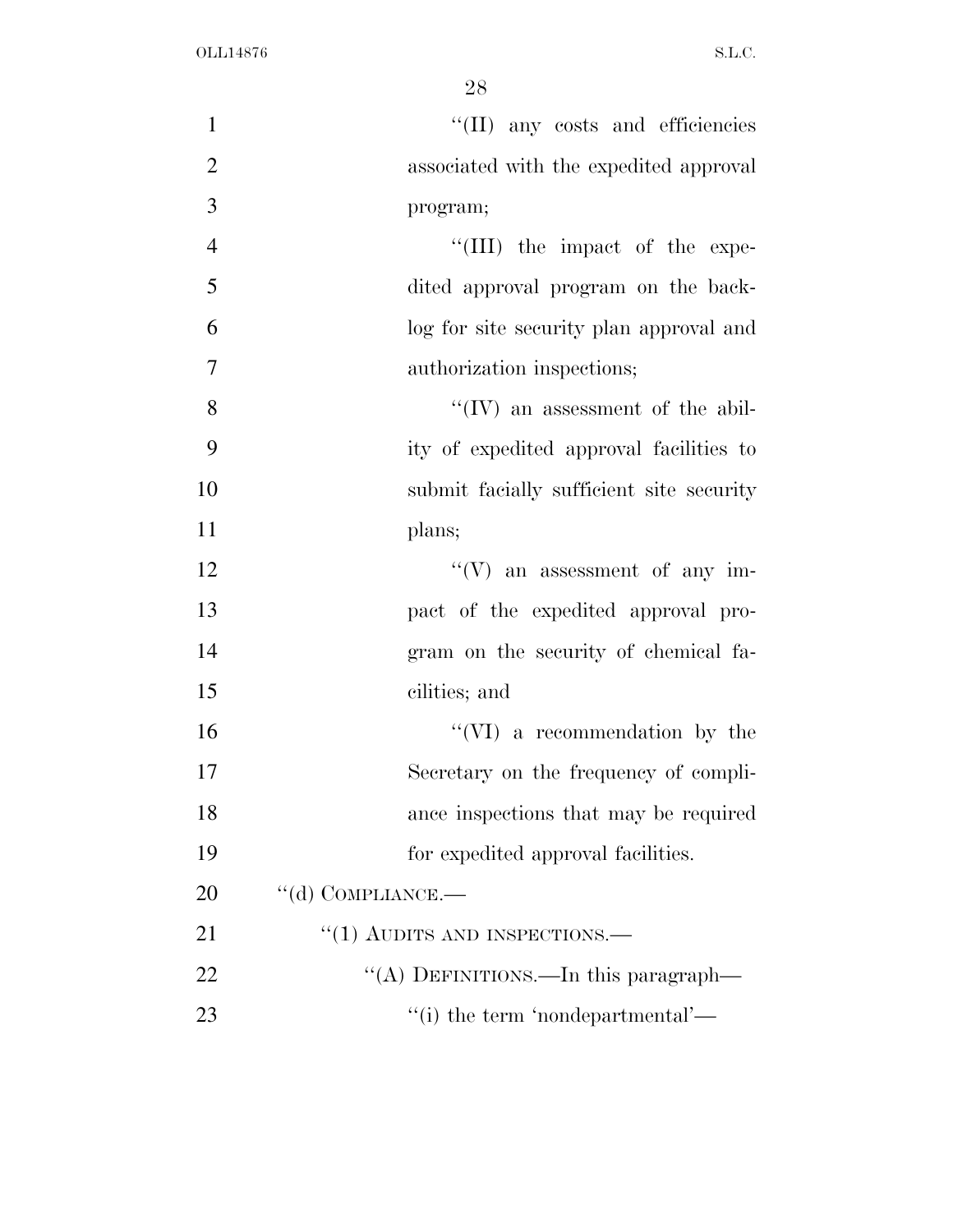| $\mathbf{1}$   | "(II) any costs and efficiencies         |
|----------------|------------------------------------------|
| $\overline{2}$ | associated with the expedited approval   |
| 3              | program;                                 |
| $\overline{4}$ | "(III) the impact of the expe-           |
| 5              | dited approval program on the back-      |
| 6              | log for site security plan approval and  |
| $\tau$         | authorization inspections;               |
| 8              | $\lq\lq$ (IV) an assessment of the abil- |
| 9              | ity of expedited approval facilities to  |
| 10             | submit facially sufficient site security |
| 11             | plans;                                   |
| 12             | $\lq\lq(V)$ an assessment of any im-     |
| 13             | pact of the expedited approval pro-      |
| 14             | gram on the security of chemical fa-     |
| 15             | cilities; and                            |
| 16             | $``(VI)$ a recommendation by the         |
| 17             | Secretary on the frequency of compli-    |
| 18             | ance inspections that may be required    |
| 19             | for expedited approval facilities.       |
| 20             | $\lq\lq$ COMPLIANCE.—                    |
| 21             | $"(1)$ AUDITS AND INSPECTIONS.—          |
| 22             | "(A) DEFINITIONS.—In this paragraph—     |
| 23             | "(i) the term 'nondepartmental'—         |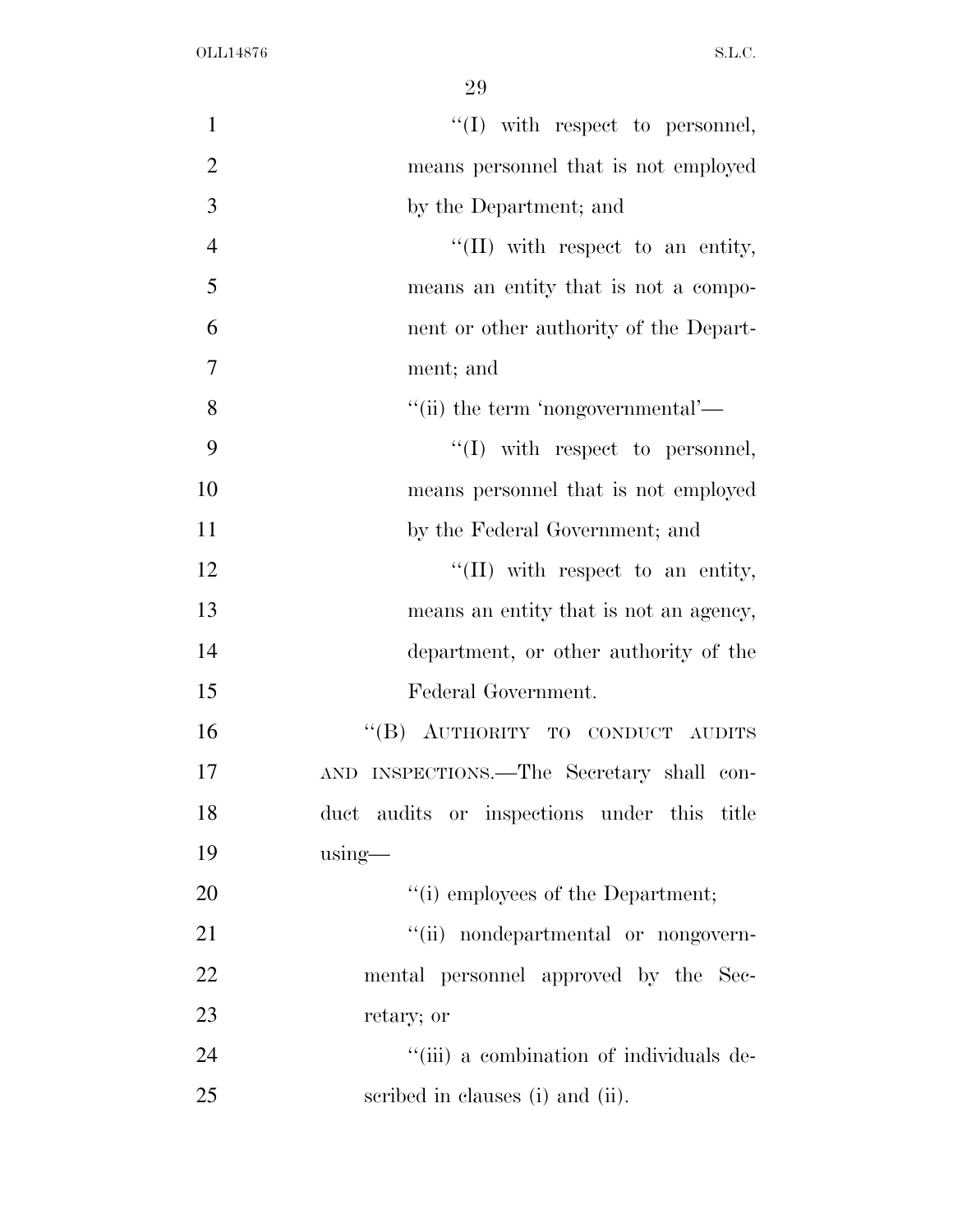| $\mathbf{1}$   | $\lq\lq$ (I) with respect to personnel,     |
|----------------|---------------------------------------------|
| $\overline{2}$ | means personnel that is not employed        |
| 3              | by the Department; and                      |
| $\overline{4}$ | "(II) with respect to an entity,            |
| 5              | means an entity that is not a compo-        |
| 6              | nent or other authority of the Depart-      |
| 7              | ment; and                                   |
| 8              | "(ii) the term 'nongovernmental'—           |
| 9              | $\lq\lq$ (I) with respect to personnel,     |
| 10             | means personnel that is not employed        |
| 11             | by the Federal Government; and              |
| 12             | $\lq\lq$ (II) with respect to an entity,    |
| 13             | means an entity that is not an agency,      |
| 14             | department, or other authority of the       |
| 15             | Federal Government.                         |
| 16             | "(B) AUTHORITY TO CONDUCT AUDITS            |
| 17             | AND INSPECTIONS.—The Secretary shall con-   |
| 18             | duct audits or inspections under this title |
| 19             | $using$ —                                   |
| 20             | "(i) employees of the Department;           |
| 21             | "(ii) nondepartmental or nongovern-         |
| 22             | mental personnel approved by the Sec-       |
| 23             | retary; or                                  |
| 24             | "(iii) a combination of individuals de-     |
| 25             | scribed in clauses (i) and (ii).            |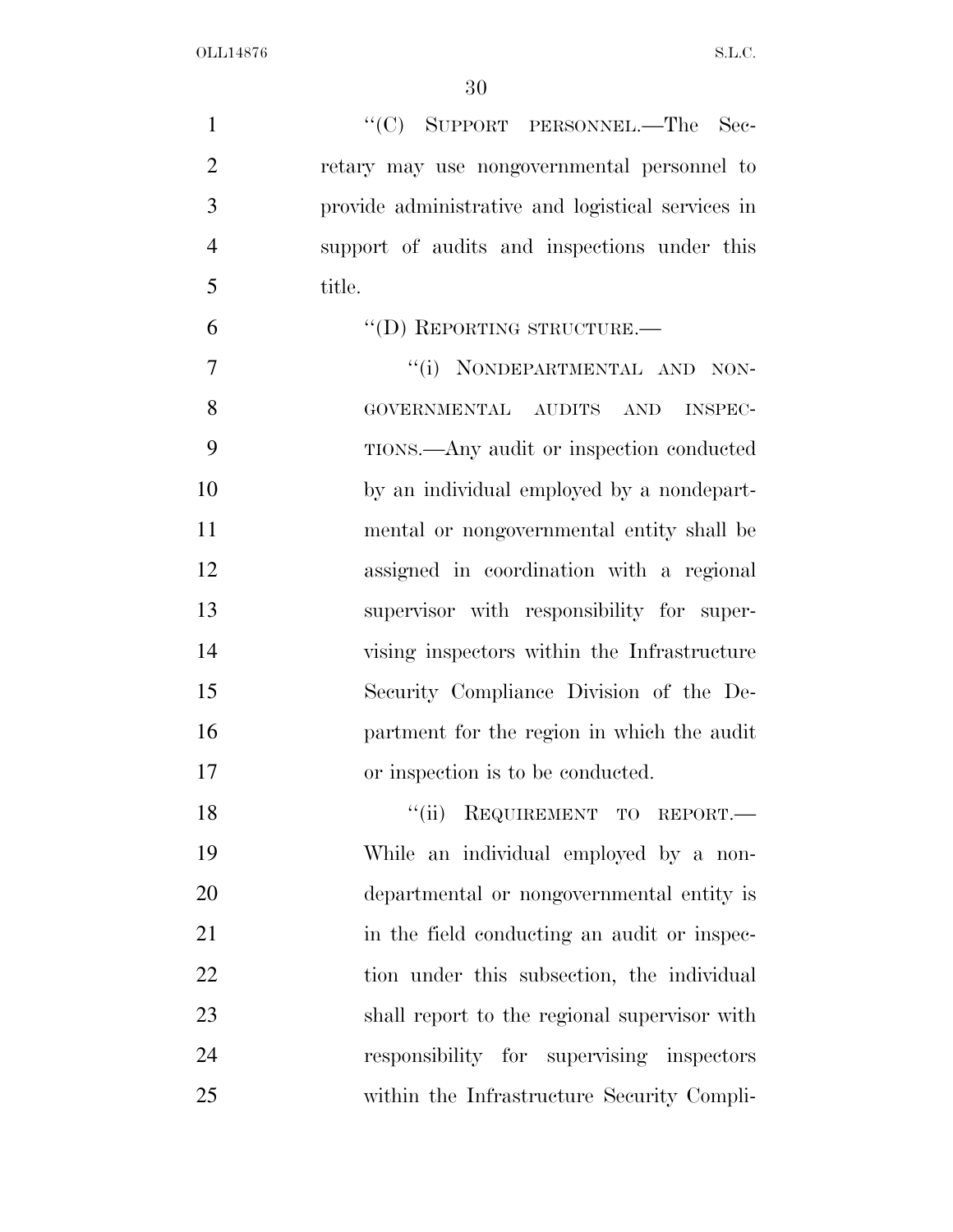1 "'(C) SUPPORT PERSONNEL.—The Sec- retary may use nongovernmental personnel to provide administrative and logistical services in support of audits and inspections under this title. 6 "(D) REPORTING STRUCTURE. 7 "(i) NONDEPARTMENTAL AND NON- GOVERNMENTAL AUDITS AND INSPEC- TIONS.—Any audit or inspection conducted by an individual employed by a nondepart- mental or nongovernmental entity shall be assigned in coordination with a regional supervisor with responsibility for super- vising inspectors within the Infrastructure Security Compliance Division of the De- partment for the region in which the audit or inspection is to be conducted. 18 "(ii) REQUIREMENT TO REPORT.— While an individual employed by a non- departmental or nongovernmental entity is 21 in the field conducting an audit or inspec-22 tion under this subsection, the individual shall report to the regional supervisor with responsibility for supervising inspectors within the Infrastructure Security Compli-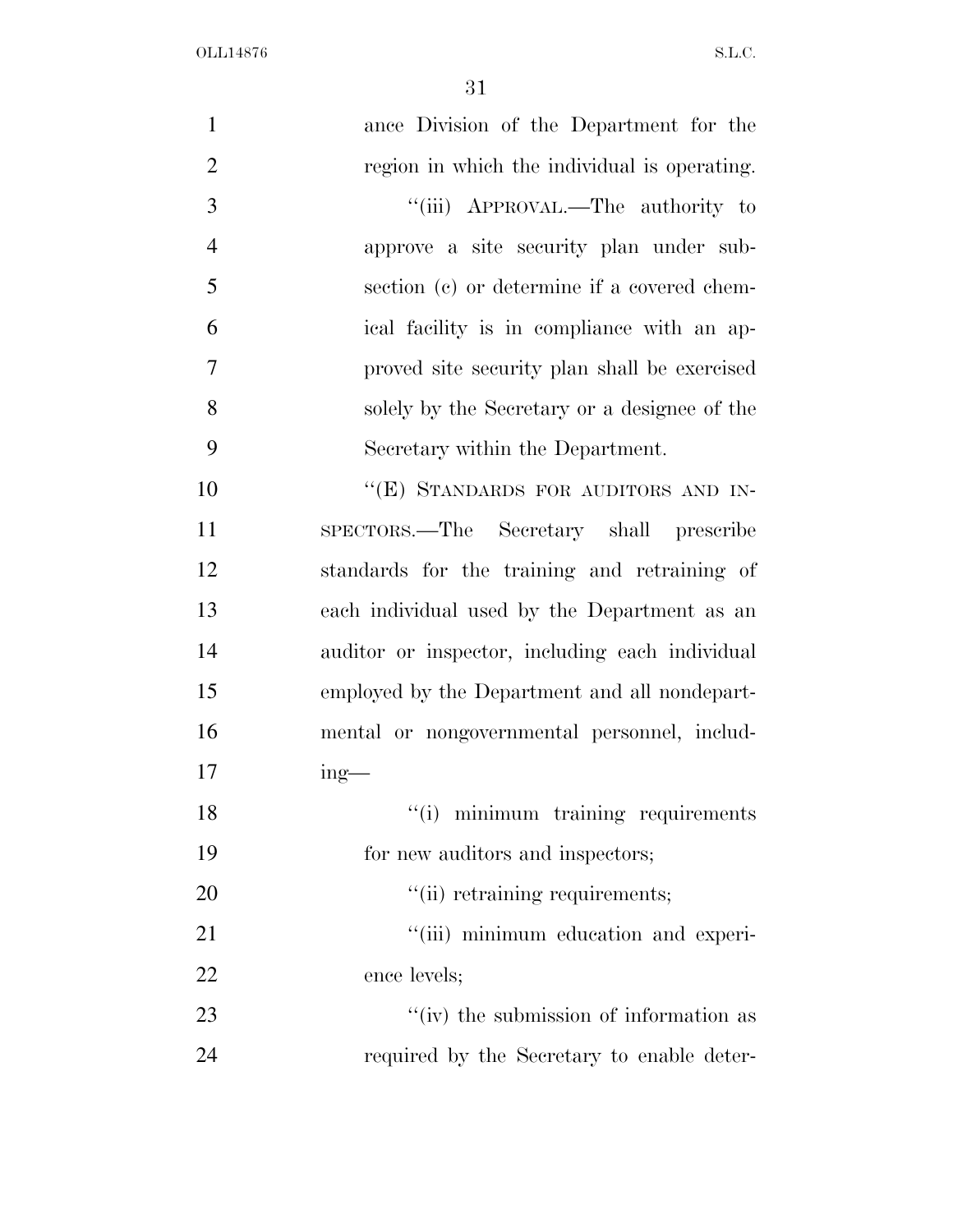| $\mathbf{1}$   | ance Division of the Department for the         |
|----------------|-------------------------------------------------|
| $\overline{2}$ | region in which the individual is operating.    |
| 3              | "(iii) APPROVAL.—The authority to               |
| $\overline{4}$ | approve a site security plan under sub-         |
| 5              | section (c) or determine if a covered chem-     |
| 6              | ical facility is in compliance with an ap-      |
| $\overline{7}$ | proved site security plan shall be exercised    |
| 8              | solely by the Secretary or a designee of the    |
| 9              | Secretary within the Department.                |
| 10             | "(E) STANDARDS FOR AUDITORS AND IN-             |
| 11             | SPECTORS.—The Secretary shall prescribe         |
| 12             | standards for the training and retraining of    |
| 13             | each individual used by the Department as an    |
| 14             | auditor or inspector, including each individual |
| 15             | employed by the Department and all nondepart-   |
| 16             | mental or nongovernmental personnel, includ-    |
| 17             | $ing$ —                                         |
| 18             | "(i) minimum training requirements              |
| 19             | for new auditors and inspectors;                |
| 20             | "(ii) retraining requirements;                  |
| 21             | "(iii) minimum education and experi-            |
| 22             | ence levels;                                    |
| 23             | "(iv) the submission of information as          |
| 24             | required by the Secretary to enable deter-      |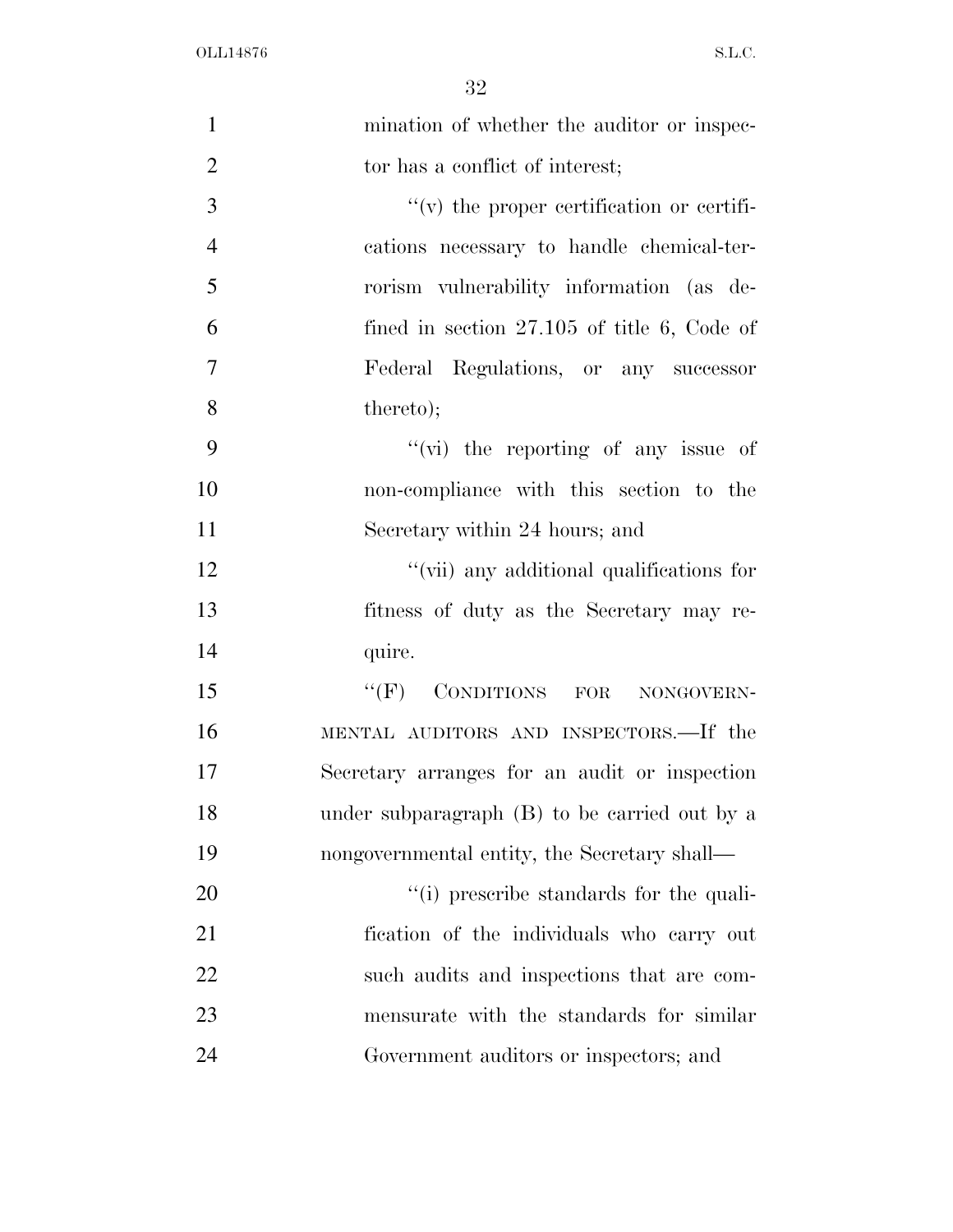| $\mathbf{1}$   | mination of whether the auditor or inspec-    |
|----------------|-----------------------------------------------|
| $\overline{2}$ | tor has a conflict of interest;               |
| 3              | $f'(v)$ the proper certification or certifi-  |
| $\overline{4}$ | cations necessary to handle chemical-ter-     |
| 5              | rorism vulnerability information (as de-      |
| 6              | fined in section $27.105$ of title 6, Code of |
| $\tau$         | Federal Regulations, or any successor         |
| 8              | thereto);                                     |
| 9              | " $(vi)$ the reporting of any issue of        |
| 10             | non-compliance with this section to the       |
| 11             | Secretary within 24 hours; and                |
| 12             | "(vii) any additional qualifications for      |
| 13             | fitness of duty as the Secretary may re-      |
| 14             | quire.                                        |
| 15             | "(F) CONDITIONS FOR NONGOVERN-                |
| 16             | MENTAL AUDITORS AND INSPECTORS.—If the        |
| 17             | Secretary arranges for an audit or inspection |
| 18             | under subparagraph (B) to be carried out by a |
| 19             | nongovernmental entity, the Secretary shall—  |
| 20             | "(i) prescribe standards for the quali-       |
| 21             | fication of the individuals who carry out     |
| 22             | such audits and inspections that are com-     |
| 23             | mensurate with the standards for similar      |
| 24             | Government auditors or inspectors; and        |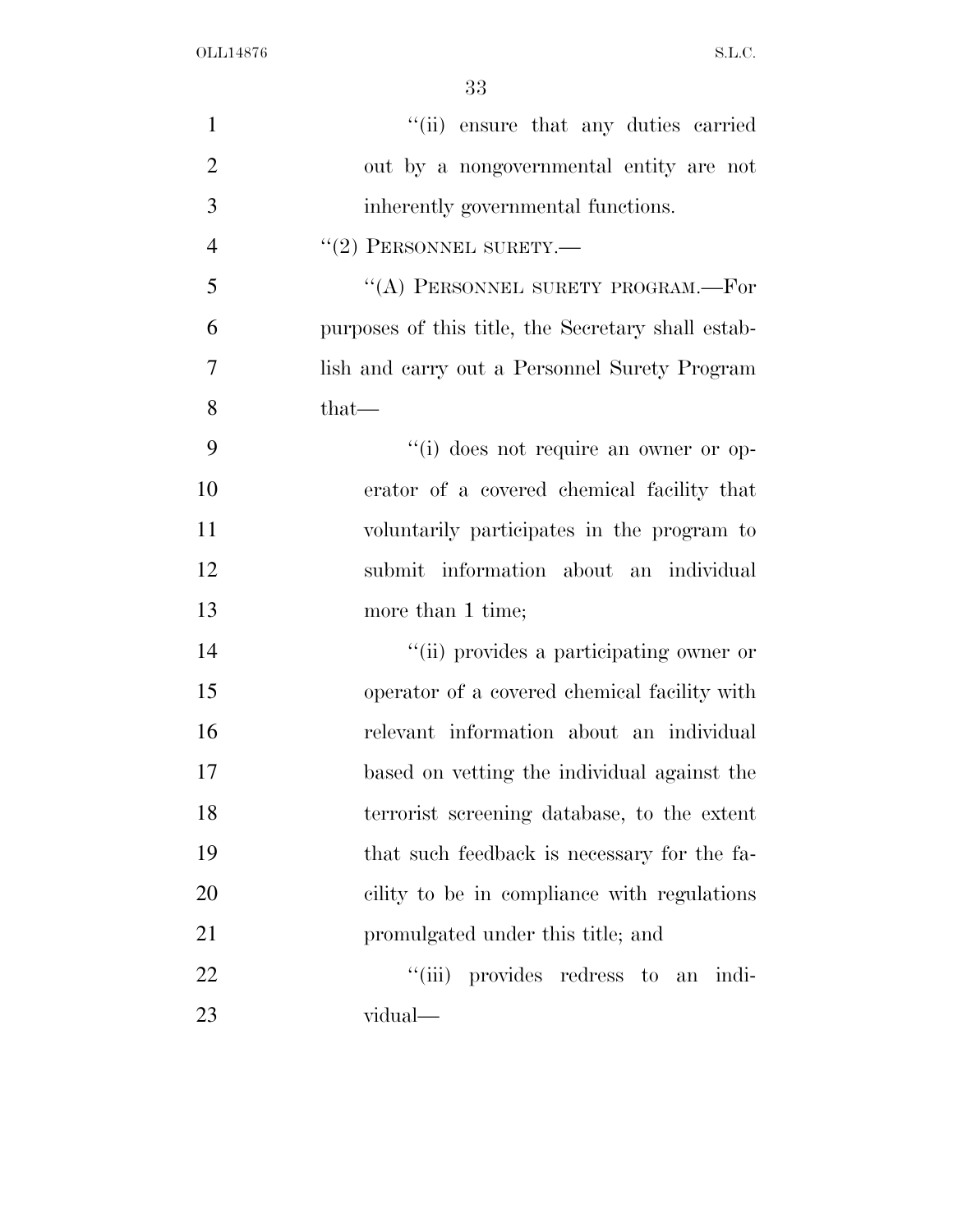| $\mathbf{1}$   | "(ii) ensure that any duties carried               |
|----------------|----------------------------------------------------|
| $\overline{2}$ | out by a nongovernmental entity are not            |
| 3              | inherently governmental functions.                 |
| $\overline{4}$ | $``(2)$ PERSONNEL SURETY.—                         |
| 5              | "(A) PERSONNEL SURETY PROGRAM.—For                 |
| 6              | purposes of this title, the Secretary shall estab- |
| 7              | lish and carry out a Personnel Surety Program      |
| 8              | that-                                              |
| 9              | "(i) does not require an owner or op-              |
| 10             | erator of a covered chemical facility that         |
| 11             | voluntarily participates in the program to         |
| 12             | submit information about an individual             |
| 13             | more than 1 time;                                  |
| 14             | "(ii) provides a participating owner or            |
| 15             | operator of a covered chemical facility with       |
| 16             | relevant information about an individual           |
| 17             | based on vetting the individual against the        |
| 18             | terrorist screening database, to the extent        |
| 19             | that such feedback is necessary for the fa-        |
| 20             | cility to be in compliance with regulations        |
| 21             | promulgated under this title; and                  |
| 22             | "(iii) provides redress to an indi-                |
| 23             | vidual—                                            |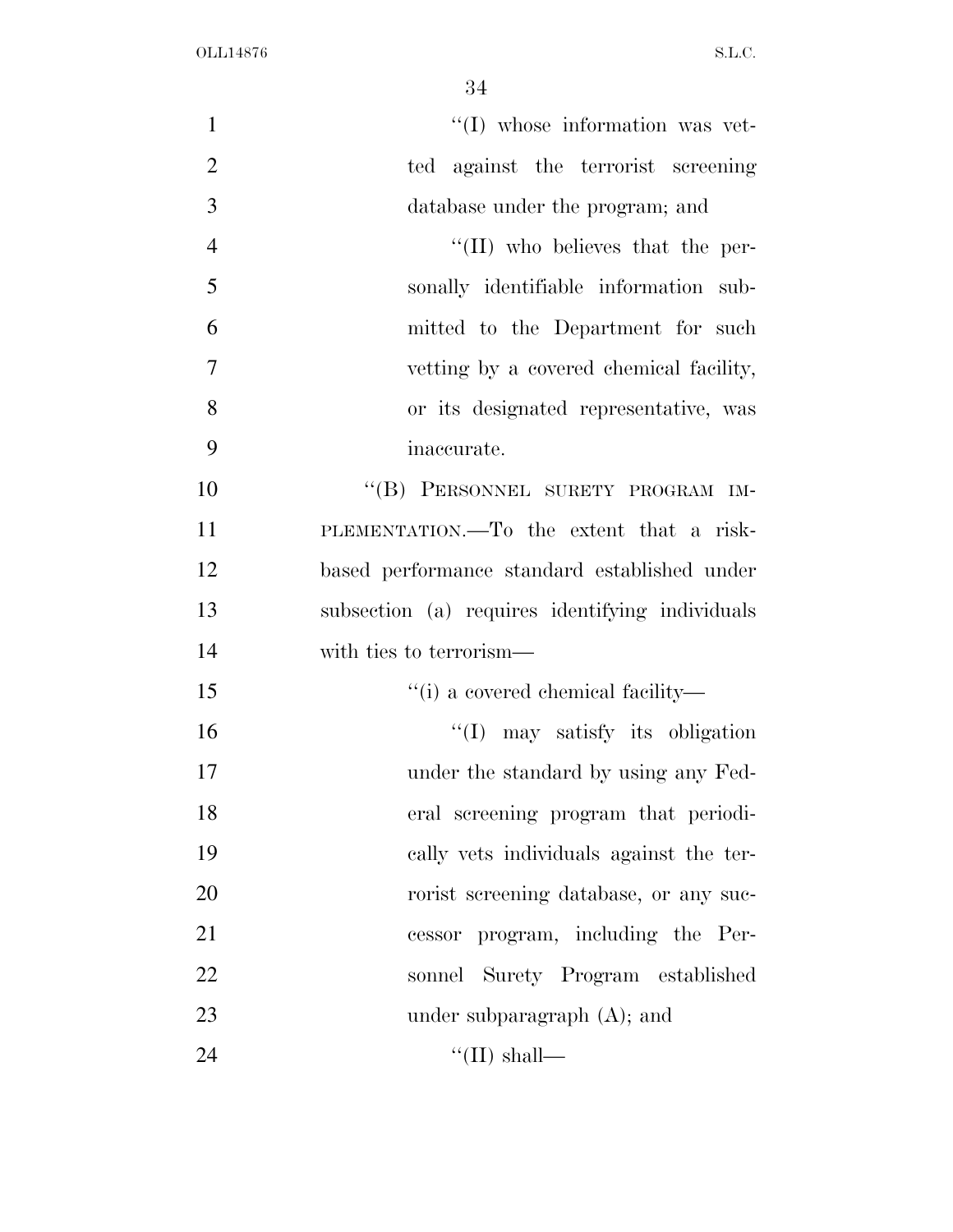| $\lq\lq$ whose information was vet-<br>$\mathbf{1}$<br>$\overline{2}$<br>ted against the terrorist screening<br>3<br>database under the program; and<br>$\overline{4}$<br>$\lq\lq$ (II) who believes that the per-<br>5<br>sonally identifiable information sub-<br>6<br>mitted to the Department for such<br>$\overline{7}$<br>vetting by a covered chemical facility,<br>8<br>or its designated representative, was<br>9<br>inaccurate.<br>10<br>"(B) PERSONNEL SURETY PROGRAM IM-<br>11<br>PLEMENTATION.—To the extent that a risk-<br>12<br>based performance standard established under<br>13<br>subsection (a) requires identifying individuals<br>14<br>with ties to terrorism—<br>15<br>"(i) a covered chemical facility—<br>16<br>$\lq(1)$ may satisfy its obligation<br>17<br>under the standard by using any Fed-<br>18<br>eral screening program that periodi-<br>19<br>cally vets individuals against the ter-<br>20<br>rorist screening database, or any suc-<br>21<br>cessor program, including the Per-<br>22<br>sonnel Surety Program established<br>23<br>under subparagraph $(A)$ ; and<br>24<br>"(II) shall— |  |
|----------------------------------------------------------------------------------------------------------------------------------------------------------------------------------------------------------------------------------------------------------------------------------------------------------------------------------------------------------------------------------------------------------------------------------------------------------------------------------------------------------------------------------------------------------------------------------------------------------------------------------------------------------------------------------------------------------------------------------------------------------------------------------------------------------------------------------------------------------------------------------------------------------------------------------------------------------------------------------------------------------------------------------------------------------------------------------------------------------------------------------|--|
|                                                                                                                                                                                                                                                                                                                                                                                                                                                                                                                                                                                                                                                                                                                                                                                                                                                                                                                                                                                                                                                                                                                                  |  |
|                                                                                                                                                                                                                                                                                                                                                                                                                                                                                                                                                                                                                                                                                                                                                                                                                                                                                                                                                                                                                                                                                                                                  |  |
|                                                                                                                                                                                                                                                                                                                                                                                                                                                                                                                                                                                                                                                                                                                                                                                                                                                                                                                                                                                                                                                                                                                                  |  |
|                                                                                                                                                                                                                                                                                                                                                                                                                                                                                                                                                                                                                                                                                                                                                                                                                                                                                                                                                                                                                                                                                                                                  |  |
|                                                                                                                                                                                                                                                                                                                                                                                                                                                                                                                                                                                                                                                                                                                                                                                                                                                                                                                                                                                                                                                                                                                                  |  |
|                                                                                                                                                                                                                                                                                                                                                                                                                                                                                                                                                                                                                                                                                                                                                                                                                                                                                                                                                                                                                                                                                                                                  |  |
|                                                                                                                                                                                                                                                                                                                                                                                                                                                                                                                                                                                                                                                                                                                                                                                                                                                                                                                                                                                                                                                                                                                                  |  |
|                                                                                                                                                                                                                                                                                                                                                                                                                                                                                                                                                                                                                                                                                                                                                                                                                                                                                                                                                                                                                                                                                                                                  |  |
|                                                                                                                                                                                                                                                                                                                                                                                                                                                                                                                                                                                                                                                                                                                                                                                                                                                                                                                                                                                                                                                                                                                                  |  |
|                                                                                                                                                                                                                                                                                                                                                                                                                                                                                                                                                                                                                                                                                                                                                                                                                                                                                                                                                                                                                                                                                                                                  |  |
|                                                                                                                                                                                                                                                                                                                                                                                                                                                                                                                                                                                                                                                                                                                                                                                                                                                                                                                                                                                                                                                                                                                                  |  |
|                                                                                                                                                                                                                                                                                                                                                                                                                                                                                                                                                                                                                                                                                                                                                                                                                                                                                                                                                                                                                                                                                                                                  |  |
|                                                                                                                                                                                                                                                                                                                                                                                                                                                                                                                                                                                                                                                                                                                                                                                                                                                                                                                                                                                                                                                                                                                                  |  |
|                                                                                                                                                                                                                                                                                                                                                                                                                                                                                                                                                                                                                                                                                                                                                                                                                                                                                                                                                                                                                                                                                                                                  |  |
|                                                                                                                                                                                                                                                                                                                                                                                                                                                                                                                                                                                                                                                                                                                                                                                                                                                                                                                                                                                                                                                                                                                                  |  |
|                                                                                                                                                                                                                                                                                                                                                                                                                                                                                                                                                                                                                                                                                                                                                                                                                                                                                                                                                                                                                                                                                                                                  |  |
|                                                                                                                                                                                                                                                                                                                                                                                                                                                                                                                                                                                                                                                                                                                                                                                                                                                                                                                                                                                                                                                                                                                                  |  |
|                                                                                                                                                                                                                                                                                                                                                                                                                                                                                                                                                                                                                                                                                                                                                                                                                                                                                                                                                                                                                                                                                                                                  |  |
|                                                                                                                                                                                                                                                                                                                                                                                                                                                                                                                                                                                                                                                                                                                                                                                                                                                                                                                                                                                                                                                                                                                                  |  |
|                                                                                                                                                                                                                                                                                                                                                                                                                                                                                                                                                                                                                                                                                                                                                                                                                                                                                                                                                                                                                                                                                                                                  |  |
|                                                                                                                                                                                                                                                                                                                                                                                                                                                                                                                                                                                                                                                                                                                                                                                                                                                                                                                                                                                                                                                                                                                                  |  |
|                                                                                                                                                                                                                                                                                                                                                                                                                                                                                                                                                                                                                                                                                                                                                                                                                                                                                                                                                                                                                                                                                                                                  |  |
|                                                                                                                                                                                                                                                                                                                                                                                                                                                                                                                                                                                                                                                                                                                                                                                                                                                                                                                                                                                                                                                                                                                                  |  |
|                                                                                                                                                                                                                                                                                                                                                                                                                                                                                                                                                                                                                                                                                                                                                                                                                                                                                                                                                                                                                                                                                                                                  |  |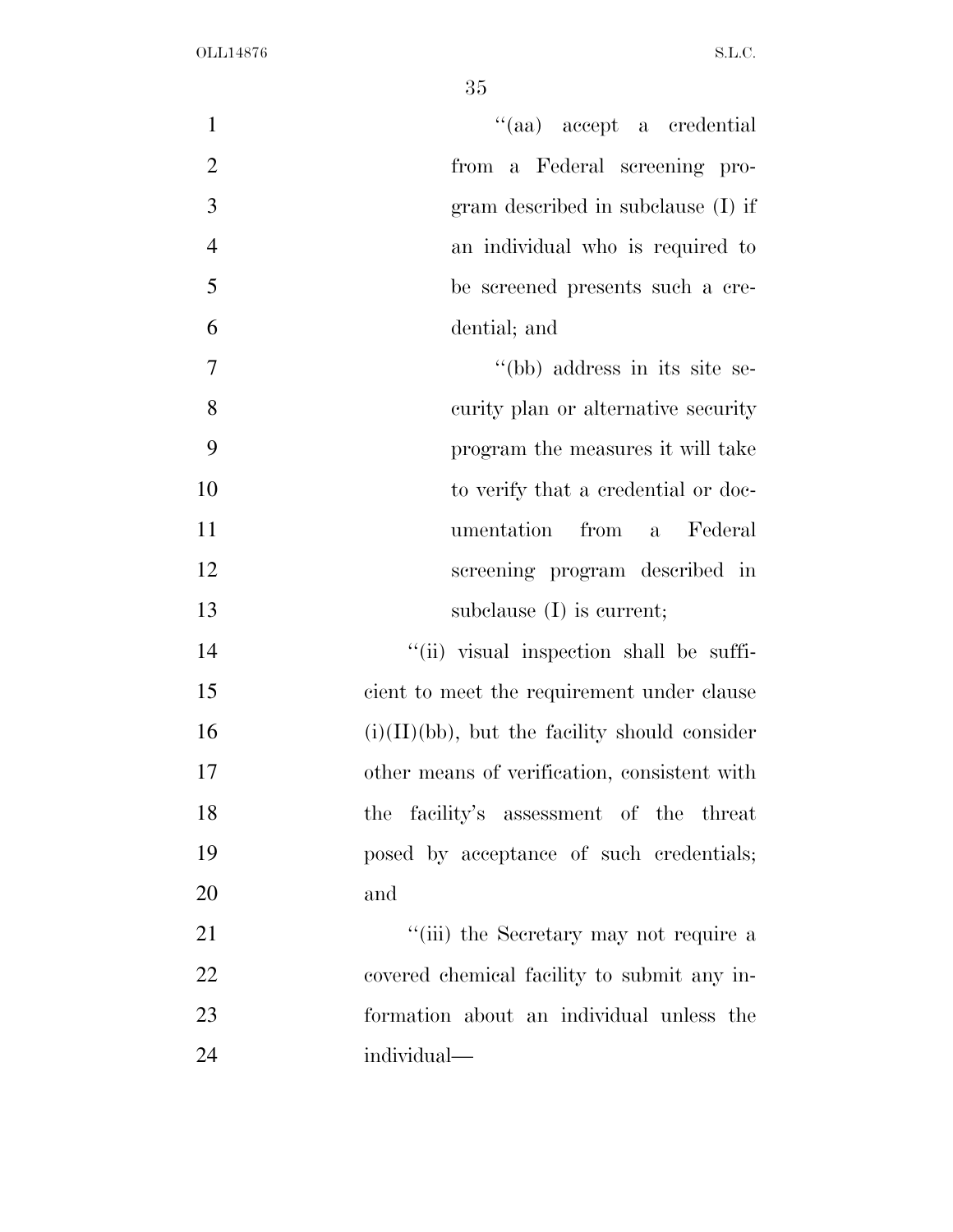| $\mathbf{1}$   | "(aa) accept a credential                        |
|----------------|--------------------------------------------------|
| $\overline{2}$ | from a Federal screening pro-                    |
| 3              | gram described in subclause (I) if               |
| $\overline{4}$ | an individual who is required to                 |
| 5              | be screened presents such a cre-                 |
| 6              | dential; and                                     |
| $\tau$         | "(bb) address in its site se-                    |
| 8              | curity plan or alternative security              |
| 9              | program the measures it will take                |
| 10             | to verify that a credential or doc-              |
| 11             | from a<br>umentation<br>Federal                  |
| 12             | screening program described in                   |
| 13             | subclause $(I)$ is current;                      |
| 14             | "(ii) visual inspection shall be suffi-          |
| 15             | cient to meet the requirement under clause       |
| 16             | $(i)(II)(bb)$ , but the facility should consider |
| 17             | other means of verification, consistent with     |
| 18             | the facility's assessment of the threat          |
| 19             | posed by acceptance of such credentials;         |
| 20             | and                                              |
| 21             | "(iii) the Secretary may not require a           |
| 22             | covered chemical facility to submit any in-      |
| 23             | formation about an individual unless the         |
| 24             | individual—                                      |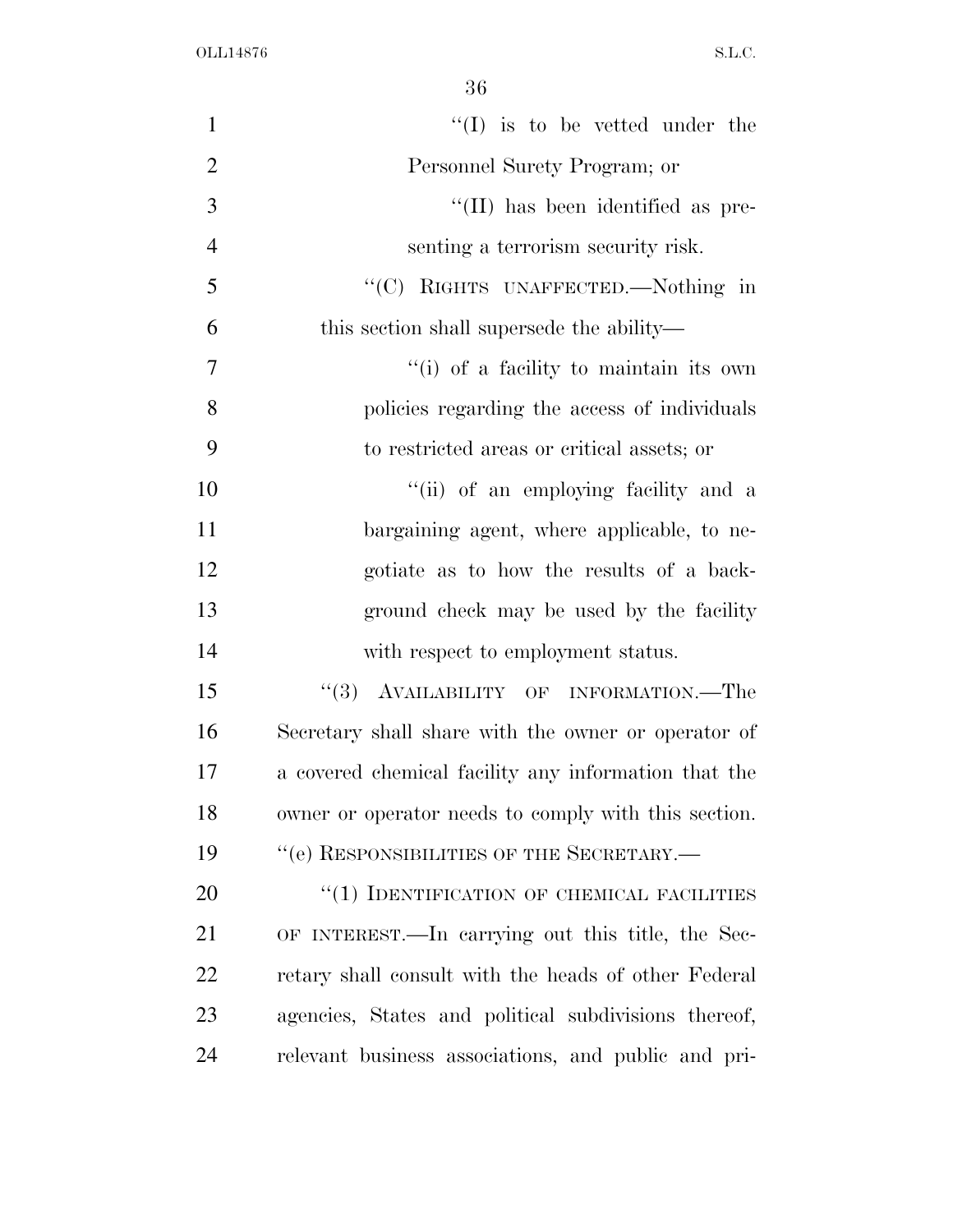| $\mathbf{1}$   | $\lq\lq$ (I) is to be vetted under the               |
|----------------|------------------------------------------------------|
| $\overline{2}$ | Personnel Surety Program; or                         |
| 3              | "(II) has been identified as pre-                    |
| $\overline{4}$ | senting a terrorism security risk.                   |
| 5              | "(C) RIGHTS UNAFFECTED.—Nothing in                   |
| 6              | this section shall supersede the ability—            |
| $\overline{7}$ | "(i) of a facility to maintain its own               |
| 8              | policies regarding the access of individuals         |
| 9              | to restricted areas or critical assets; or           |
| 10             | "(ii) of an employing facility and a                 |
| 11             | bargaining agent, where applicable, to ne-           |
| 12             | gotiate as to how the results of a back-             |
| 13             | ground check may be used by the facility             |
| 14             | with respect to employment status.                   |
| 15             | "(3) AVAILABILITY OF INFORMATION.—The                |
| 16             | Secretary shall share with the owner or operator of  |
| 17             | a covered chemical facility any information that the |
| 18             | owner or operator needs to comply with this section. |
| 19             | "(e) RESPONSIBILITIES OF THE SECRETARY.-             |
| 20             | "(1) IDENTIFICATION OF CHEMICAL FACILITIES           |
| 21             | OF INTEREST.—In carrying out this title, the Sec-    |
| 22             | retary shall consult with the heads of other Federal |
| 23             | agencies, States and political subdivisions thereof, |
| 24             | relevant business associations, and public and pri-  |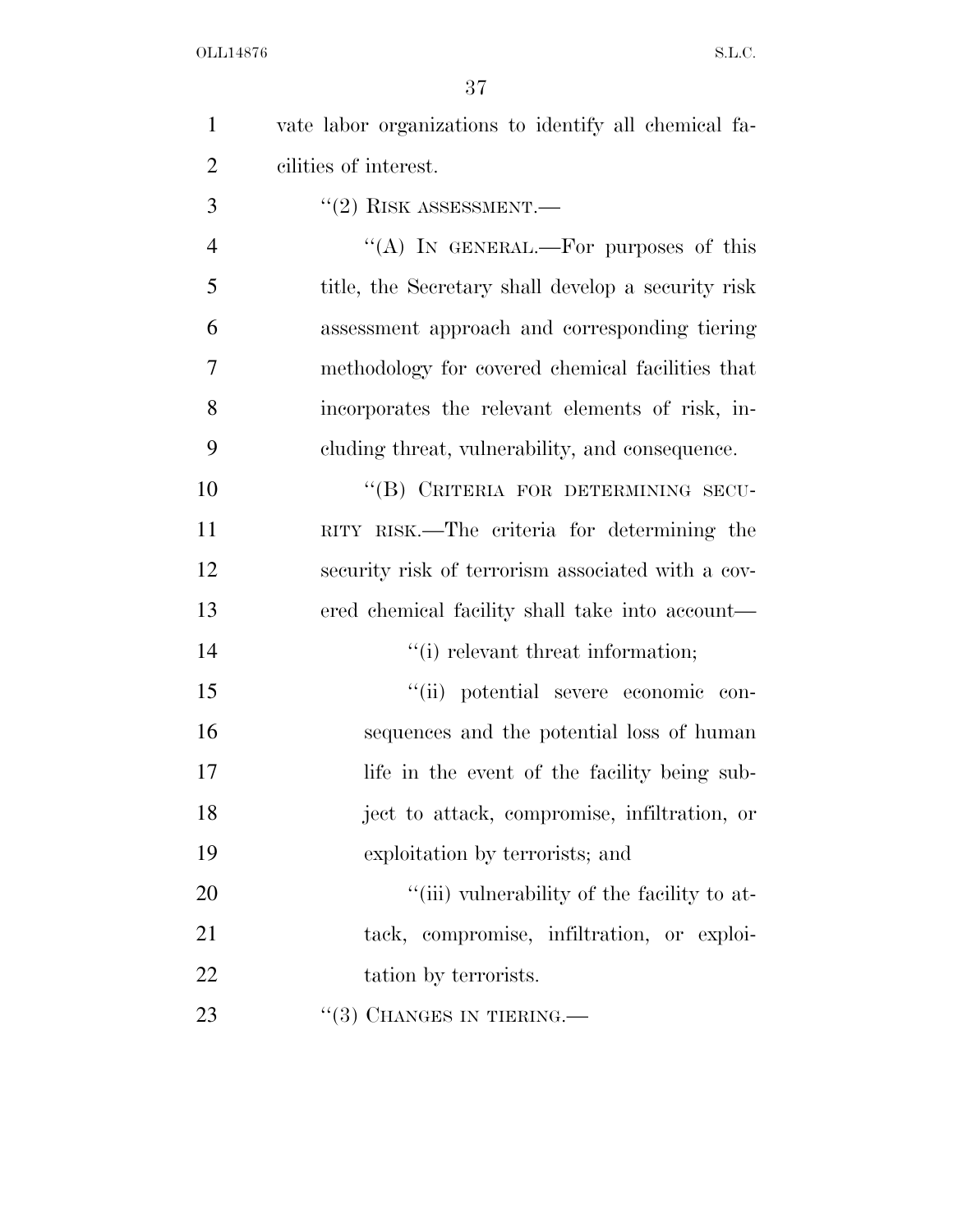| $\mathbf{1}$   | vate labor organizations to identify all chemical fa- |
|----------------|-------------------------------------------------------|
| $\overline{c}$ | cilities of interest.                                 |
| 3              | $``(2)$ RISK ASSESSMENT.—                             |
| $\overline{4}$ | "(A) IN GENERAL.—For purposes of this                 |
| 5              | title, the Secretary shall develop a security risk    |
| 6              | assessment approach and corresponding tiering         |
| 7              | methodology for covered chemical facilities that      |
| 8              | incorporates the relevant elements of risk, in-       |
| 9              | cluding threat, vulnerability, and consequence.       |
| 10             | "(B) CRITERIA FOR DETERMINING SECU-                   |
| 11             | RITY RISK.—The criteria for determining the           |
| 12             | security risk of terrorism associated with a cov-     |
| 13             | ered chemical facility shall take into account—       |
| 14             | "(i) relevant threat information;                     |
| 15             | "(ii) potential severe economic con-                  |
| 16             | sequences and the potential loss of human             |
| 17             | life in the event of the facility being sub-          |
| 18             | ject to attack, compromise, infiltration, or          |
| 19             | exploitation by terrorists; and                       |
| 20             | "(iii) vulnerability of the facility to at-           |
| 21             | tack, compromise, infiltration, or exploi-            |
| 22             | tation by terrorists.                                 |
| 23             | $\lq(3)$ CHANGES IN TIERING.—                         |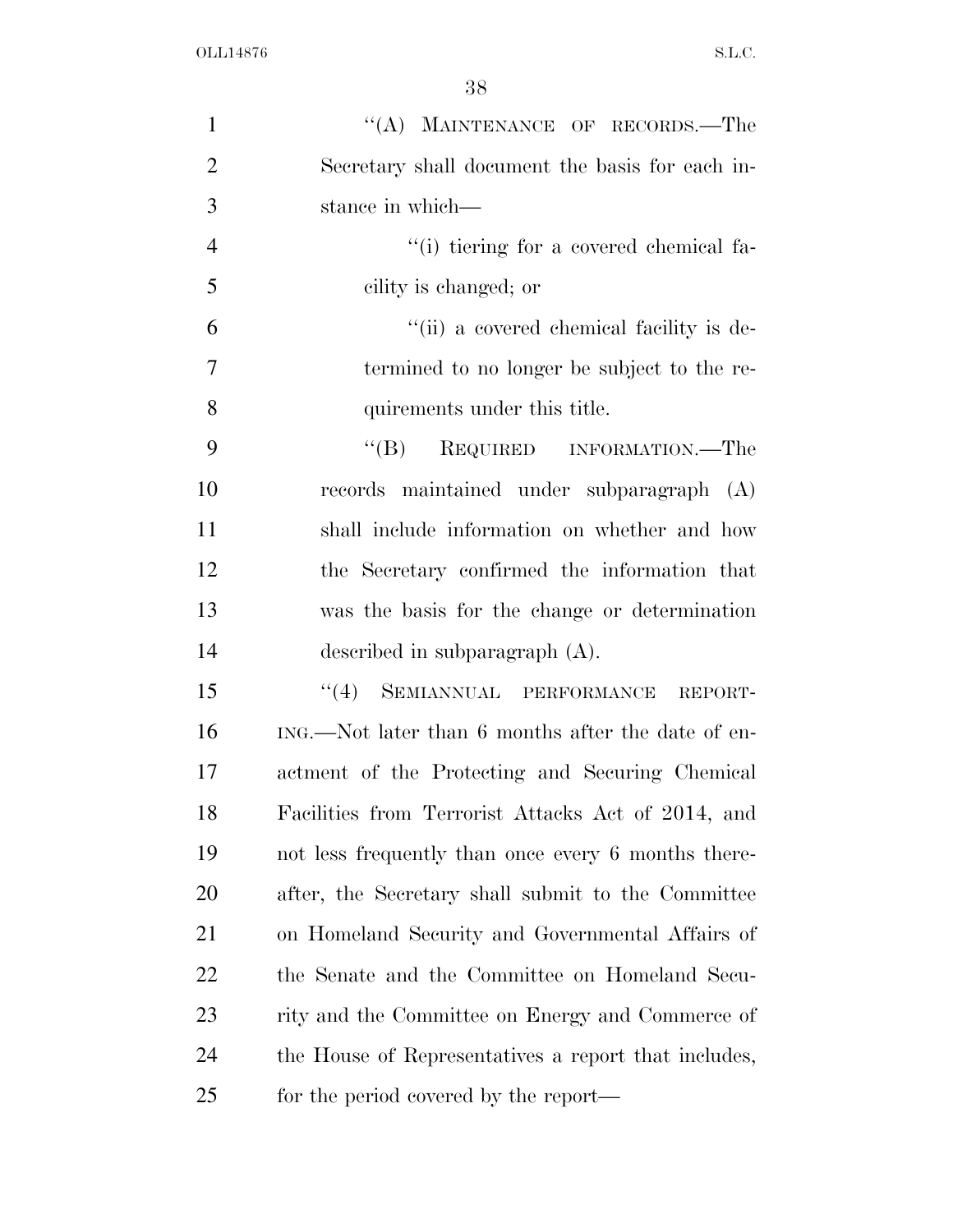| $\mathbf{1}$   | "(A) MAINTENANCE OF RECORDS.—The                     |
|----------------|------------------------------------------------------|
| $\overline{2}$ | Secretary shall document the basis for each in-      |
| 3              | stance in which—                                     |
| $\overline{4}$ | "(i) tiering for a covered chemical fa-              |
| 5              | cility is changed; or                                |
| 6              | "(ii) a covered chemical facility is de-             |
| $\overline{7}$ | termined to no longer be subject to the re-          |
| 8              | quirements under this title.                         |
| 9              | $\lq\lq (B)$<br>REQUIRED INFORMATION.—The            |
| 10             | records maintained under subparagraph (A)            |
| 11             | shall include information on whether and how         |
| 12             | the Secretary confirmed the information that         |
| 13             | was the basis for the change or determination        |
| 14             | described in subparagraph $(A)$ .                    |
| 15             | SEMIANNUAL PERFORMANCE REPORT-<br>(4)                |
| 16             | ING.—Not later than 6 months after the date of en-   |
| 17             | actment of the Protecting and Securing Chemical      |
| 18             | Facilities from Terrorist Attacks Act of 2014, and   |
| 19             | not less frequently than once every 6 months there-  |
| 20             | after, the Secretary shall submit to the Committee   |
| 21             | on Homeland Security and Governmental Affairs of     |
| 22             | the Senate and the Committee on Homeland Secu-       |
| 23             | rity and the Committee on Energy and Commerce of     |
| 24             | the House of Representatives a report that includes, |
| 25             | for the period covered by the report—                |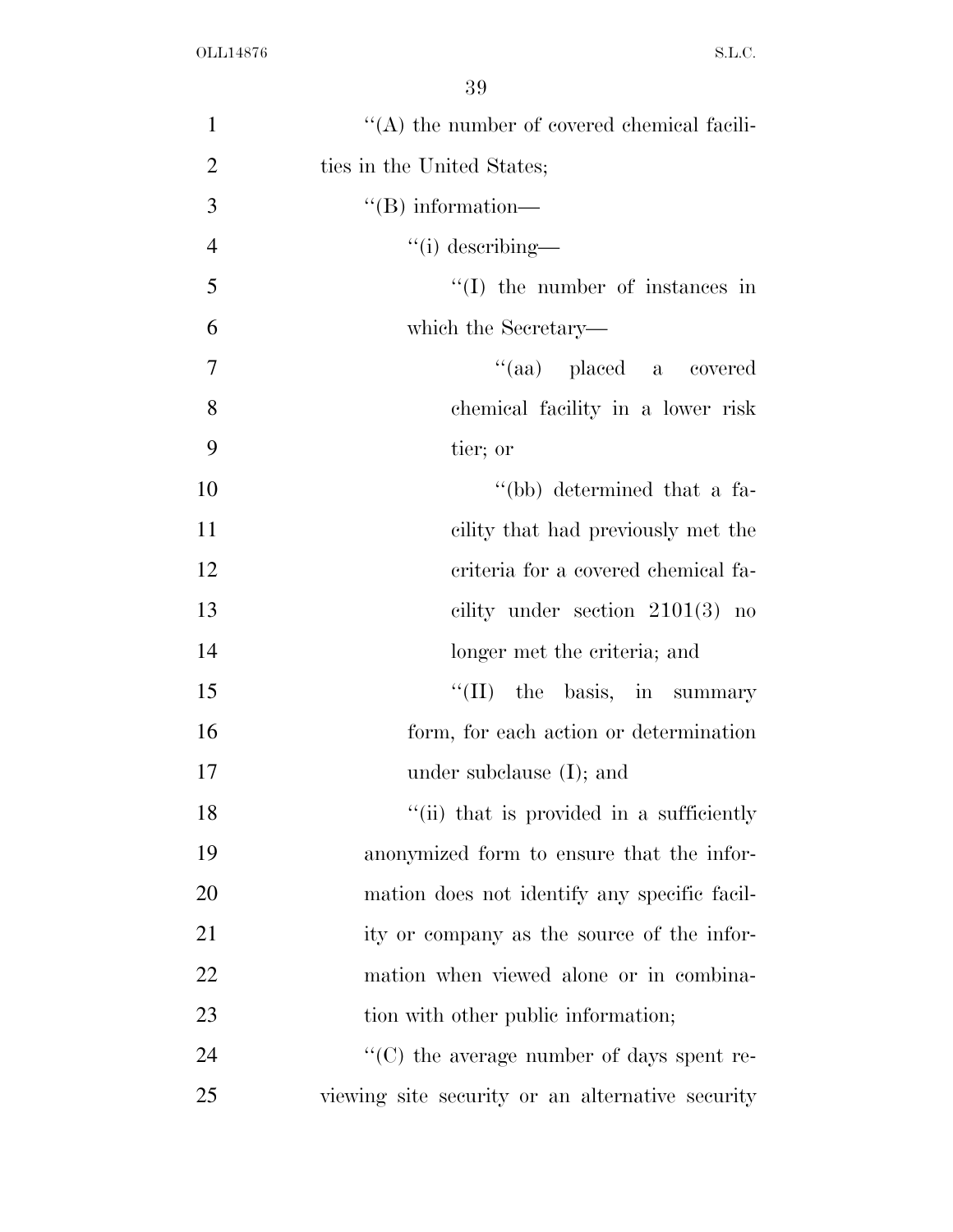| $\mathbf{1}$   | $\lq\lq$ the number of covered chemical facili-  |
|----------------|--------------------------------------------------|
| $\overline{2}$ | ties in the United States;                       |
| 3              | $\lq\lq (B)$ information—                        |
| $\overline{4}$ | $``(i)$ describing—                              |
| 5              | $\lq\lq$ the number of instances in              |
| 6              | which the Secretary—                             |
| $\overline{7}$ | "(aa) placed a covered                           |
| 8              | chemical facility in a lower risk                |
| 9              | tier; or                                         |
| 10             | "(bb) determined that a fa-                      |
| 11             | cility that had previously met the               |
| 12             | criteria for a covered chemical fa-              |
| 13             | cility under section $2101(3)$ no                |
| 14             | longer met the criteria; and                     |
| 15             | $\lq\lq$ (II) the basis, in summary              |
| 16             | form, for each action or determination           |
| 17             | under subclause $(I)$ ; and                      |
| 18             | "(ii) that is provided in a sufficiently         |
| 19             | anonymized form to ensure that the infor-        |
| 20             | mation does not identify any specific facil-     |
| 21             | ity or company as the source of the infor-       |
| 22             | mation when viewed alone or in combina-          |
| 23             | tion with other public information;              |
| 24             | "(C) the average number of days spent re-        |
| 25             | viewing site security or an alternative security |
|                |                                                  |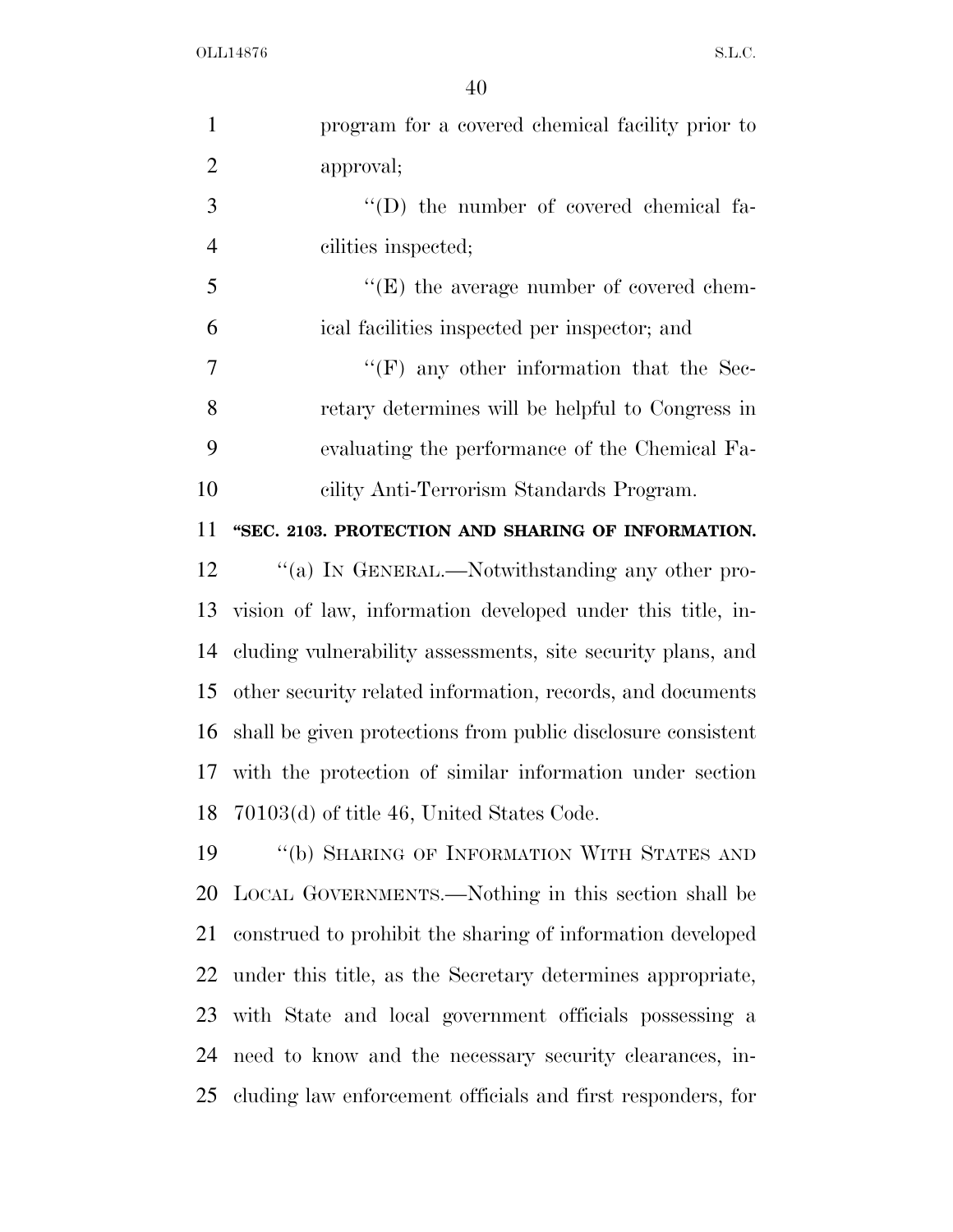| $\mathbf{1}$   | program for a covered chemical facility prior to             |
|----------------|--------------------------------------------------------------|
| $\overline{2}$ | approval;                                                    |
| 3              | $\lq\lq$ the number of covered chemical fa-                  |
| $\overline{4}$ | cilities inspected;                                          |
| 5              | $\lq\lq(E)$ the average number of covered chem-              |
| 6              | ical facilities inspected per inspector; and                 |
| $\tau$         | $\lq\lq(F)$ any other information that the Sec-              |
| 8              | retary determines will be helpful to Congress in             |
| 9              | evaluating the performance of the Chemical Fa-               |
| 10             | cility Anti-Terrorism Standards Program.                     |
| 11             | "SEC. 2103. PROTECTION AND SHARING OF INFORMATION.           |
| 12             | "(a) IN GENERAL.—Notwithstanding any other pro-              |
| 13             | vision of law, information developed under this title, in-   |
| 14             | cluding vulnerability assessments, site security plans, and  |
| 15             | other security related information, records, and documents   |
| 16             | shall be given protections from public disclosure consistent |
|                | 17 with the protection of similar information under section  |
|                | 18 70103(d) of title 46, United States Code.                 |
| 19             | "(b) SHARING OF INFORMATION WITH STATES AND                  |
| 20             | LOCAL GOVERNMENTS.—Nothing in this section shall be          |
| 21             | construed to prohibit the sharing of information developed   |
| 22             | under this title, as the Secretary determines appropriate,   |
| 23             | with State and local government officials possessing a       |
| 24             | need to know and the necessary security clearances, in-      |
| 25             | cluding law enforcement officials and first responders, for  |
|                |                                                              |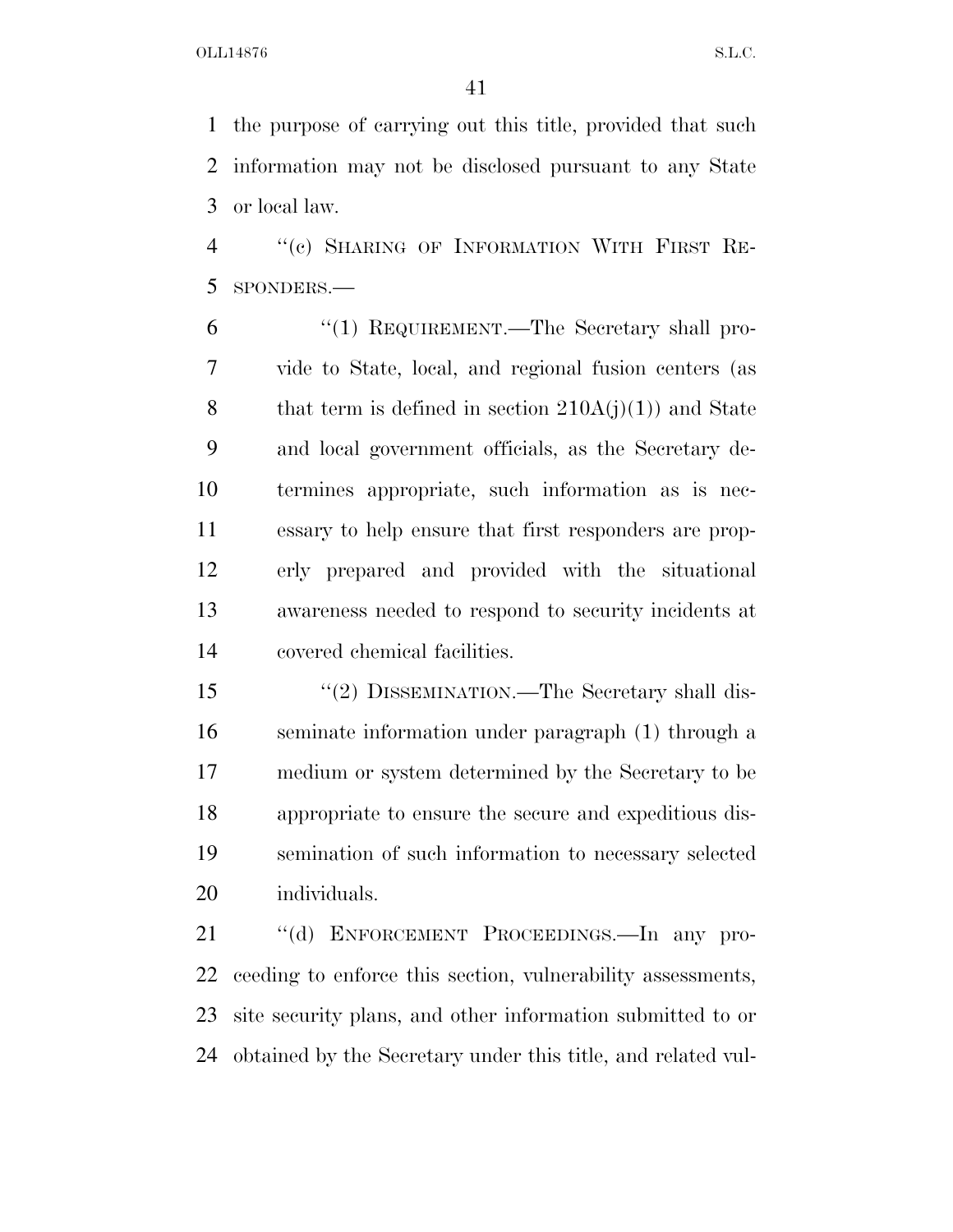the purpose of carrying out this title, provided that such information may not be disclosed pursuant to any State or local law.

 ''(c) SHARING OF INFORMATION WITH FIRST RE-SPONDERS.—

6 "(1) REQUIREMENT.—The Secretary shall pro- vide to State, local, and regional fusion centers (as 8 that term is defined in section  $210A(j)(1)$  and State and local government officials, as the Secretary de- termines appropriate, such information as is nec- essary to help ensure that first responders are prop- erly prepared and provided with the situational awareness needed to respond to security incidents at covered chemical facilities.

15 "(2) DISSEMINATION.—The Secretary shall dis- seminate information under paragraph (1) through a medium or system determined by the Secretary to be appropriate to ensure the secure and expeditious dis- semination of such information to necessary selected individuals.

 ''(d) ENFORCEMENT PROCEEDINGS.—In any pro- ceeding to enforce this section, vulnerability assessments, site security plans, and other information submitted to or obtained by the Secretary under this title, and related vul-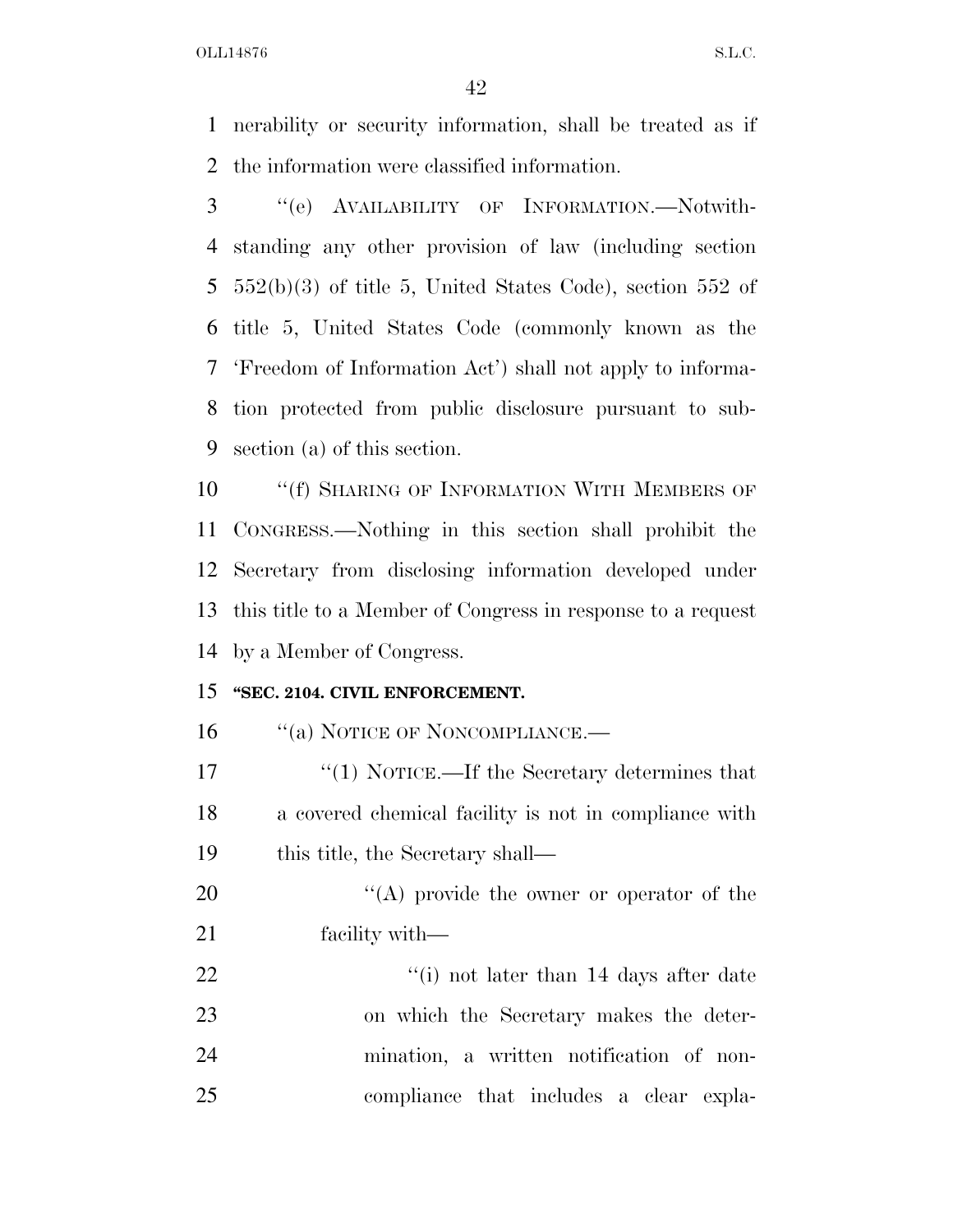nerability or security information, shall be treated as if the information were classified information.

 ''(e) AVAILABILITY OF INFORMATION.—Notwith- standing any other provision of law (including section 552(b)(3) of title 5, United States Code), section 552 of title 5, United States Code (commonly known as the 'Freedom of Information Act') shall not apply to informa- tion protected from public disclosure pursuant to sub-section (a) of this section.

**''**(f) SHARING OF INFORMATION WITH MEMBERS OF CONGRESS.—Nothing in this section shall prohibit the Secretary from disclosing information developed under this title to a Member of Congress in response to a request by a Member of Congress.

#### **''SEC. 2104. CIVIL ENFORCEMENT.**

16 "(a) NOTICE OF NONCOMPLIANCE.—

17 ''(1) NOTICE.—If the Secretary determines that a covered chemical facility is not in compliance with 19 this title, the Secretary shall—

20  $\langle (A) \rangle$  provide the owner or operator of the facility with—

22 ''(i) not later than 14 days after date on which the Secretary makes the deter- mination, a written notification of non-compliance that includes a clear expla-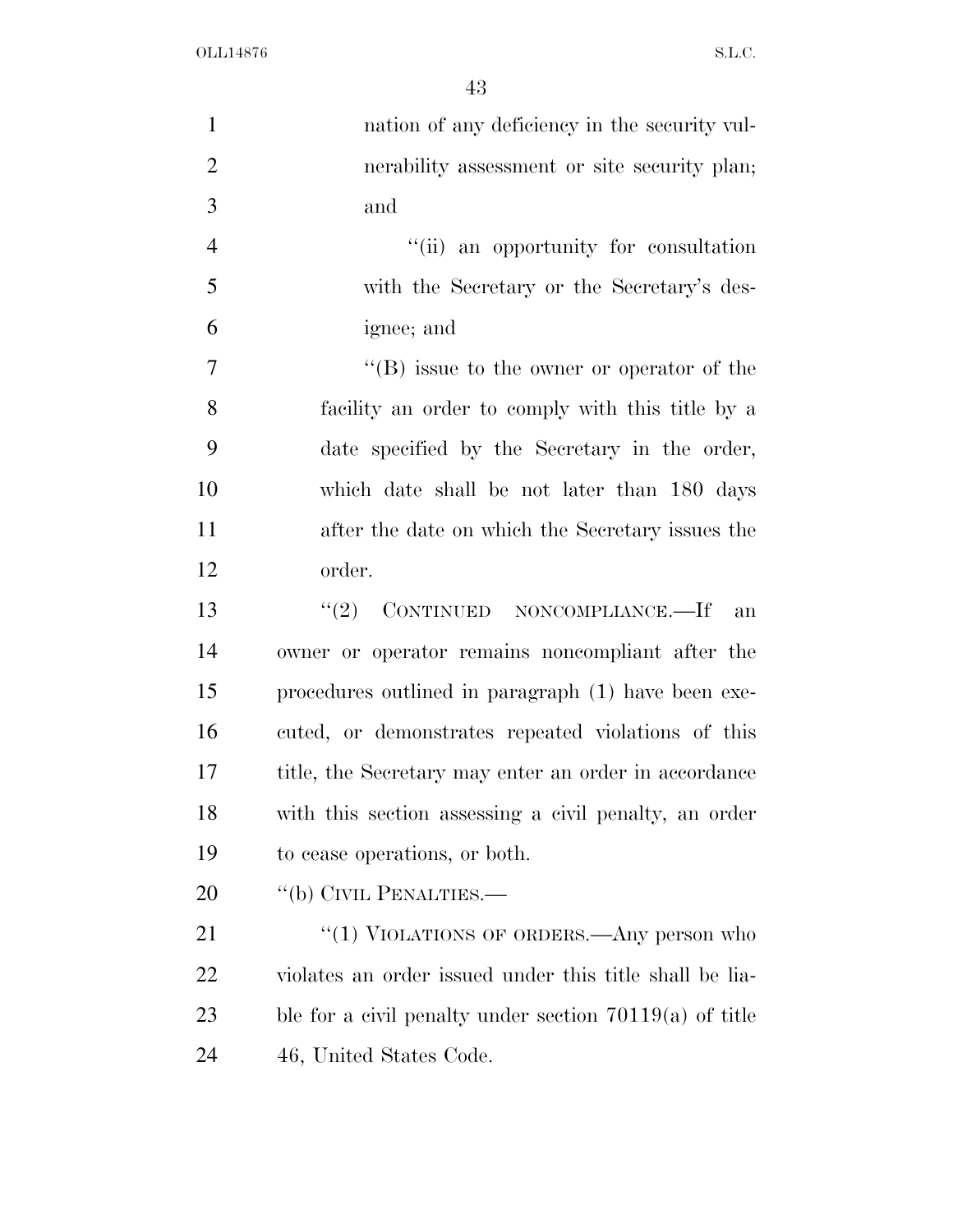| $\mathbf{1}$   | nation of any deficiency in the security vul-             |
|----------------|-----------------------------------------------------------|
| $\overline{2}$ | nerability assessment or site security plan;              |
| 3              | and                                                       |
| $\overline{4}$ | "(ii) an opportunity for consultation                     |
| 5              | with the Secretary or the Secretary's des-                |
| 6              | ignee; and                                                |
| $\tau$         | $\lq\lq$ issue to the owner or operator of the            |
| 8              | facility an order to comply with this title by a          |
| 9              | date specified by the Secretary in the order,             |
| 10             | which date shall be not later than 180 days               |
| 11             | after the date on which the Secretary issues the          |
| 12             | order.                                                    |
| 13             | CONTINUED NONCOMPLIANCE.—If<br>(2)<br>an                  |
| 14             | owner or operator remains noncompliant after the          |
| 15             | procedures outlined in paragraph (1) have been exe-       |
| 16             | cuted, or demonstrates repeated violations of this        |
| 17             | title, the Secretary may enter an order in accordance     |
| 18             | with this section assessing a civil penalty, an order     |
| 19             | to cease operations, or both.                             |
| 20             | "(b) CIVIL PENALTIES.—                                    |
| 21             | " $(1)$ VIOLATIONS OF ORDERS.—Any person who              |
| 22             | violates an order issued under this title shall be lia-   |
| 23             | ble for a civil penalty under section $70119(a)$ of title |
| 24             | 46, United States Code.                                   |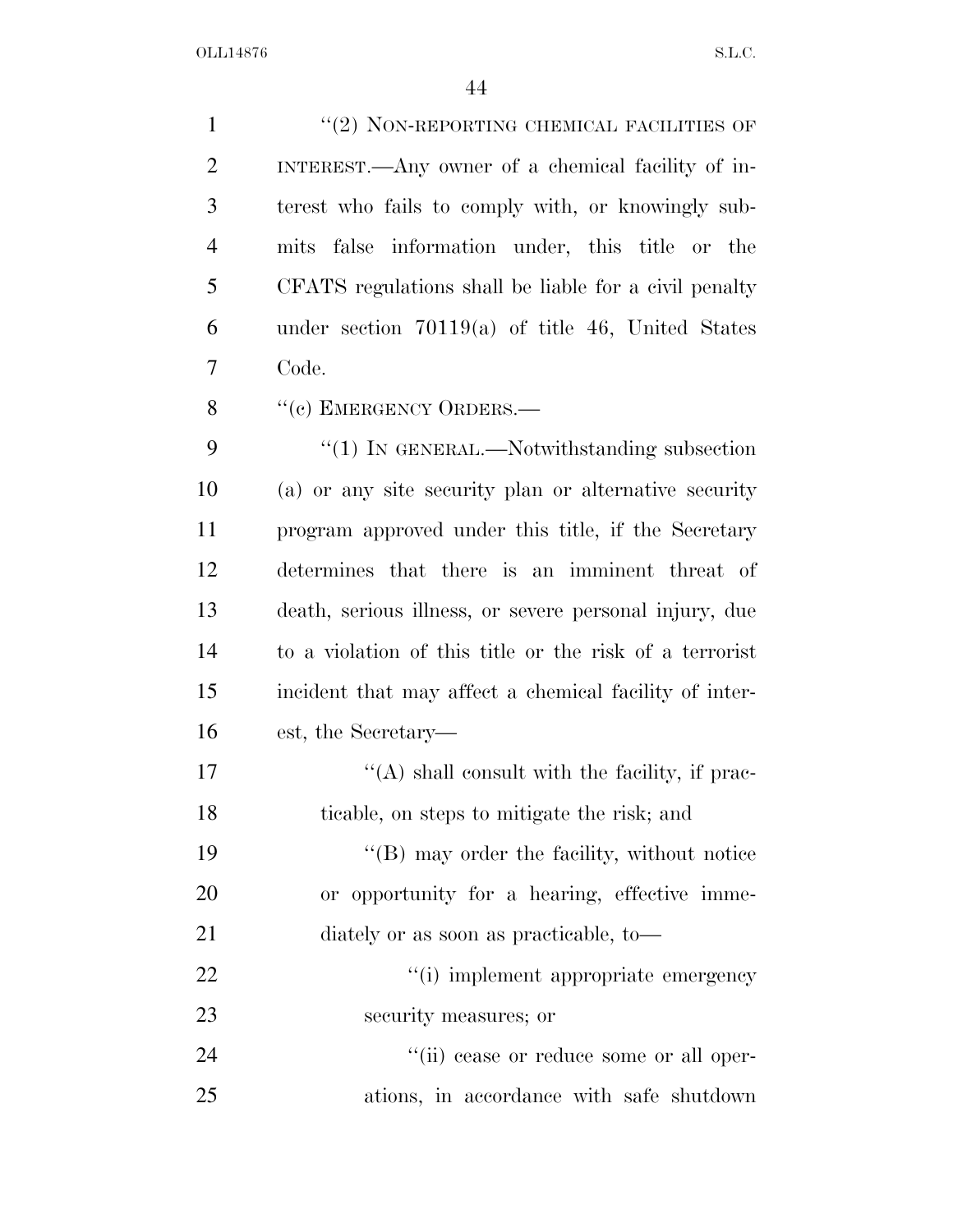1 ''(2) NON-REPORTING CHEMICAL FACILITIES OF INTEREST.—Any owner of a chemical facility of in- terest who fails to comply with, or knowingly sub- mits false information under, this title or the CFATS regulations shall be liable for a civil penalty under section 70119(a) of title 46, United States Code. 8 "(c) EMERGENCY ORDERS.— 9 "(1) IN GENERAL.—Notwithstanding subsection

 (a) or any site security plan or alternative security program approved under this title, if the Secretary determines that there is an imminent threat of death, serious illness, or severe personal injury, due to a violation of this title or the risk of a terrorist incident that may affect a chemical facility of inter-est, the Secretary—

17  $\langle (A)$  shall consult with the facility, if prac-ticable, on steps to mitigate the risk; and

19 ''(B) may order the facility, without notice or opportunity for a hearing, effective imme-diately or as soon as practicable, to—

22  $\frac{4}{1}$  implement appropriate emergency security measures; or

24  $(iii)$  cease or reduce some or all oper-ations, in accordance with safe shutdown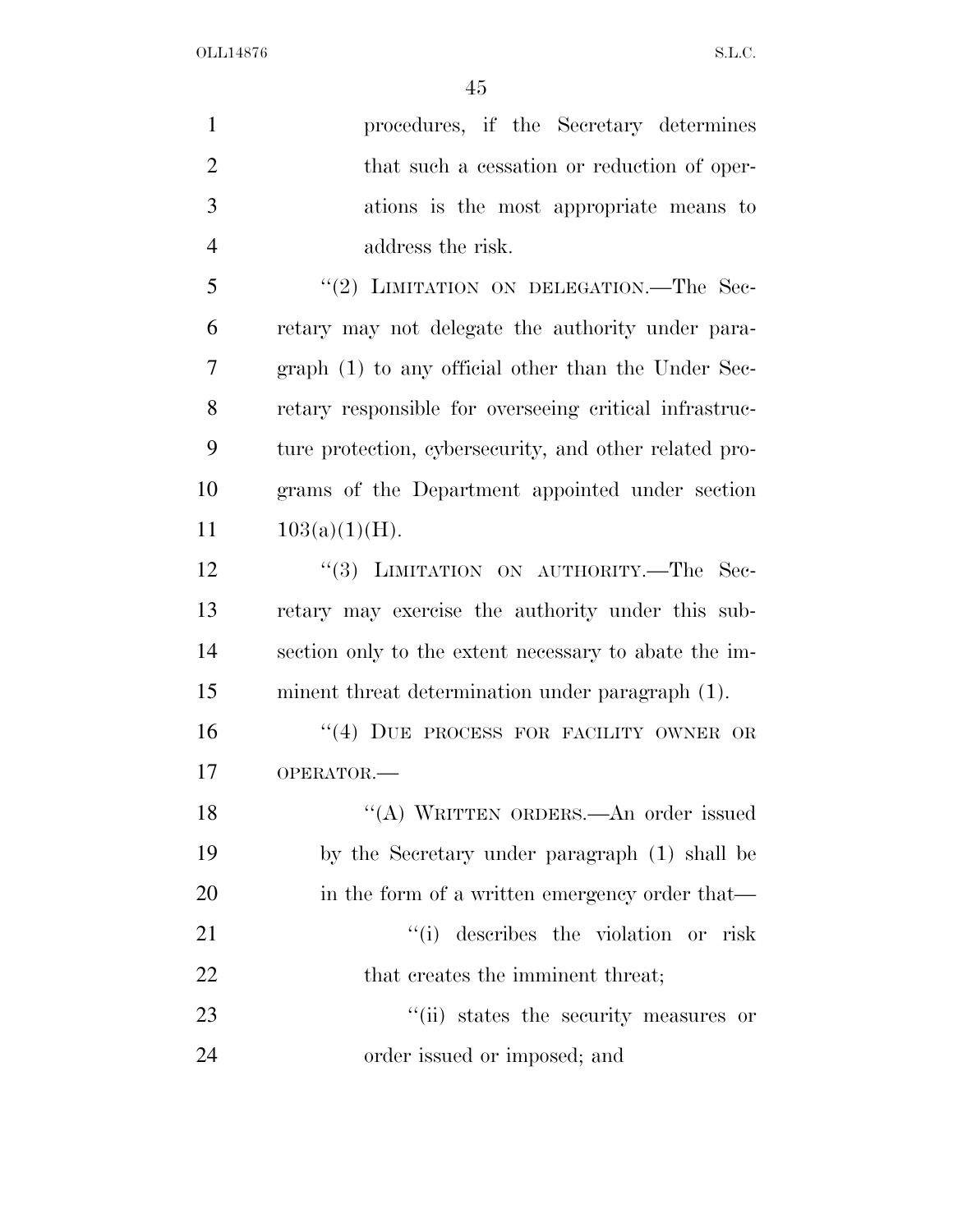| $\mathbf{1}$   | procedures, if the Secretary determines                |
|----------------|--------------------------------------------------------|
| $\overline{2}$ | that such a cessation or reduction of oper-            |
| 3              | ations is the most appropriate means to                |
| $\overline{4}$ | address the risk.                                      |
| 5              | "(2) LIMITATION ON DELEGATION.—The Sec-                |
| 6              | retary may not delegate the authority under para-      |
| 7              | graph (1) to any official other than the Under Sec-    |
| 8              | retary responsible for overseeing critical infrastruc- |
| 9              | ture protection, cybersecurity, and other related pro- |
| 10             | grams of the Department appointed under section        |
| 11             | $103(a)(1)(H)$ .                                       |
| 12             | "(3) LIMITATION ON AUTHORITY.-The Sec-                 |
| 13             | retary may exercise the authority under this sub-      |
| 14             | section only to the extent necessary to abate the im-  |
| 15             | minent threat determination under paragraph (1).       |
| 16             | "(4) DUE PROCESS FOR FACILITY OWNER OR                 |
| 17             | OPERATOR.-                                             |
| 18             | "(A) WRITTEN ORDERS.—An order issued                   |
| 19             | by the Secretary under paragraph (1) shall be          |
| 20             | in the form of a written emergency order that—         |
| 21             | "(i) describes the violation or risk                   |
| 22             | that creates the imminent threat;                      |
| 23             | "(ii) states the security measures or                  |
| 24             | order issued or imposed; and                           |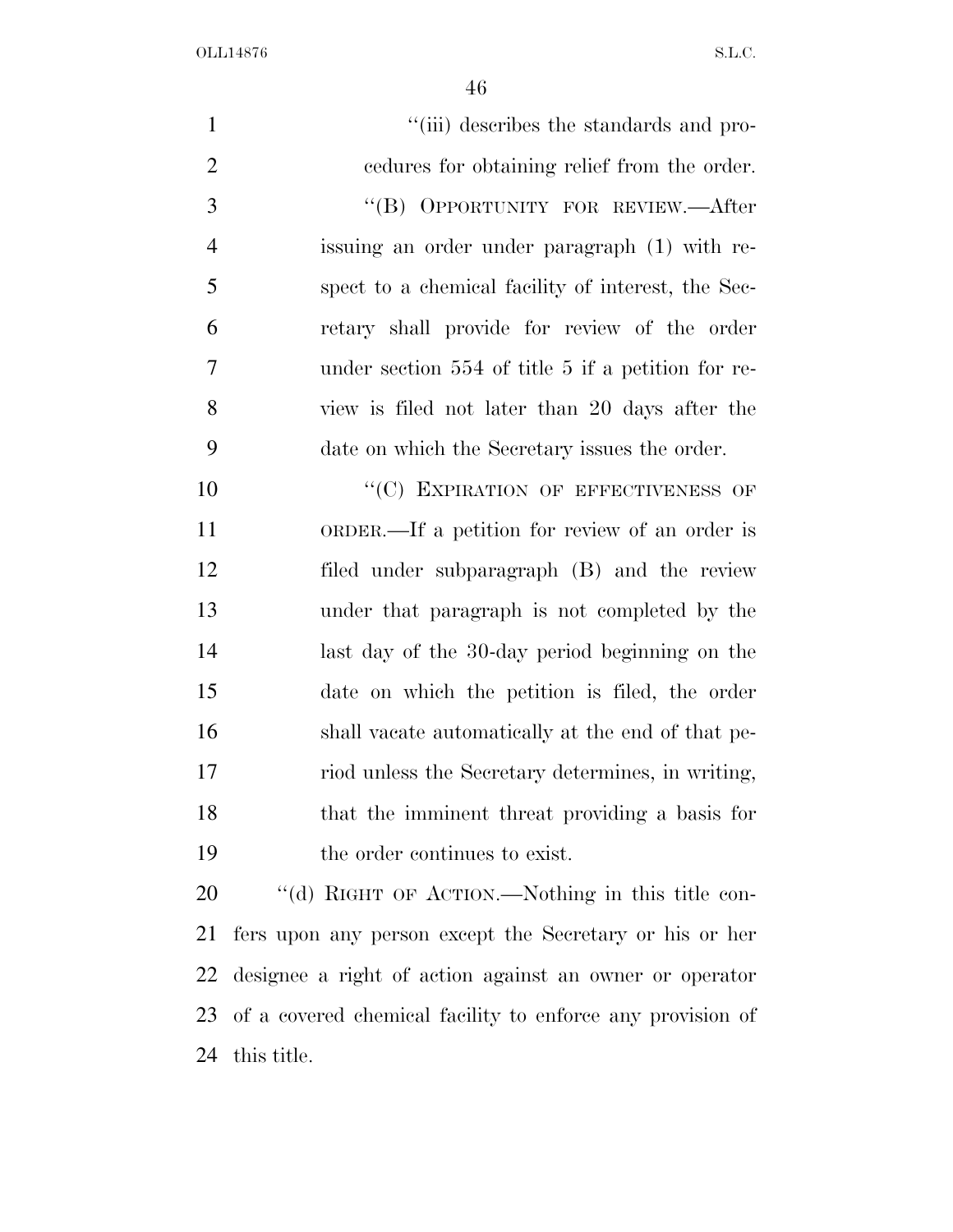| $\mathbf{1}$   | "(iii) describes the standards and pro-                    |
|----------------|------------------------------------------------------------|
| $\overline{2}$ | cedures for obtaining relief from the order.               |
| 3              | "(B) OPPORTUNITY FOR REVIEW.—After                         |
| $\overline{4}$ | issuing an order under paragraph (1) with re-              |
| 5              | spect to a chemical facility of interest, the Sec-         |
| 6              | retary shall provide for review of the order               |
| $\tau$         | under section 554 of title 5 if a petition for re-         |
| 8              | view is filed not later than 20 days after the             |
| 9              | date on which the Secretary issues the order.              |
| 10             | "(C) EXPIRATION OF EFFECTIVENESS OF                        |
| 11             | ORDER.—If a petition for review of an order is             |
| 12             | filed under subparagraph (B) and the review                |
| 13             | under that paragraph is not completed by the               |
| 14             | last day of the 30-day period beginning on the             |
| 15             | date on which the petition is filed, the order             |
| 16             | shall vacate automatically at the end of that pe-          |
| 17             | riod unless the Secretary determines, in writing,          |
| 18             | that the imminent threat providing a basis for             |
| 19             | the order continues to exist.                              |
| 20             | "(d) RIGHT OF ACTION.—Nothing in this title con-           |
| 21             | fers upon any person except the Secretary or his or her    |
| 22             | designee a right of action against an owner or operator    |
| 23             | of a covered chemical facility to enforce any provision of |

this title.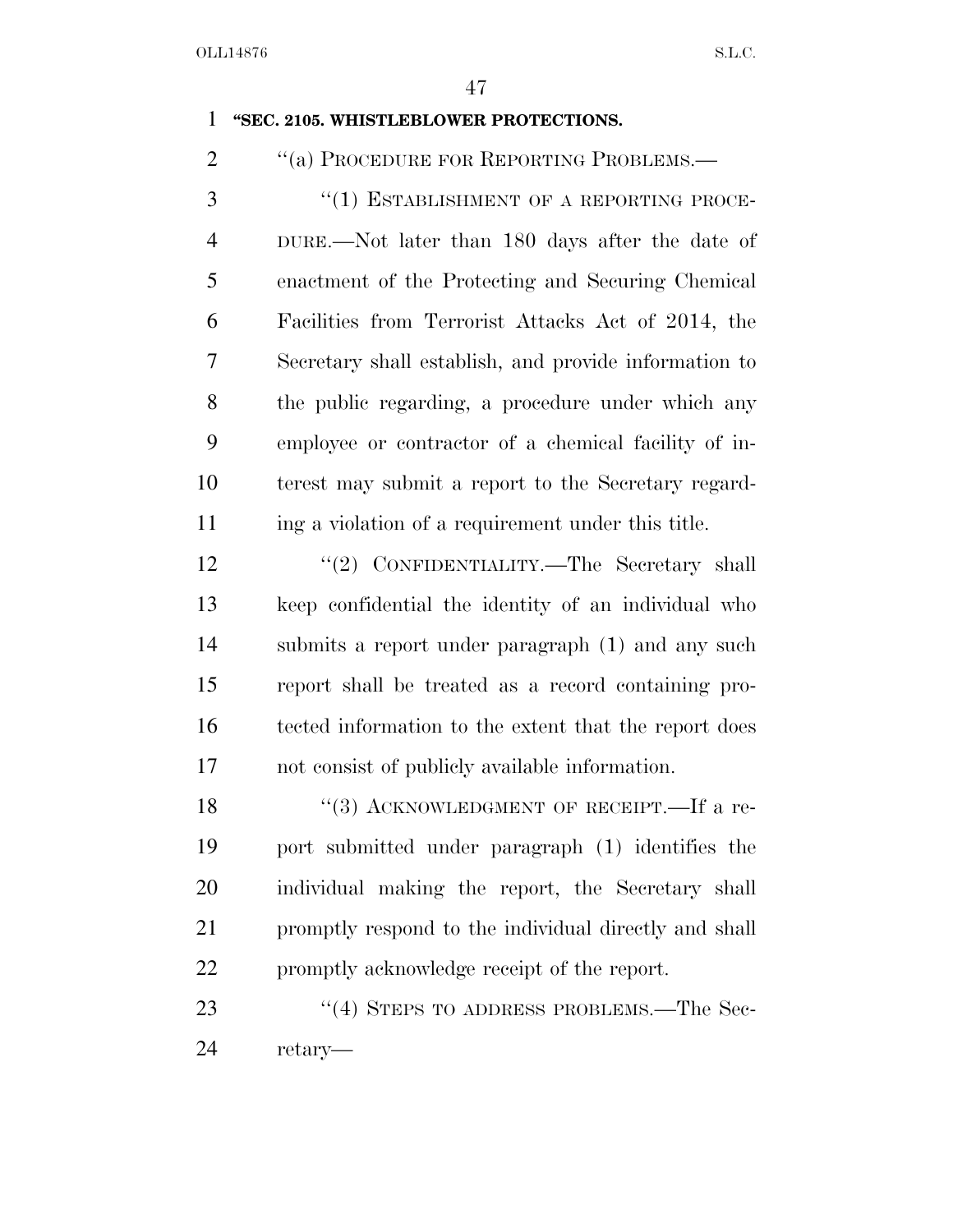#### **''SEC. 2105. WHISTLEBLOWER PROTECTIONS.**

2 "(a) PROCEDURE FOR REPORTING PROBLEMS.—

3 "(1) ESTABLISHMENT OF A REPORTING PROCE- DURE.—Not later than 180 days after the date of enactment of the Protecting and Securing Chemical Facilities from Terrorist Attacks Act of 2014, the Secretary shall establish, and provide information to the public regarding, a procedure under which any employee or contractor of a chemical facility of in- terest may submit a report to the Secretary regard-11 ing a violation of a requirement under this title.

12 "(2) CONFIDENTIALITY.—The Secretary shall keep confidential the identity of an individual who submits a report under paragraph (1) and any such report shall be treated as a record containing pro- tected information to the extent that the report does not consist of publicly available information.

18 "(3) ACKNOWLEDGMENT OF RECEIPT.—If a re- port submitted under paragraph (1) identifies the individual making the report, the Secretary shall 21 promptly respond to the individual directly and shall promptly acknowledge receipt of the report.

23 "(4) STEPS TO ADDRESS PROBLEMS.—The Sec-retary—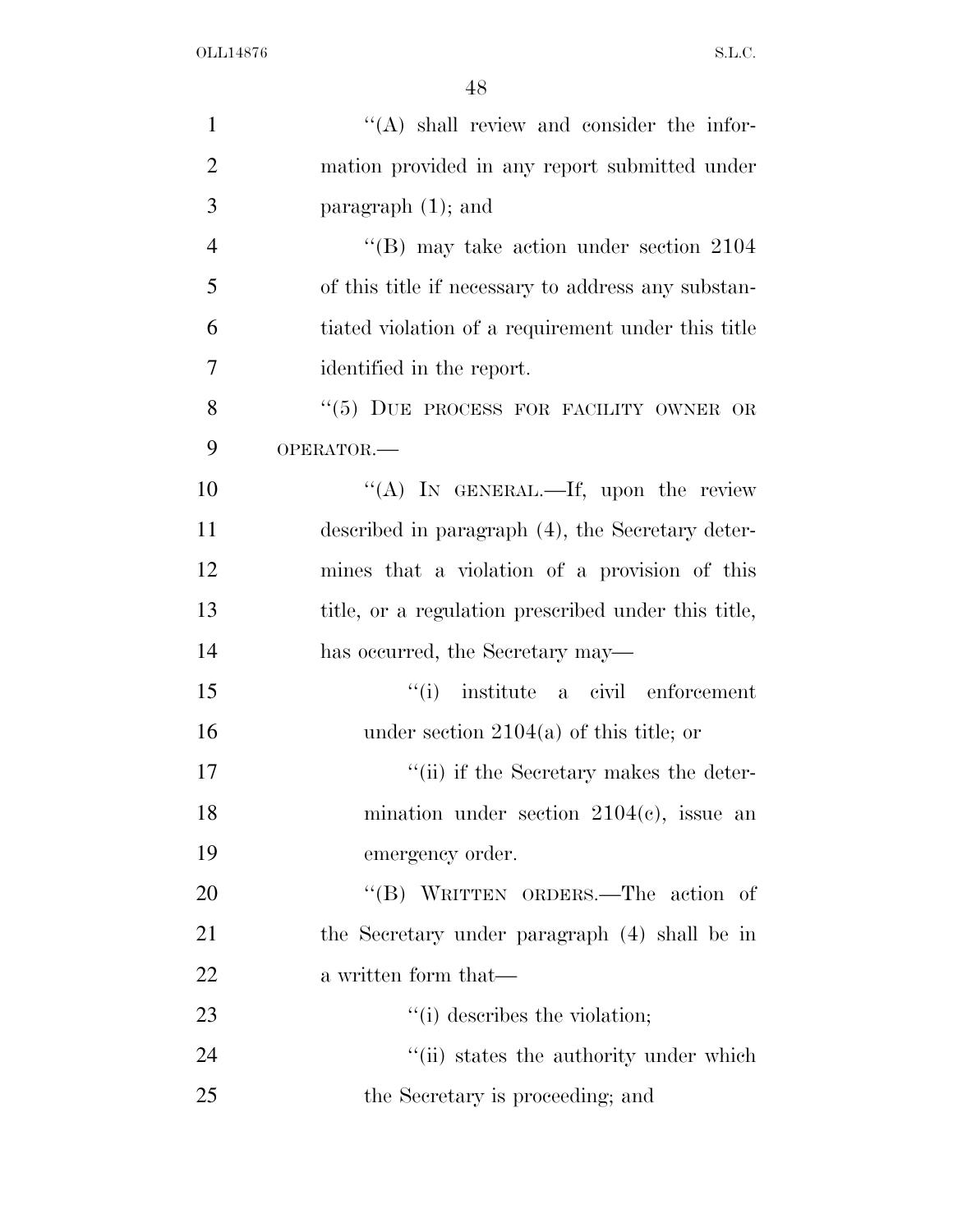| $\mathbf{1}$   | "(A) shall review and consider the infor-                   |
|----------------|-------------------------------------------------------------|
| $\overline{2}$ | mation provided in any report submitted under               |
| 3              | paragraph $(1)$ ; and                                       |
| $\overline{4}$ | $\rm ^{\prime\prime}(B)$ may take action under section 2104 |
| 5              | of this title if necessary to address any substan-          |
| 6              | tiated violation of a requirement under this title          |
| $\tau$         | identified in the report.                                   |
| 8              | "(5) DUE PROCESS FOR FACILITY OWNER OR                      |
| 9              | OPERATOR.-                                                  |
| 10             | "(A) IN GENERAL.—If, upon the review                        |
| 11             | described in paragraph (4), the Secretary deter-            |
| 12             | mines that a violation of a provision of this               |
| 13             | title, or a regulation prescribed under this title,         |
| 14             | has occurred, the Secretary may—                            |
| 15             | "(i) institute a civil enforcement                          |
| 16             | under section $2104(a)$ of this title; or                   |
| 17             | "(ii) if the Secretary makes the deter-                     |
| 18             | mination under section $2104(c)$ , issue an                 |
| 19             | emergency order.                                            |
| 20             | "(B) WRITTEN ORDERS.—The action of                          |
| 21             | the Secretary under paragraph (4) shall be in               |
| 22             | a written form that—                                        |
| 23             | "(i) describes the violation;                               |
| 24             | "(ii) states the authority under which                      |
| 25             | the Secretary is proceeding; and                            |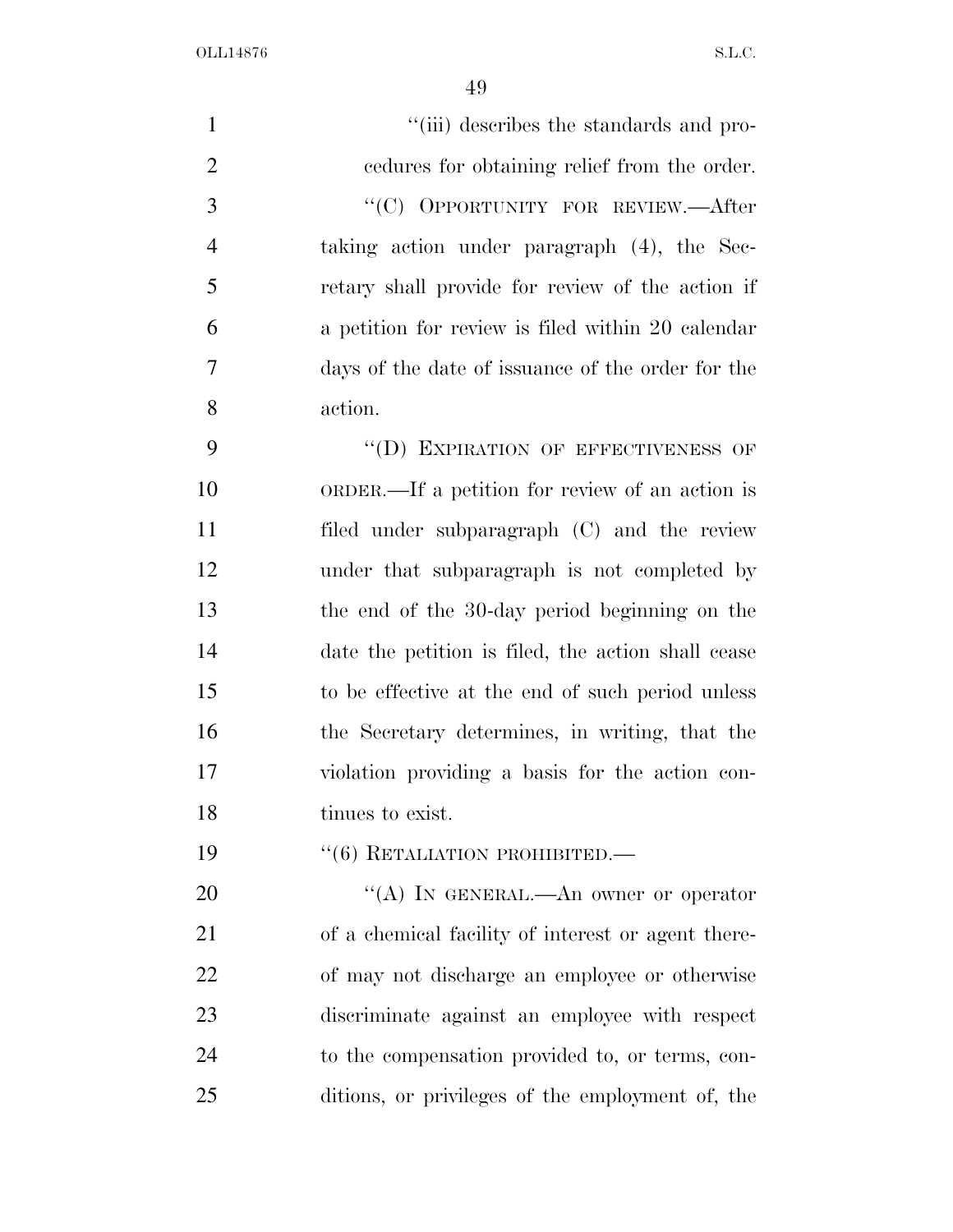| $\mathbf{1}$   | "(iii) describes the standards and pro-            |
|----------------|----------------------------------------------------|
| $\overline{2}$ | endures for obtaining relief from the order.       |
| 3              | "(C) OPPORTUNITY FOR REVIEW.—After                 |
| $\overline{4}$ | taking action under paragraph (4), the Sec-        |
| 5              | retary shall provide for review of the action if   |
| 6              | a petition for review is filed within 20 calendar  |
| $\overline{7}$ | days of the date of issuance of the order for the  |
| 8              | action.                                            |
| 9              | "(D) EXPIRATION OF EFFECTIVENESS OF                |
| 10             | ORDER.—If a petition for review of an action is    |
| 11             | filed under subparagraph (C) and the review        |
| 12             | under that subparagraph is not completed by        |
| 13             | the end of the 30-day period beginning on the      |
| 14             | date the petition is filed, the action shall cease |
| 15             | to be effective at the end of such period unless   |
| 16             | the Secretary determines, in writing, that the     |
| 17             | violation providing a basis for the action con-    |
| 18             | tinues to exist.                                   |
| 19             | $``(6)$ RETALIATION PROHIBITED.—                   |
| 20             | "(A) IN GENERAL.—An owner or operator              |
| 21             | of a chemical facility of interest or agent there- |
| 22             | of may not discharge an employee or otherwise      |
| 23             | discriminate against an employee with respect      |
| 24             | to the compensation provided to, or terms, con-    |
| 25             | ditions, or privileges of the employment of, the   |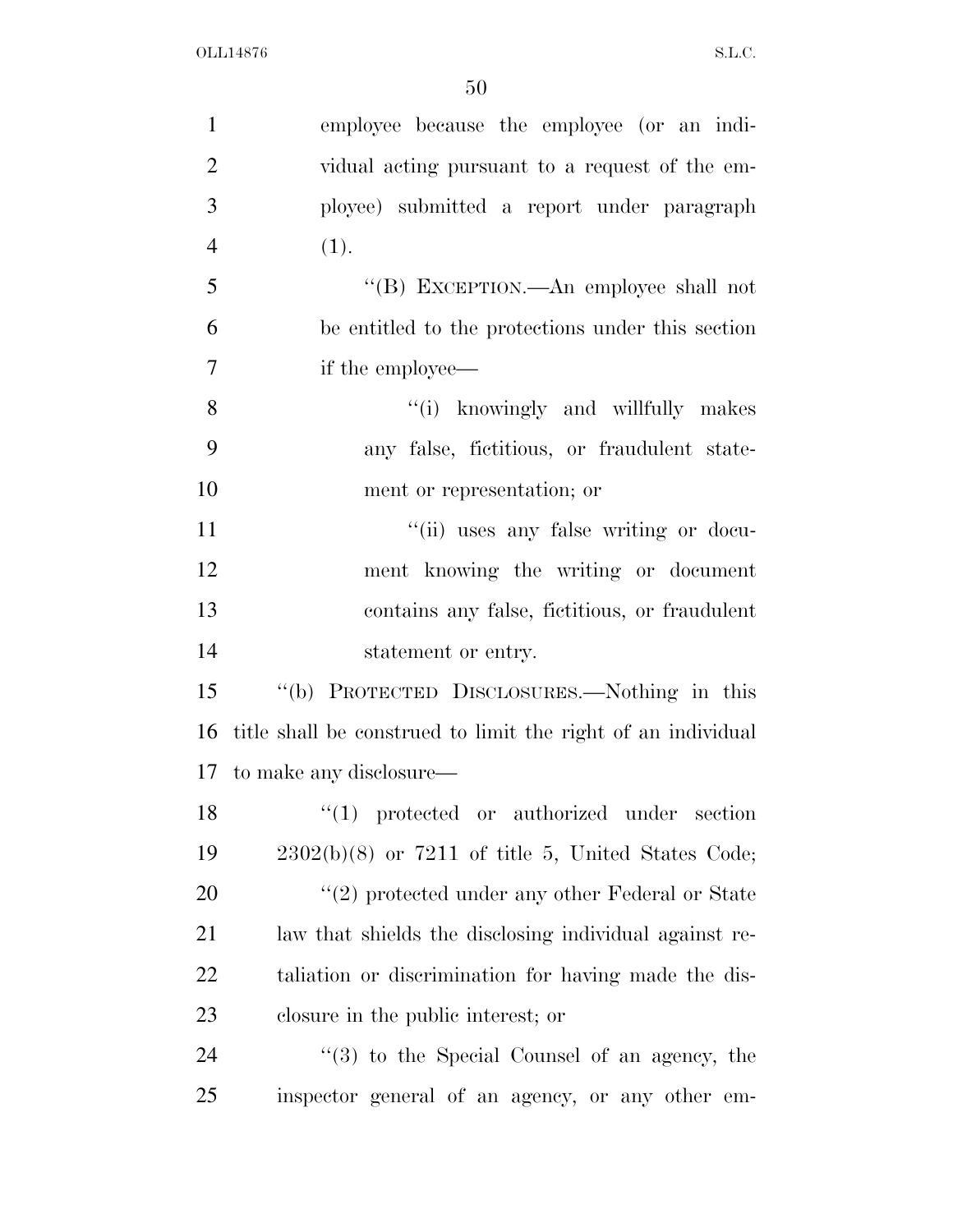| $\mathbf{1}$   | employee because the employee (or an indi-                   |
|----------------|--------------------------------------------------------------|
| $\overline{2}$ | vidual acting pursuant to a request of the em-               |
| 3              | ployee) submitted a report under paragraph                   |
| $\overline{4}$ | (1).                                                         |
| 5              | "(B) EXCEPTION.—An employee shall not                        |
| 6              | be entitled to the protections under this section            |
| $\tau$         | if the employee—                                             |
| 8              | "(i) knowingly and willfully makes                           |
| 9              | any false, fictitious, or fraudulent state-                  |
| 10             | ment or representation; or                                   |
| 11             | "(ii) uses any false writing or docu-                        |
| 12             | ment knowing the writing or document                         |
| 13             | contains any false, fictitious, or fraudulent                |
| 14             | statement or entry.                                          |
| 15             | "(b) PROTECTED DISCLOSURES.—Nothing in this                  |
| 16             | title shall be construed to limit the right of an individual |
|                | 17 to make any disclosure—                                   |
| 18             | "(1) protected or authorized under section                   |
| 19             | $2302(b)(8)$ or $7211$ of title 5, United States Code;       |
| 20             | $"(2)$ protected under any other Federal or State            |
| 21             | law that shields the disclosing individual against re-       |
| 22             | taliation or discrimination for having made the dis-         |
| 23             | closure in the public interest; or                           |
| 24             | $(3)$ to the Special Counsel of an agency, the               |
| 25             | inspector general of an agency, or any other em-             |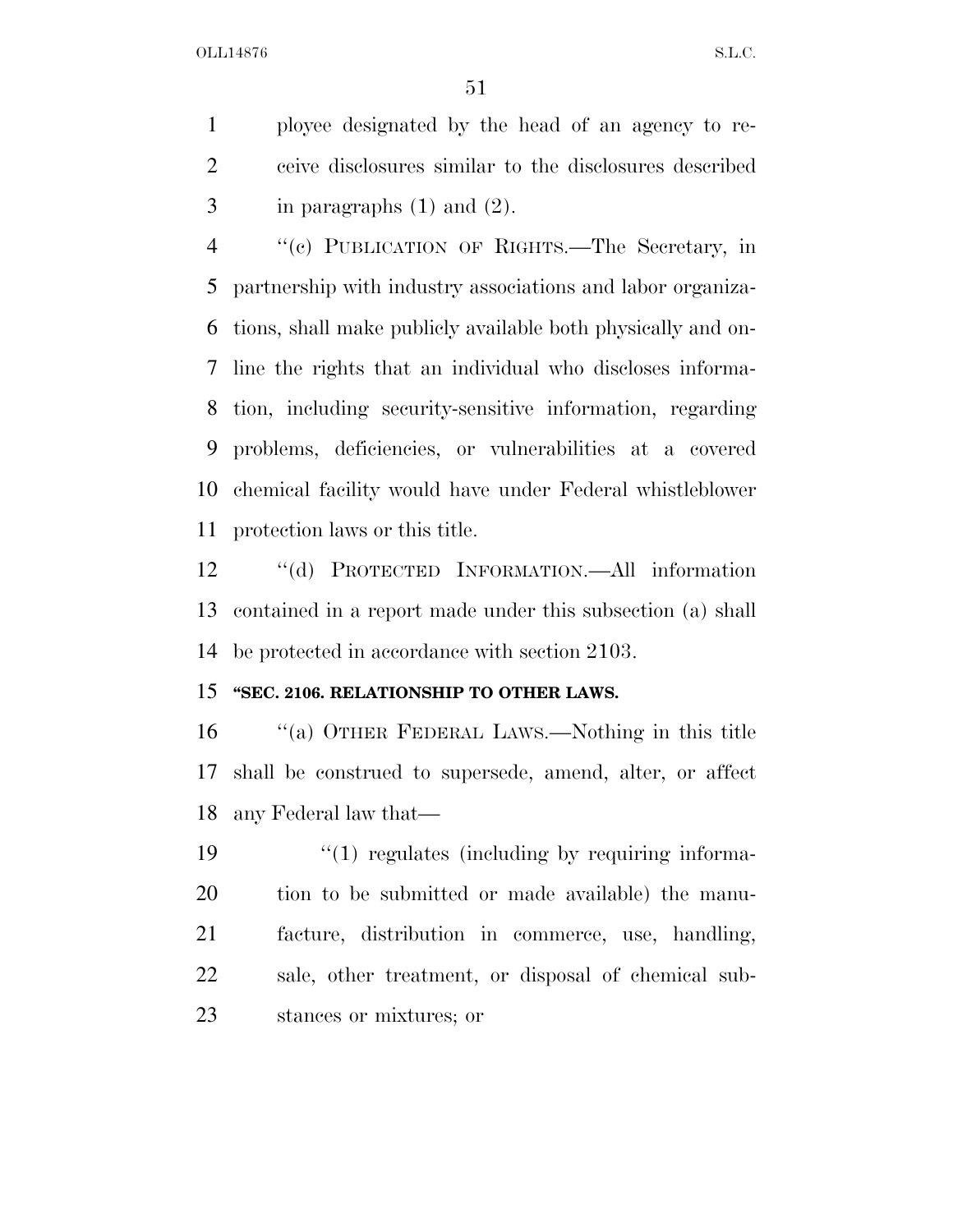ployee designated by the head of an agency to re- ceive disclosures similar to the disclosures described 3 in paragraphs  $(1)$  and  $(2)$ .

 ''(c) PUBLICATION OF RIGHTS.—The Secretary, in partnership with industry associations and labor organiza- tions, shall make publicly available both physically and on- line the rights that an individual who discloses informa- tion, including security-sensitive information, regarding problems, deficiencies, or vulnerabilities at a covered chemical facility would have under Federal whistleblower protection laws or this title.

 ''(d) PROTECTED INFORMATION.—All information contained in a report made under this subsection (a) shall be protected in accordance with section 2103.

#### **''SEC. 2106. RELATIONSHIP TO OTHER LAWS.**

 ''(a) OTHER FEDERAL LAWS.—Nothing in this title shall be construed to supersede, amend, alter, or affect any Federal law that—

 $\frac{1}{2}$  (1) regulates (including by requiring informa- tion to be submitted or made available) the manu- facture, distribution in commerce, use, handling, sale, other treatment, or disposal of chemical sub-stances or mixtures; or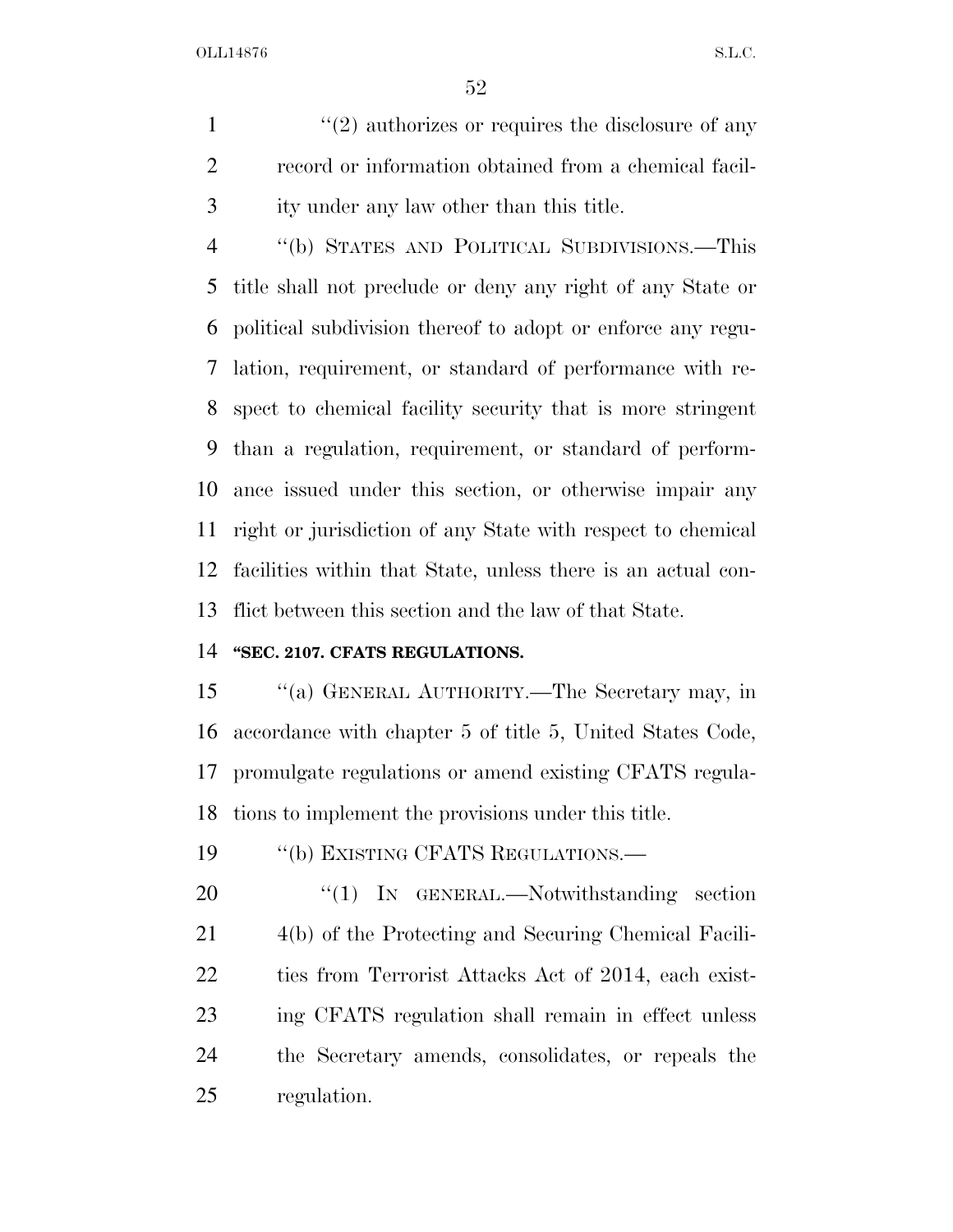$\mathcal{L}(2)$  authorizes or requires the disclosure of any record or information obtained from a chemical facil-ity under any law other than this title.

 ''(b) STATES AND POLITICAL SUBDIVISIONS.—This title shall not preclude or deny any right of any State or political subdivision thereof to adopt or enforce any regu- lation, requirement, or standard of performance with re- spect to chemical facility security that is more stringent than a regulation, requirement, or standard of perform- ance issued under this section, or otherwise impair any right or jurisdiction of any State with respect to chemical facilities within that State, unless there is an actual con-flict between this section and the law of that State.

#### **''SEC. 2107. CFATS REGULATIONS.**

 ''(a) GENERAL AUTHORITY.—The Secretary may, in accordance with chapter 5 of title 5, United States Code, promulgate regulations or amend existing CFATS regula-tions to implement the provisions under this title.

19 "(b) EXISTING CFATS REGULATIONS.—

20 "(1) IN GENERAL.—Notwithstanding section 4(b) of the Protecting and Securing Chemical Facili- ties from Terrorist Attacks Act of 2014, each exist- ing CFATS regulation shall remain in effect unless the Secretary amends, consolidates, or repeals the regulation.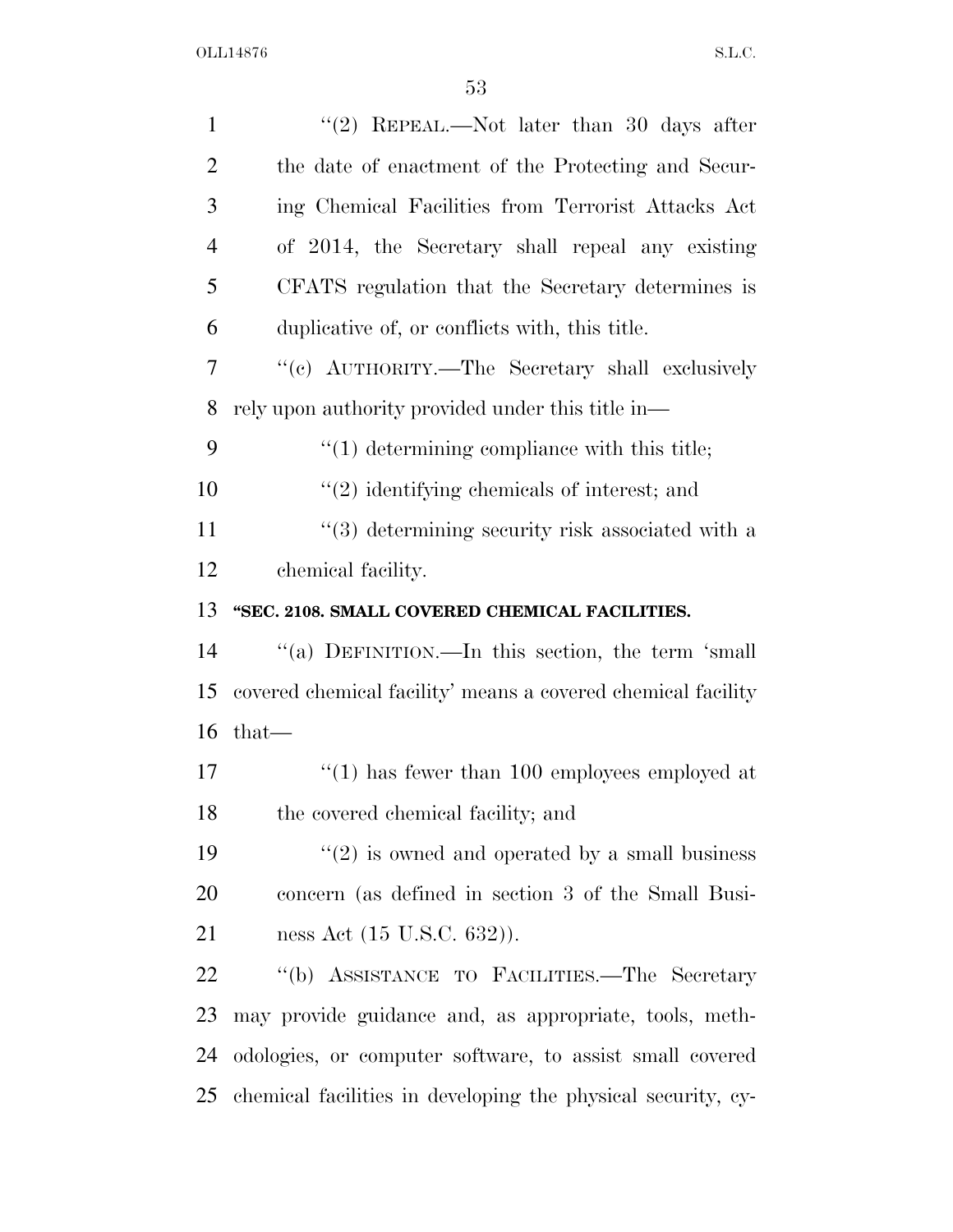| $\mathbf{1}$   | "(2) REPEAL.—Not later than 30 days after                    |
|----------------|--------------------------------------------------------------|
| $\overline{2}$ | the date of enactment of the Protecting and Secur-           |
| 3              | ing Chemical Facilities from Terrorist Attacks Act           |
| $\overline{4}$ | of 2014, the Secretary shall repeal any existing             |
| 5              | CFATS regulation that the Secretary determines is            |
| 6              | duplicative of, or conflicts with, this title.               |
| 7              | "(c) AUTHORITY.—The Secretary shall exclusively              |
| 8              | rely upon authority provided under this title in—            |
| 9              | $"(1)$ determining compliance with this title;               |
| 10             | $"(2)$ identifying chemicals of interest; and                |
| 11             | $\cdot\cdot$ (3) determining security risk associated with a |
| 12             | chemical facility.                                           |
| 13             | "SEC. 2108. SMALL COVERED CHEMICAL FACILITIES.               |
| 14             | "(a) DEFINITION.—In this section, the term 'small            |
| 15             | covered chemical facility' means a covered chemical facility |
| 16             | $that-$                                                      |
| 17             | $\lq(1)$ has fewer than 100 employees employed at            |
| 18             | the covered chemical facility; and                           |
| 19             | $\lq(2)$ is owned and operated by a small business           |
| 20             | concern (as defined in section 3 of the Small Busi-          |
| 21             | ness Act (15 U.S.C. 632)).                                   |
| 22             | "(b) ASSISTANCE TO FACILITIES.—The Secretary                 |
| 23             | may provide guidance and, as appropriate, tools, meth-       |
| 24             | odologies, or computer software, to assist small covered     |
| 25             | chemical facilities in developing the physical security, cy- |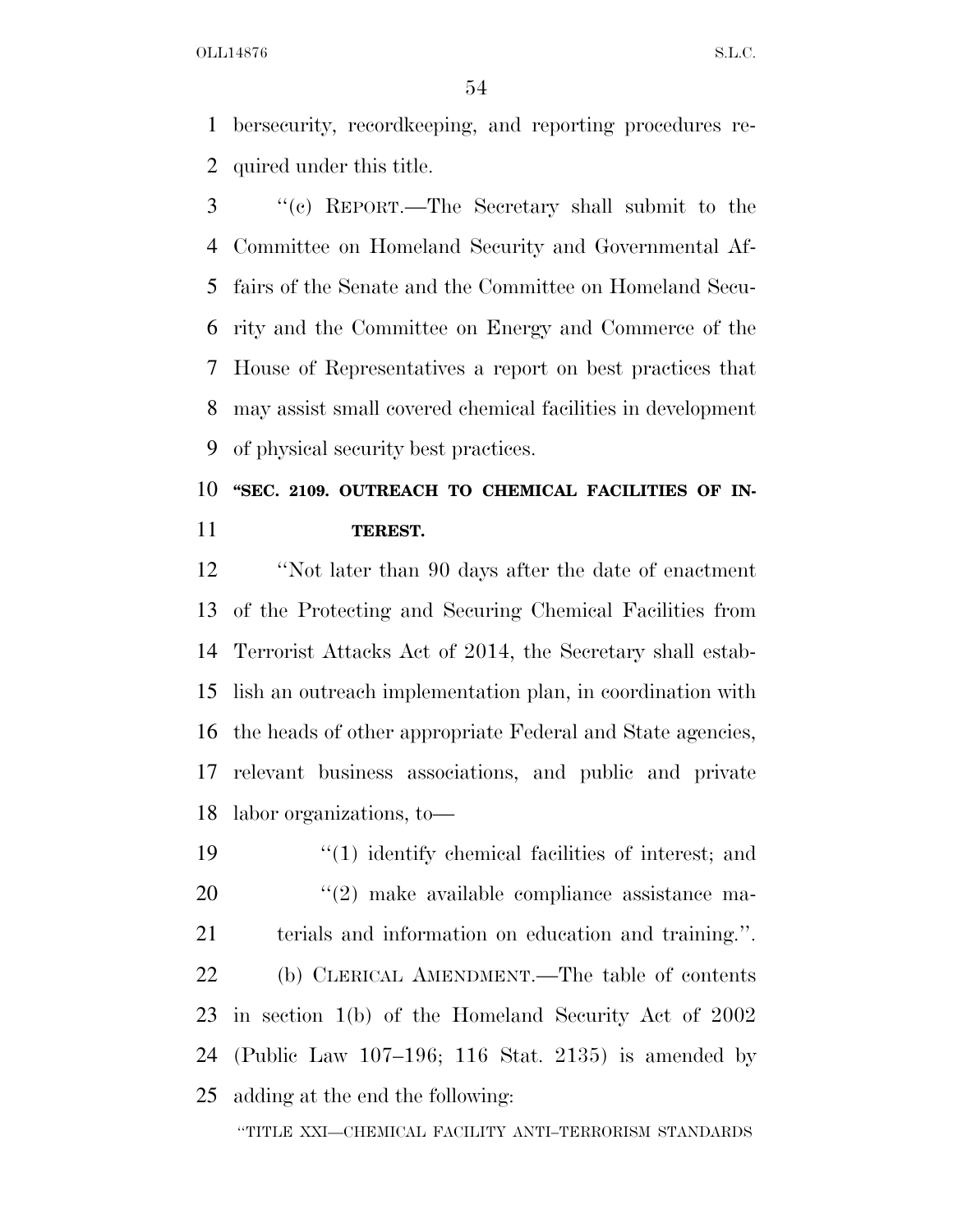bersecurity, recordkeeping, and reporting procedures re-quired under this title.

 ''(c) REPORT.—The Secretary shall submit to the Committee on Homeland Security and Governmental Af- fairs of the Senate and the Committee on Homeland Secu- rity and the Committee on Energy and Commerce of the House of Representatives a report on best practices that may assist small covered chemical facilities in development of physical security best practices.

# 10 "SEC. 2109. OUTREACH TO CHEMICAL FACILITIES OF IN-**TEREST.**

 ''Not later than 90 days after the date of enactment of the Protecting and Securing Chemical Facilities from Terrorist Attacks Act of 2014, the Secretary shall estab- lish an outreach implementation plan, in coordination with the heads of other appropriate Federal and State agencies, relevant business associations, and public and private labor organizations, to—

19 ''(1) identify chemical facilities of interest; and  $(2)$  make available compliance assistance ma- terials and information on education and training.''. (b) CLERICAL AMENDMENT.—The table of contents in section 1(b) of the Homeland Security Act of 2002 (Public Law 107–196; 116 Stat. 2135) is amended by adding at the end the following:

''TITLE XXI—CHEMICAL FACILITY ANTI–TERRORISM STANDARDS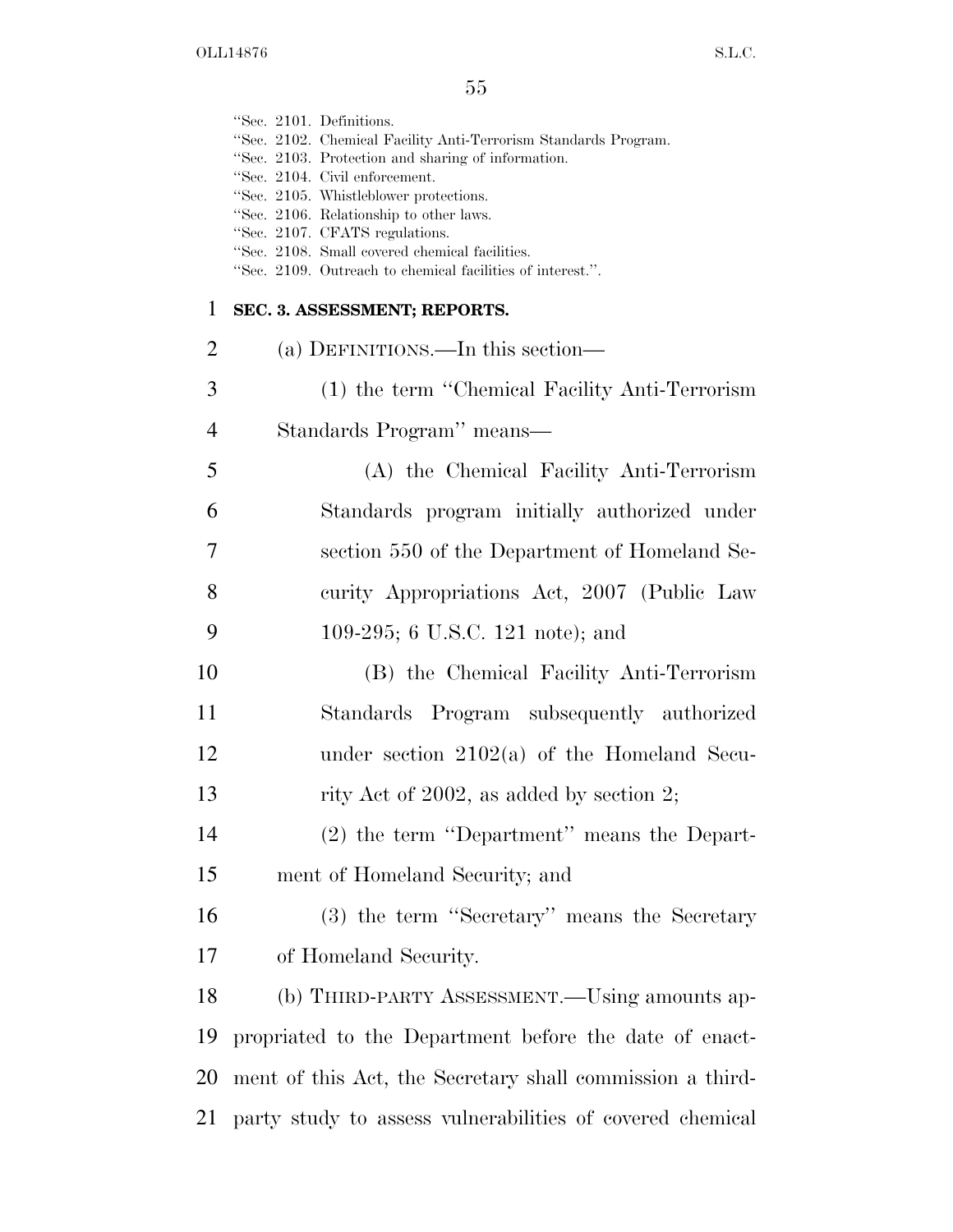|                | "Sec. 2101. Definitions.<br>"Sec. 2102. Chemical Facility Anti-Terrorism Standards Program.<br>"Sec. 2103. Protection and sharing of information.<br>"Sec. 2104. Civil enforcement.<br>"Sec. 2105. Whistleblower protections.<br>"Sec. 2106. Relationship to other laws.<br>"Sec. 2107. CFATS regulations.<br>"Sec. 2108. Small covered chemical facilities.<br>"Sec. 2109. Outreach to chemical facilities of interest.". |
|----------------|----------------------------------------------------------------------------------------------------------------------------------------------------------------------------------------------------------------------------------------------------------------------------------------------------------------------------------------------------------------------------------------------------------------------------|
| $\mathbf{1}$   | SEC. 3. ASSESSMENT; REPORTS.                                                                                                                                                                                                                                                                                                                                                                                               |
| $\overline{2}$ | (a) DEFINITIONS.—In this section—                                                                                                                                                                                                                                                                                                                                                                                          |
| 3              | (1) the term "Chemical Facility Anti-Terrorism                                                                                                                                                                                                                                                                                                                                                                             |
| $\overline{4}$ | Standards Program" means-                                                                                                                                                                                                                                                                                                                                                                                                  |
| 5              | (A) the Chemical Facility Anti-Terrorism                                                                                                                                                                                                                                                                                                                                                                                   |
| 6              | Standards program initially authorized under                                                                                                                                                                                                                                                                                                                                                                               |
| 7              | section 550 of the Department of Homeland Se-                                                                                                                                                                                                                                                                                                                                                                              |
| 8              | curity Appropriations Act, 2007 (Public Law                                                                                                                                                                                                                                                                                                                                                                                |
| 9              | 109-295; 6 U.S.C. 121 note); and                                                                                                                                                                                                                                                                                                                                                                                           |
| 10             | (B) the Chemical Facility Anti-Terrorism                                                                                                                                                                                                                                                                                                                                                                                   |
| 11             | Standards Program subsequently authorized                                                                                                                                                                                                                                                                                                                                                                                  |
| 12             | under section $2102(a)$ of the Homeland Secu-                                                                                                                                                                                                                                                                                                                                                                              |
| 13             | rity Act of 2002, as added by section 2;                                                                                                                                                                                                                                                                                                                                                                                   |
| 14             | (2) the term "Department" means the Depart-                                                                                                                                                                                                                                                                                                                                                                                |
| 15             | ment of Homeland Security; and                                                                                                                                                                                                                                                                                                                                                                                             |
| 16             | (3) the term "Secretary" means the Secretary                                                                                                                                                                                                                                                                                                                                                                               |
| 17             | of Homeland Security.                                                                                                                                                                                                                                                                                                                                                                                                      |
| 18             | (b) THIRD-PARTY ASSESSMENT.—Using amounts ap-                                                                                                                                                                                                                                                                                                                                                                              |
| 19             | propriated to the Department before the date of enact-                                                                                                                                                                                                                                                                                                                                                                     |
| 20             | ment of this Act, the Secretary shall commission a third-                                                                                                                                                                                                                                                                                                                                                                  |
| 21             | party study to assess vulnerabilities of covered chemical                                                                                                                                                                                                                                                                                                                                                                  |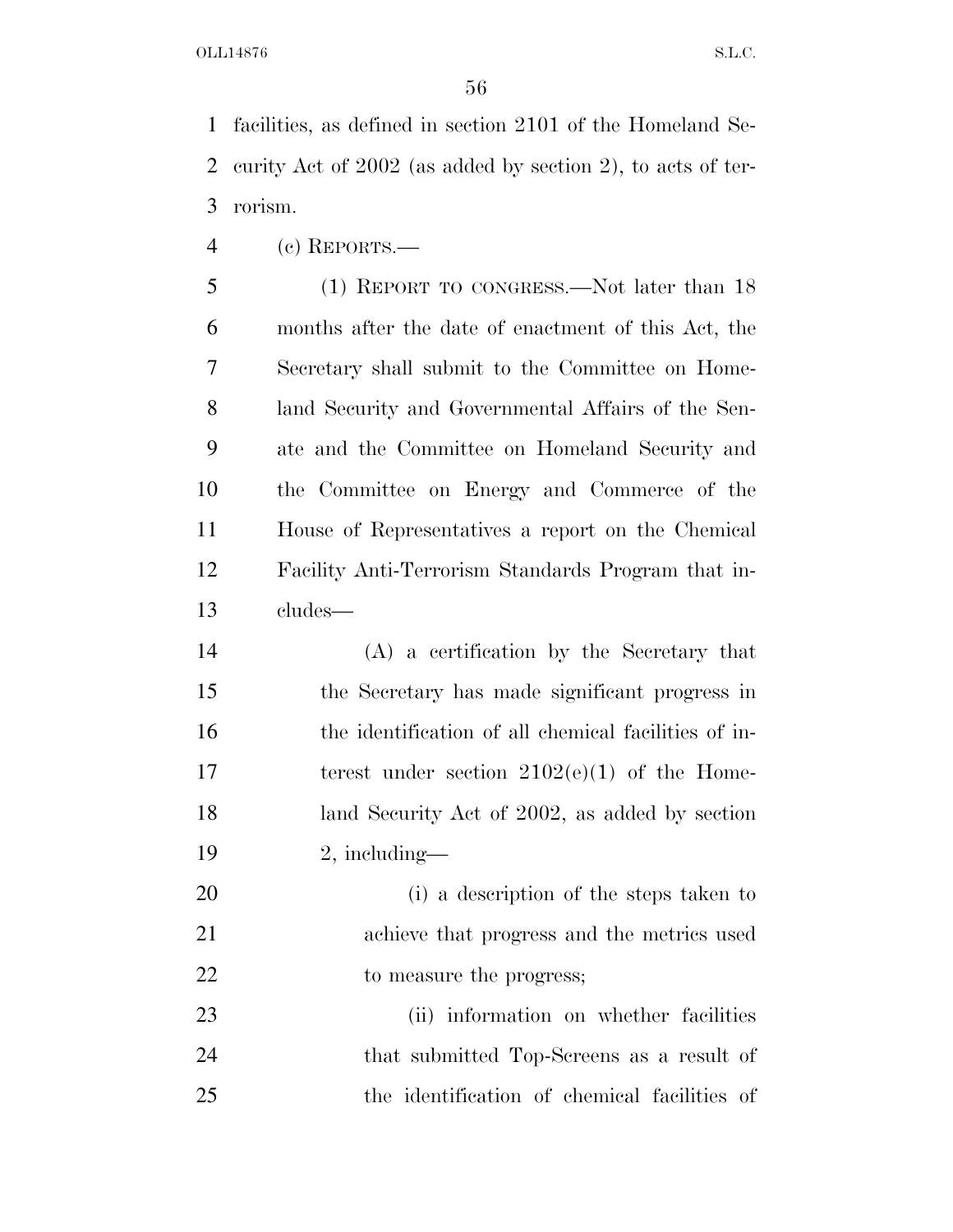facilities, as defined in section 2101 of the Homeland Se- curity Act of 2002 (as added by section 2), to acts of ter-rorism.

(c) REPORTS.—

 (1) REPORT TO CONGRESS.—Not later than 18 months after the date of enactment of this Act, the Secretary shall submit to the Committee on Home- land Security and Governmental Affairs of the Sen- ate and the Committee on Homeland Security and the Committee on Energy and Commerce of the House of Representatives a report on the Chemical Facility Anti-Terrorism Standards Program that in-cludes—

 (A) a certification by the Secretary that the Secretary has made significant progress in the identification of all chemical facilities of in-17 terest under section  $2102(e)(1)$  of the Home-18 land Security Act of 2002, as added by section 2, including—

 (i) a description of the steps taken to achieve that progress and the metrics used 22 to measure the progress;

 (ii) information on whether facilities that submitted Top-Screens as a result of the identification of chemical facilities of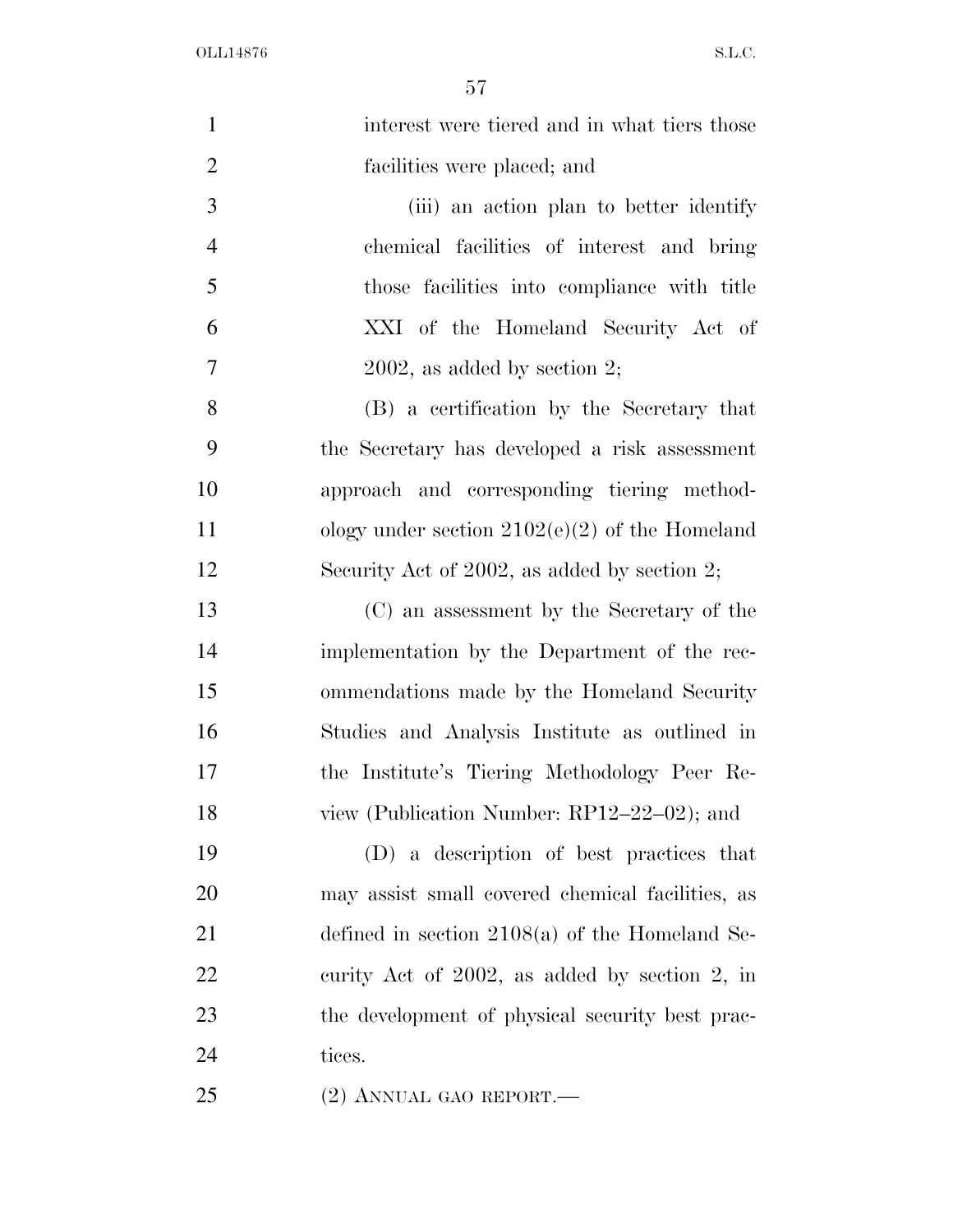| $\mathbf{1}$   | interest were tiered and in what tiers those     |
|----------------|--------------------------------------------------|
| $\overline{2}$ | facilities were placed; and                      |
| 3              | (iii) an action plan to better identify          |
| $\overline{4}$ | chemical facilities of interest and bring        |
| 5              | those facilities into compliance with title      |
| 6              | XXI of the Homeland Security Act of              |
| 7              | $2002$ , as added by section 2;                  |
| 8              | (B) a certification by the Secretary that        |
| 9              | the Secretary has developed a risk assessment    |
| 10             | approach and corresponding tiering method-       |
| 11             | ology under section $2102(e)(2)$ of the Homeland |
| 12             | Security Act of $2002$ , as added by section 2;  |
| 13             | (C) an assessment by the Secretary of the        |
| 14             | implementation by the Department of the rec-     |
| 15             | ommendations made by the Homeland Security       |
| 16             | Studies and Analysis Institute as outlined in    |
| 17             | the Institute's Tiering Methodology Peer Re-     |
| 18             | view (Publication Number: RP12-22-02); and       |
| 19             | (D) a description of best practices that         |
| 20             | may assist small covered chemical facilities, as |
| 21             | defined in section $2108(a)$ of the Homeland Se- |
| 22             | curity Act of 2002, as added by section 2, in    |
| 23             | the development of physical security best prac-  |
| 24             | tices.                                           |
| 25             | $(2)$ ANNUAL GAO REPORT.—                        |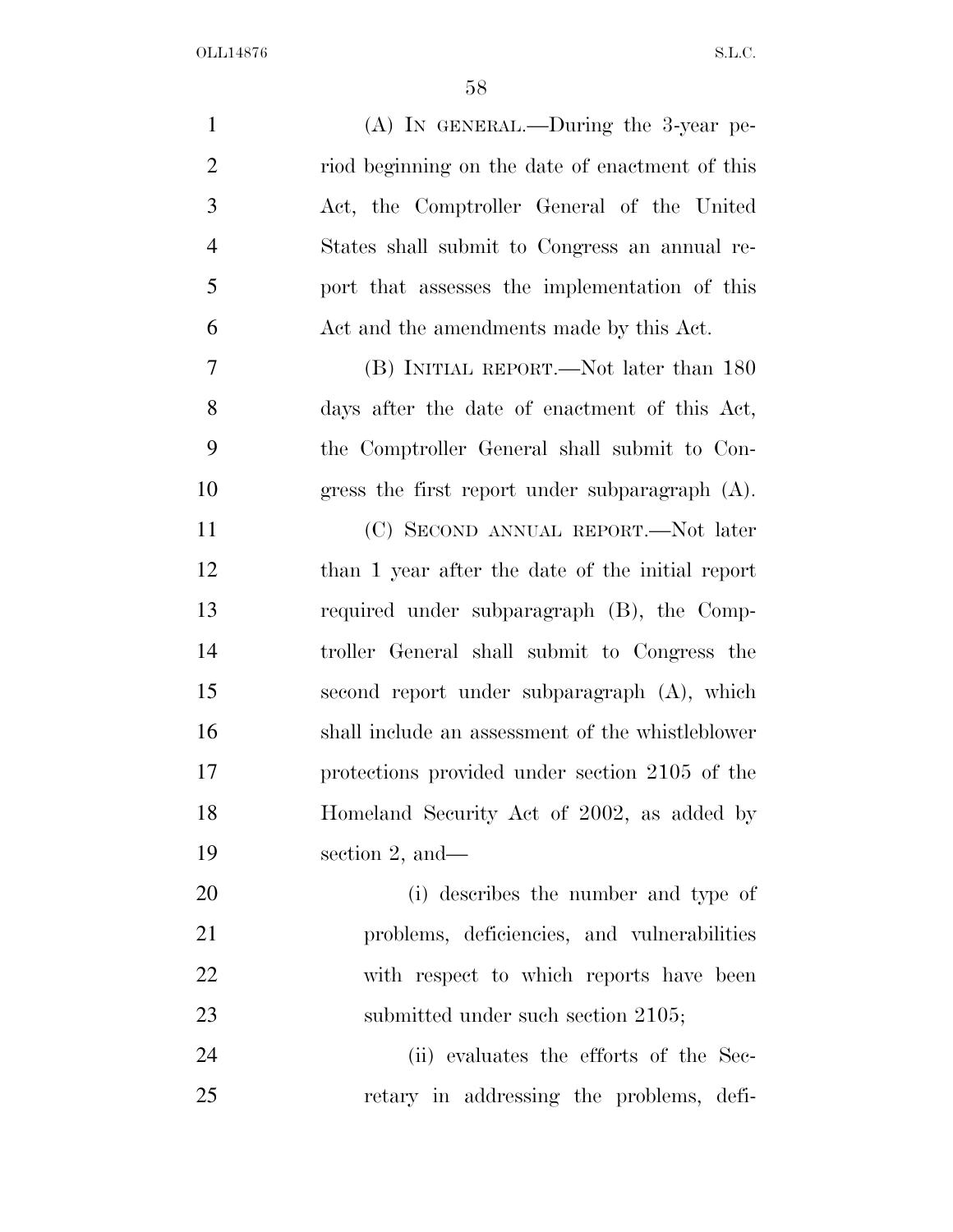| $\mathbf{1}$   | $(A)$ IN GENERAL.—During the 3-year pe-           |
|----------------|---------------------------------------------------|
| $\overline{2}$ | riod beginning on the date of enactment of this   |
| 3              | Act, the Comptroller General of the United        |
| $\overline{4}$ | States shall submit to Congress an annual re-     |
| 5              | port that assesses the implementation of this     |
| 6              | Act and the amendments made by this Act.          |
| 7              | (B) INITIAL REPORT.—Not later than 180            |
| 8              | days after the date of enactment of this Act,     |
| 9              | the Comptroller General shall submit to Con-      |
| 10             | gress the first report under subparagraph $(A)$ . |
| 11             | (C) SECOND ANNUAL REPORT.—Not later               |
| 12             | than 1 year after the date of the initial report  |
| 13             | required under subparagraph (B), the Comp-        |
| 14             | troller General shall submit to Congress the      |
| 15             | second report under subparagraph (A), which       |
| 16             | shall include an assessment of the whistleblower  |
| 17             | protections provided under section 2105 of the    |
| 18             | Homeland Security Act of 2002, as added by        |
| 19             | section 2, and $-$                                |
| 20             | (i) describes the number and type of              |
| 21             | problems, deficiencies, and vulnerabilities       |
| 22             | with respect to which reports have been           |
| 23             | submitted under such section 2105;                |
| 24             | (ii) evaluates the efforts of the Sec-            |
| 25             | retary in addressing the problems, defi-          |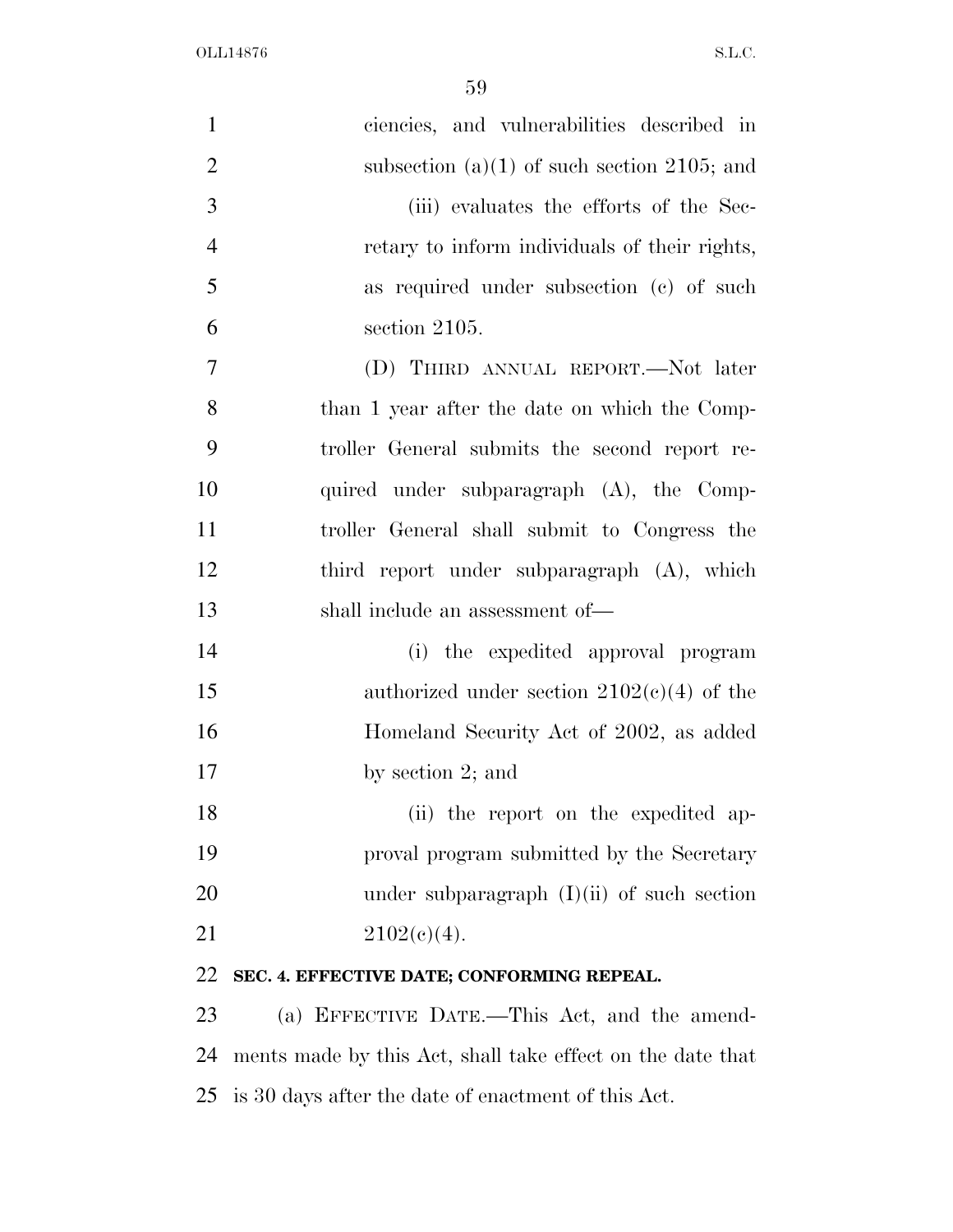| $\mathbf{1}$   | ciencies, and vulnerabilities described in                 |
|----------------|------------------------------------------------------------|
| $\overline{2}$ | subsection $(a)(1)$ of such section 2105; and              |
| 3              | (iii) evaluates the efforts of the Sec-                    |
| $\overline{4}$ | retary to inform individuals of their rights,              |
| 5              | as required under subsection (c) of such                   |
| 6              | section 2105.                                              |
| $\tau$         | (D) THIRD ANNUAL REPORT.—Not later                         |
| 8              | than 1 year after the date on which the Comp-              |
| 9              | troller General submits the second report re-              |
| 10             | quired under subparagraph (A), the Comp-                   |
| 11             | troller General shall submit to Congress the               |
| 12             | third report under subparagraph (A), which                 |
| 13             | shall include an assessment of—                            |
| 14             | (i) the expedited approval program                         |
| 15             | authorized under section $2102(c)(4)$ of the               |
| 16             | Homeland Security Act of 2002, as added                    |
| 17             | by section $2$ ; and                                       |
| 18             | (ii) the report on the expedited ap-                       |
| 19             | proval program submitted by the Secretary                  |
| 20             | under subparagraph $(I)(ii)$ of such section               |
| 21             | $2102(c)(4)$ .                                             |
| 22             | SEC. 4. EFFECTIVE DATE; CONFORMING REPEAL.                 |
| 23             | (a) EFFECTIVE DATE.—This Act, and the amend-               |
| 24             | ments made by this Act, shall take effect on the date that |

is 30 days after the date of enactment of this Act.